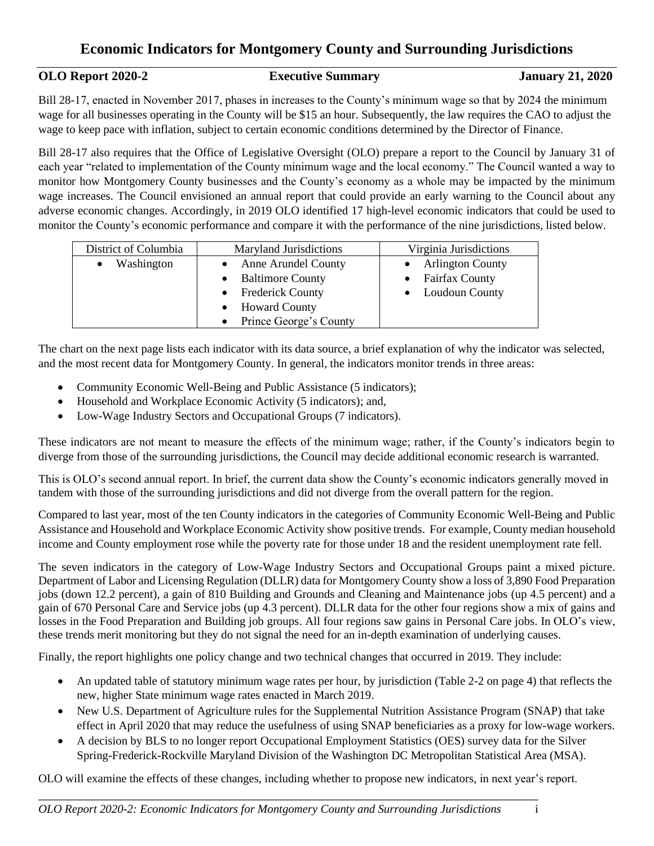#### **OLO Report 2020-2 Executive Summary January 21, 2020**

Bill 28-17, enacted in November 2017, phases in increases to the County's minimum wage so that by 2024 the minimum wage for all businesses operating in the County will be \$15 an hour. Subsequently, the law requires the CAO to adjust the wage to keep pace with inflation, subject to certain economic conditions determined by the Director of Finance.

Bill 28-17 also requires that the Office of Legislative Oversight (OLO) prepare a report to the Council by January 31 of each year "related to implementation of the County minimum wage and the local economy." The Council wanted a way to monitor how Montgomery County businesses and the County's economy as a whole may be impacted by the minimum wage increases. The Council envisioned an annual report that could provide an early warning to the Council about any adverse economic changes. Accordingly, in 2019 OLO identified 17 high-level economic indicators that could be used to monitor the County's economic performance and compare it with the performance of the nine jurisdictions, listed below.

| District of Columbia | Maryland Jurisdictions   | Virginia Jurisdictions |
|----------------------|--------------------------|------------------------|
| Washington           | • Anne Arundel County    | • Arlington County     |
|                      | • Baltimore County       | • Fairfax County       |
|                      | • Frederick County       | • Loudoun County       |
|                      | • Howard County          |                        |
|                      | • Prince George's County |                        |

The chart on the next page lists each indicator with its data source, a brief explanation of why the indicator was selected, and the most recent data for Montgomery County. In general, the indicators monitor trends in three areas:

- Community Economic Well-Being and Public Assistance (5 indicators);
- Household and Workplace Economic Activity (5 indicators); and,
- Low-Wage Industry Sectors and Occupational Groups (7 indicators).

These indicators are not meant to measure the effects of the minimum wage; rather, if the County's indicators begin to diverge from those of the surrounding jurisdictions, the Council may decide additional economic research is warranted.

This is OLO's second annual report. In brief, the current data show the County's economic indicators generally moved in tandem with those of the surrounding jurisdictions and did not diverge from the overall pattern for the region.

Compared to last year, most of the ten County indicators in the categories of Community Economic Well-Being and Public Assistance and Household and Workplace Economic Activity show positive trends. For example, County median household income and County employment rose while the poverty rate for those under 18 and the resident unemployment rate fell.

The seven indicators in the category of Low-Wage Industry Sectors and Occupational Groups paint a mixed picture. Department of Labor and Licensing Regulation (DLLR) data for Montgomery County show a loss of 3,890 Food Preparation jobs (down 12.2 percent), a gain of 810 Building and Grounds and Cleaning and Maintenance jobs (up 4.5 percent) and a gain of 670 Personal Care and Service jobs (up 4.3 percent). DLLR data for the other four regions show a mix of gains and losses in the Food Preparation and Building job groups. All four regions saw gains in Personal Care jobs. In OLO's view, these trends merit monitoring but they do not signal the need for an in-depth examination of underlying causes.

Finally, the report highlights one policy change and two technical changes that occurred in 2019. They include:

- An updated table of statutory minimum wage rates per hour, by jurisdiction (Table 2-2 on page 4) that reflects the new, higher State minimum wage rates enacted in March 2019.
- New U.S. Department of Agriculture rules for the Supplemental Nutrition Assistance Program (SNAP) that take effect in April 2020 that may reduce the usefulness of using SNAP beneficiaries as a proxy for low-wage workers.
- A decision by BLS to no longer report Occupational Employment Statistics (OES) survey data for the Silver Spring-Frederick-Rockville Maryland Division of the Washington DC Metropolitan Statistical Area (MSA).

OLO will examine the effects of these changes, including whether to propose new indicators, in next year's report.

\_\_\_\_\_\_\_\_\_\_\_\_\_\_\_\_\_\_\_\_\_\_\_\_\_\_\_\_\_\_\_\_\_\_\_\_\_\_\_\_\_\_\_\_\_\_\_\_\_\_\_\_\_\_\_\_\_\_\_\_\_\_\_\_\_\_\_\_\_\_\_\_\_\_\_\_\_\_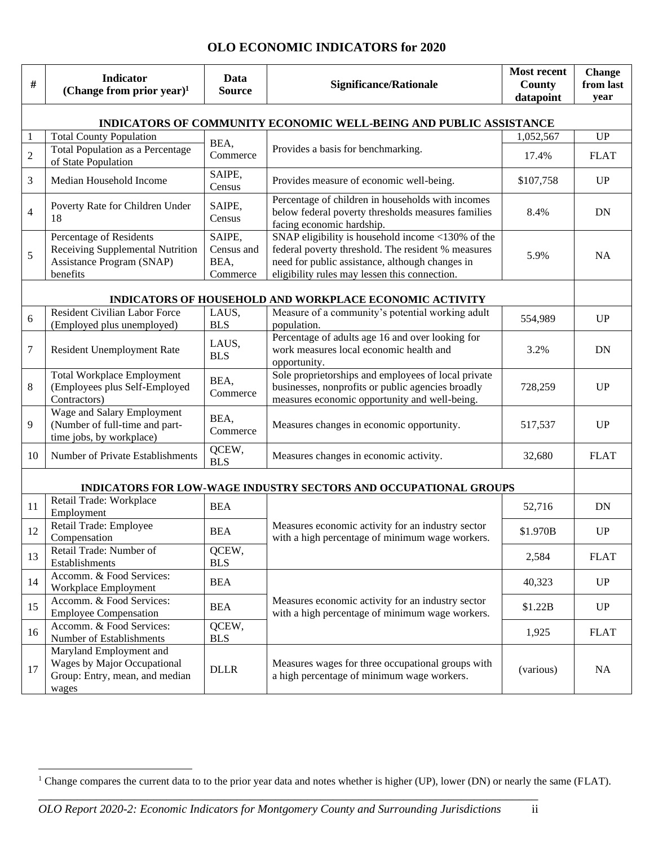#### **OLO ECONOMIC INDICATORS for 2020**

| #              | <b>Indicator</b><br>(Change from prior year) <sup>1</sup>                                            | Data<br><b>Source</b>                    | <b>Significance/Rationale</b>                                                                                                                                                                               | <b>Most recent</b><br>County<br>datapoint | <b>Change</b><br>from last<br>year |
|----------------|------------------------------------------------------------------------------------------------------|------------------------------------------|-------------------------------------------------------------------------------------------------------------------------------------------------------------------------------------------------------------|-------------------------------------------|------------------------------------|
|                |                                                                                                      |                                          | INDICATORS OF COMMUNITY ECONOMIC WELL-BEING AND PUBLIC ASSISTANCE                                                                                                                                           |                                           |                                    |
|                | <b>Total County Population</b>                                                                       |                                          |                                                                                                                                                                                                             | 1,052,567                                 | UP                                 |
| $\sqrt{2}$     | <b>Total Population as a Percentage</b><br>of State Population                                       | BEA,<br>Commerce                         | Provides a basis for benchmarking.                                                                                                                                                                          | 17.4%                                     | <b>FLAT</b>                        |
| 3              | Median Household Income                                                                              | SAIPE,<br>Census                         | Provides measure of economic well-being.                                                                                                                                                                    | \$107,758                                 | UP                                 |
| $\overline{4}$ | Poverty Rate for Children Under<br>18                                                                | SAIPE,<br>Census                         | Percentage of children in households with incomes<br>below federal poverty thresholds measures families<br>facing economic hardship.                                                                        | 8.4%                                      | DN                                 |
| 5              | Percentage of Residents<br>Receiving Supplemental Nutrition<br>Assistance Program (SNAP)<br>benefits | SAIPE,<br>Census and<br>BEA,<br>Commerce | SNAP eligibility is household income <130% of the<br>federal poverty threshold. The resident % measures<br>need for public assistance, although changes in<br>eligibility rules may lessen this connection. | 5.9%                                      | NA                                 |
|                |                                                                                                      |                                          | INDICATORS OF HOUSEHOLD AND WORKPLACE ECONOMIC ACTIVITY                                                                                                                                                     |                                           |                                    |
| 6              | <b>Resident Civilian Labor Force</b><br>(Employed plus unemployed)                                   | LAUS,<br><b>BLS</b>                      | Measure of a community's potential working adult<br>population.                                                                                                                                             | 554,989                                   | UP                                 |
| 7              | Resident Unemployment Rate                                                                           | LAUS,<br><b>BLS</b>                      | Percentage of adults age 16 and over looking for<br>work measures local economic health and<br>opportunity.                                                                                                 | 3.2%                                      | <b>DN</b>                          |
| 8              | <b>Total Workplace Employment</b><br>(Employees plus Self-Employed<br>Contractors)                   | BEA,<br>Commerce                         | Sole proprietorships and employees of local private<br>businesses, nonprofits or public agencies broadly<br>measures economic opportunity and well-being.                                                   | 728,259                                   | UP                                 |
| 9              | Wage and Salary Employment<br>(Number of full-time and part-<br>time jobs, by workplace)             | BEA,<br>Commerce                         | Measures changes in economic opportunity.                                                                                                                                                                   | 517,537                                   | <b>UP</b>                          |
| 10             | Number of Private Establishments                                                                     | QCEW,<br><b>BLS</b>                      | Measures changes in economic activity.                                                                                                                                                                      | 32,680                                    | <b>FLAT</b>                        |
|                |                                                                                                      |                                          | INDICATORS FOR LOW-WAGE INDUSTRY SECTORS AND OCCUPATIONAL GROUPS                                                                                                                                            |                                           |                                    |
| 11             | Retail Trade: Workplace<br>Employment                                                                | <b>BEA</b>                               |                                                                                                                                                                                                             | 52,716                                    | DN                                 |
| 12             | Retail Trade: Employee<br>Compensation                                                               | <b>BEA</b>                               | Measures economic activity for an industry sector<br>with a high percentage of minimum wage workers.                                                                                                        | \$1.970B                                  | UP                                 |
| 13             | Retail Trade: Number of<br>Establishments                                                            | QCEW,<br><b>BLS</b>                      |                                                                                                                                                                                                             | 2,584                                     | <b>FLAT</b>                        |
| 14             | Accomm. & Food Services:<br>Workplace Employment                                                     | <b>BEA</b>                               |                                                                                                                                                                                                             | 40,323                                    | UP                                 |
| 15             | Accomm. & Food Services:<br><b>Employee Compensation</b>                                             | <b>BEA</b>                               | Measures economic activity for an industry sector<br>with a high percentage of minimum wage workers.                                                                                                        | \$1.22B                                   | UP                                 |
| 16             | Accomm. & Food Services:<br>Number of Establishments                                                 | QCEW,<br><b>BLS</b>                      |                                                                                                                                                                                                             | 1,925                                     | <b>FLAT</b>                        |
| 17             | Maryland Employment and<br>Wages by Major Occupational<br>Group: Entry, mean, and median<br>wages    | <b>DLLR</b>                              | Measures wages for three occupational groups with<br>a high percentage of minimum wage workers.                                                                                                             | (various)                                 | NA                                 |

\_\_\_\_\_\_\_\_\_\_\_\_\_\_\_\_\_\_\_\_\_\_\_\_\_\_\_\_\_\_\_\_\_\_\_\_\_\_\_\_\_\_\_\_\_\_\_\_\_\_\_\_\_\_\_\_\_\_\_\_\_\_\_\_\_\_\_\_\_\_\_\_\_\_\_\_\_\_ <sup>1</sup> Change compares the current data to to the prior year data and notes whether is higher (UP), lower (DN) or nearly the same (FLAT).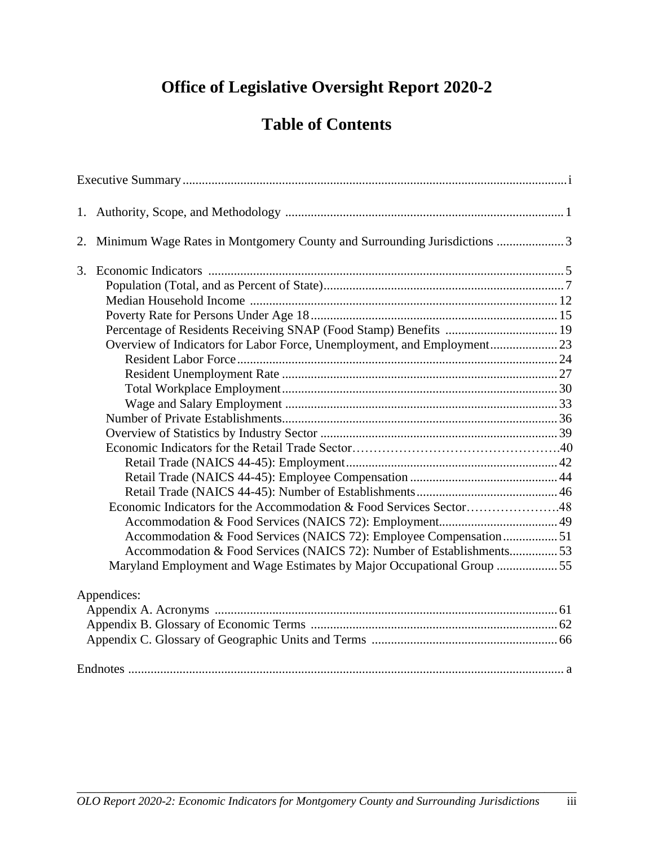# **Office of Legislative Oversight Report 2020-2**

# **Table of Contents**

| 2. Minimum Wage Rates in Montgomery County and Surrounding Jurisdictions 3 |  |
|----------------------------------------------------------------------------|--|
|                                                                            |  |
|                                                                            |  |
|                                                                            |  |
|                                                                            |  |
|                                                                            |  |
| Overview of Indicators for Labor Force, Unemployment, and Employment 23    |  |
|                                                                            |  |
|                                                                            |  |
|                                                                            |  |
|                                                                            |  |
|                                                                            |  |
|                                                                            |  |
|                                                                            |  |
|                                                                            |  |
|                                                                            |  |
|                                                                            |  |
| Economic Indicators for the Accommodation & Food Services Sector48         |  |
|                                                                            |  |
| Accommodation & Food Services (NAICS 72): Employee Compensation 51         |  |
| Accommodation & Food Services (NAICS 72): Number of Establishments53       |  |
| Maryland Employment and Wage Estimates by Major Occupational Group 55      |  |
|                                                                            |  |
| Appendices:                                                                |  |
|                                                                            |  |
|                                                                            |  |
|                                                                            |  |
|                                                                            |  |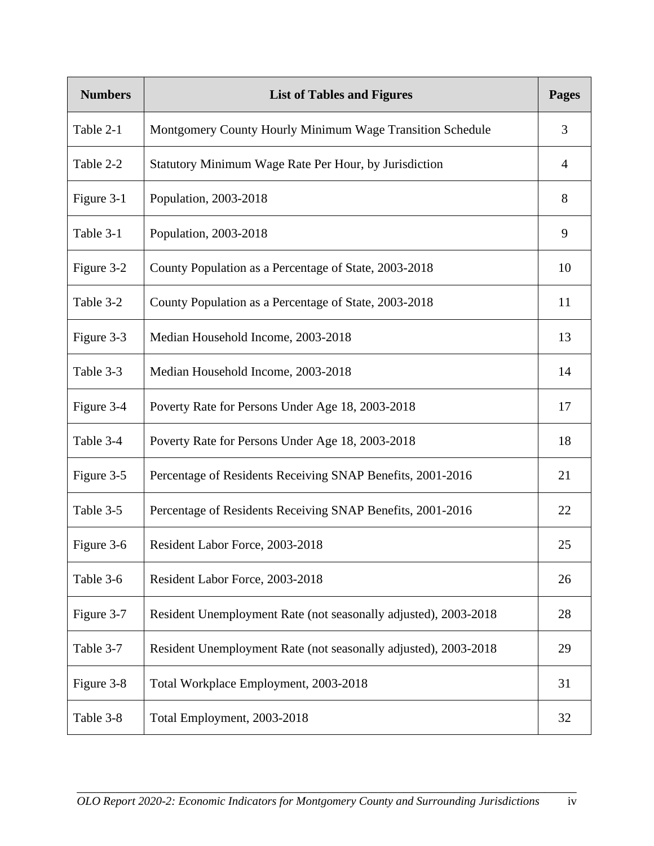| <b>Numbers</b> | <b>List of Tables and Figures</b>                               | <b>Pages</b> |
|----------------|-----------------------------------------------------------------|--------------|
| Table 2-1      | Montgomery County Hourly Minimum Wage Transition Schedule       | 3            |
| Table 2-2      | Statutory Minimum Wage Rate Per Hour, by Jurisdiction           | 4            |
| Figure 3-1     | Population, 2003-2018                                           | 8            |
| Table 3-1      | Population, 2003-2018                                           | 9            |
| Figure 3-2     | County Population as a Percentage of State, 2003-2018           | 10           |
| Table 3-2      | County Population as a Percentage of State, 2003-2018           | 11           |
| Figure 3-3     | Median Household Income, 2003-2018                              | 13           |
| Table 3-3      | Median Household Income, 2003-2018                              | 14           |
| Figure 3-4     | Poverty Rate for Persons Under Age 18, 2003-2018                | 17           |
| Table 3-4      | Poverty Rate for Persons Under Age 18, 2003-2018                | 18           |
| Figure 3-5     | Percentage of Residents Receiving SNAP Benefits, 2001-2016      | 21           |
| Table 3-5      | Percentage of Residents Receiving SNAP Benefits, 2001-2016      | 22           |
| Figure 3-6     | Resident Labor Force, 2003-2018                                 | 25           |
| Table 3-6      | Resident Labor Force, 2003-2018                                 | 26           |
| Figure 3-7     | Resident Unemployment Rate (not seasonally adjusted), 2003-2018 | 28           |
| Table 3-7      | Resident Unemployment Rate (not seasonally adjusted), 2003-2018 | 29           |
| Figure 3-8     | Total Workplace Employment, 2003-2018                           | 31           |
| Table 3-8      | Total Employment, 2003-2018                                     | 32           |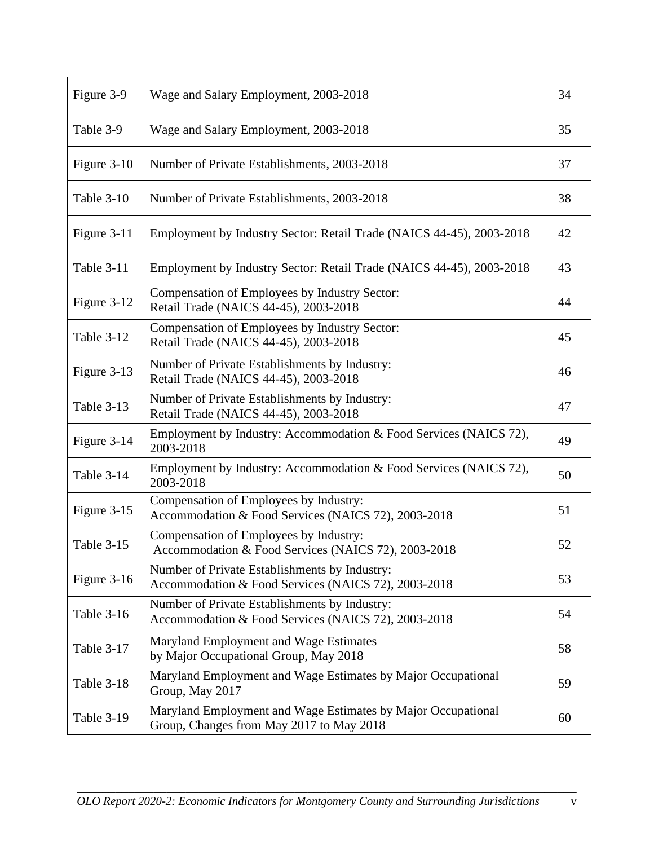| Figure 3-9        | Wage and Salary Employment, 2003-2018                                                                    | 34 |
|-------------------|----------------------------------------------------------------------------------------------------------|----|
| Table 3-9         | Wage and Salary Employment, 2003-2018                                                                    | 35 |
| Figure 3-10       | Number of Private Establishments, 2003-2018                                                              | 37 |
| Table 3-10        | Number of Private Establishments, 2003-2018                                                              | 38 |
| Figure 3-11       | Employment by Industry Sector: Retail Trade (NAICS 44-45), 2003-2018                                     | 42 |
| Table 3-11        | Employment by Industry Sector: Retail Trade (NAICS 44-45), 2003-2018                                     | 43 |
| Figure 3-12       | Compensation of Employees by Industry Sector:<br>Retail Trade (NAICS 44-45), 2003-2018                   | 44 |
| Table 3-12        | Compensation of Employees by Industry Sector:<br>Retail Trade (NAICS 44-45), 2003-2018                   | 45 |
| Figure 3-13       | Number of Private Establishments by Industry:<br>Retail Trade (NAICS 44-45), 2003-2018                   | 46 |
| <b>Table 3-13</b> | Number of Private Establishments by Industry:<br>Retail Trade (NAICS 44-45), 2003-2018                   | 47 |
| Figure 3-14       | Employment by Industry: Accommodation & Food Services (NAICS 72),<br>2003-2018                           | 49 |
| Table 3-14        | Employment by Industry: Accommodation & Food Services (NAICS 72),<br>2003-2018                           | 50 |
| Figure 3-15       | Compensation of Employees by Industry:<br>Accommodation & Food Services (NAICS 72), 2003-2018            | 51 |
| Table 3-15        | Compensation of Employees by Industry:<br>Accommodation & Food Services (NAICS 72), 2003-2018            | 52 |
| Figure 3-16       | Number of Private Establishments by Industry:<br>Accommodation & Food Services (NAICS 72), 2003-2018     | 53 |
| <b>Table 3-16</b> | Number of Private Establishments by Industry:<br>Accommodation & Food Services (NAICS 72), 2003-2018     | 54 |
| Table 3-17        | Maryland Employment and Wage Estimates<br>by Major Occupational Group, May 2018                          | 58 |
| Table 3-18        | Maryland Employment and Wage Estimates by Major Occupational<br>Group, May 2017                          | 59 |
| <b>Table 3-19</b> | Maryland Employment and Wage Estimates by Major Occupational<br>Group, Changes from May 2017 to May 2018 | 60 |

\_\_\_\_\_\_\_\_\_\_\_\_\_\_\_\_\_\_\_\_\_\_\_\_\_\_\_\_\_\_\_\_\_\_\_\_\_\_\_\_\_\_\_\_\_\_\_\_\_\_\_\_\_\_\_\_\_\_\_\_\_\_\_\_\_\_\_\_\_\_\_\_\_\_\_\_\_\_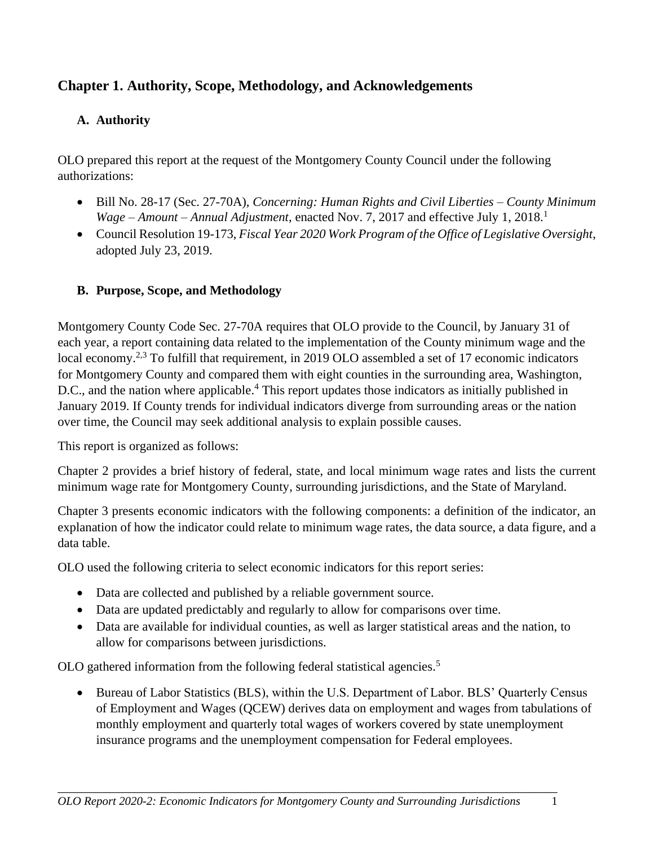# **Chapter 1. Authority, Scope, Methodology, and Acknowledgements**

# **A. Authority**

OLO prepared this report at the request of the Montgomery County Council under the following authorizations:

- Bill No. 28-17 (Sec. 27-70A), *Concerning: Human Rights and Civil Liberties – County Minimum Wage – Amount – Annual Adjustment*, enacted Nov. 7, 2017 and effective July 1, 2018.<sup>1</sup>
- Council Resolution 19-173, *Fiscal Year 2020 Work Program of the Office of Legislative Oversight*, adopted July 23, 2019.

# **B. Purpose, Scope, and Methodology**

Montgomery County Code Sec. 27-70A requires that OLO provide to the Council, by January 31 of each year, a report containing data related to the implementation of the County minimum wage and the local economy.<sup>2,3</sup> To fulfill that requirement, in 2019 OLO assembled a set of 17 economic indicators for Montgomery County and compared them with eight counties in the surrounding area, Washington, D.C., and the nation where applicable. <sup>4</sup> This report updates those indicators as initially published in January 2019. If County trends for individual indicators diverge from surrounding areas or the nation over time, the Council may seek additional analysis to explain possible causes.

This report is organized as follows:

Chapter 2 provides a brief history of federal, state, and local minimum wage rates and lists the current minimum wage rate for Montgomery County, surrounding jurisdictions, and the State of Maryland.

Chapter 3 presents economic indicators with the following components: a definition of the indicator, an explanation of how the indicator could relate to minimum wage rates, the data source, a data figure, and a data table.

OLO used the following criteria to select economic indicators for this report series:

- Data are collected and published by a reliable government source.
- Data are updated predictably and regularly to allow for comparisons over time.
- Data are available for individual counties, as well as larger statistical areas and the nation, to allow for comparisons between jurisdictions.

OLO gathered information from the following federal statistical agencies.<sup>5</sup>

• Bureau of Labor Statistics (BLS), within the U.S. Department of Labor. BLS' Quarterly Census of Employment and Wages (QCEW) derives data on employment and wages from tabulations of monthly employment and quarterly total wages of workers covered by state unemployment insurance programs and the unemployment compensation for Federal employees.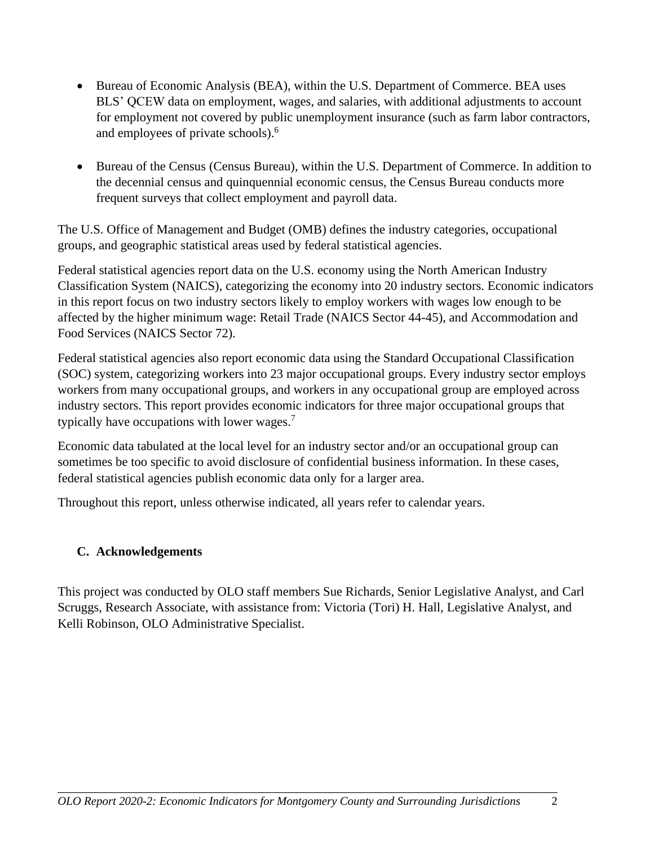- Bureau of Economic Analysis (BEA), within the U.S. Department of Commerce. BEA uses BLS' QCEW data on employment, wages, and salaries, with additional adjustments to account for employment not covered by public unemployment insurance (such as farm labor contractors, and employees of private schools). 6
- Bureau of the Census (Census Bureau), within the U.S. Department of Commerce. In addition to the decennial census and quinquennial economic census, the Census Bureau conducts more frequent surveys that collect employment and payroll data.

The U.S. Office of Management and Budget (OMB) defines the industry categories, occupational groups, and geographic statistical areas used by federal statistical agencies.

Federal statistical agencies report data on the U.S. economy using the North American Industry Classification System (NAICS), categorizing the economy into 20 industry sectors. Economic indicators in this report focus on two industry sectors likely to employ workers with wages low enough to be affected by the higher minimum wage: Retail Trade (NAICS Sector 44-45), and Accommodation and Food Services (NAICS Sector 72).

Federal statistical agencies also report economic data using the Standard Occupational Classification (SOC) system, categorizing workers into 23 major occupational groups. Every industry sector employs workers from many occupational groups, and workers in any occupational group are employed across industry sectors. This report provides economic indicators for three major occupational groups that typically have occupations with lower wages.<sup>7</sup>

Economic data tabulated at the local level for an industry sector and/or an occupational group can sometimes be too specific to avoid disclosure of confidential business information. In these cases, federal statistical agencies publish economic data only for a larger area.

Throughout this report, unless otherwise indicated, all years refer to calendar years.

### **C. Acknowledgements**

This project was conducted by OLO staff members Sue Richards, Senior Legislative Analyst, and Carl Scruggs, Research Associate, with assistance from: Victoria (Tori) H. Hall, Legislative Analyst, and Kelli Robinson, OLO Administrative Specialist.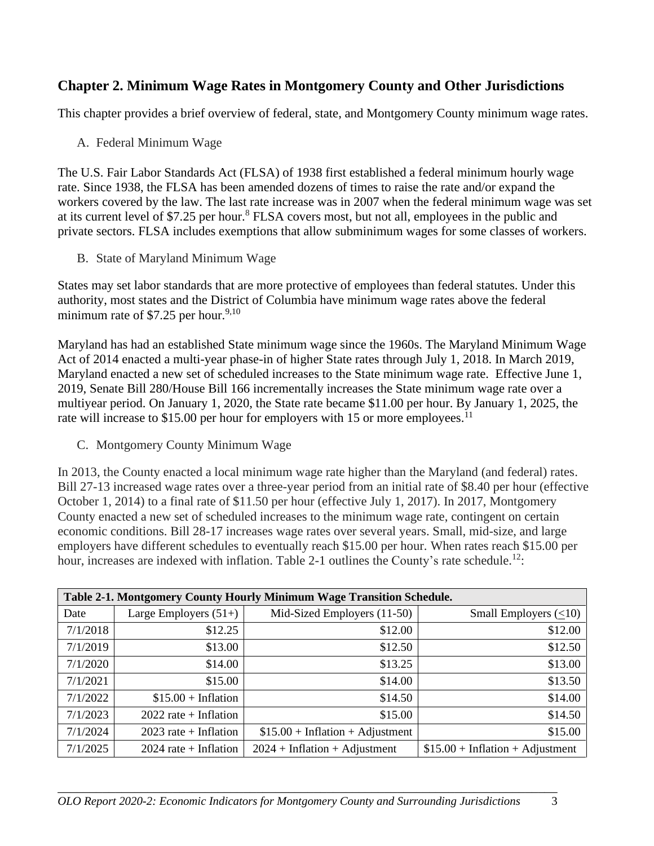# **Chapter 2. Minimum Wage Rates in Montgomery County and Other Jurisdictions**

This chapter provides a brief overview of federal, state, and Montgomery County minimum wage rates.

A. Federal Minimum Wage

The U.S. Fair Labor Standards Act (FLSA) of 1938 first established a federal minimum hourly wage rate. Since 1938, the FLSA has been amended dozens of times to raise the rate and/or expand the workers covered by the law. The last rate increase was in 2007 when the federal minimum wage was set at its current level of \$7.25 per hour.<sup>8</sup> FLSA covers most, but not all, employees in the public and private sectors. FLSA includes exemptions that allow subminimum wages for some classes of workers.

B. State of Maryland Minimum Wage

States may set labor standards that are more protective of employees than federal statutes. Under this authority, most states and the District of Columbia have minimum wage rates above the federal minimum rate of \$7.25 per hour.<sup>9,10</sup>

Maryland has had an established State minimum wage since the 1960s. The Maryland Minimum Wage Act of 2014 enacted a multi-year phase-in of higher State rates through July 1, 2018. In March 2019, Maryland enacted a new set of scheduled increases to the State minimum wage rate. Effective June 1, 2019, Senate Bill 280/House Bill 166 incrementally increases the State minimum wage rate over a multiyear period. On January 1, 2020, the State rate became \$11.00 per hour. By January 1, 2025, the rate will increase to \$15.00 per hour for employers with 15 or more employees.<sup>11</sup>

C. Montgomery County Minimum Wage

In 2013, the County enacted a local minimum wage rate higher than the Maryland (and federal) rates. Bill 27-13 increased wage rates over a three-year period from an initial rate of \$8.40 per hour (effective October 1, 2014) to a final rate of \$11.50 per hour (effective July 1, 2017). In 2017, Montgomery County enacted a new set of scheduled increases to the minimum wage rate, contingent on certain economic conditions. Bill 28-17 increases wage rates over several years. Small, mid-size, and large employers have different schedules to eventually reach \$15.00 per hour. When rates reach \$15.00 per hour, increases are indexed with inflation. Table 2-1 outlines the County's rate schedule.<sup>12</sup>:

|          | Table 2-1. Montgomery County Hourly Minimum Wage Transition Schedule. |                                   |                                   |  |  |  |  |  |  |
|----------|-----------------------------------------------------------------------|-----------------------------------|-----------------------------------|--|--|--|--|--|--|
| Date     | Large Employers $(51+)$                                               | Mid-Sized Employers (11-50)       | Small Employers $(\leq 10)$       |  |  |  |  |  |  |
| 7/1/2018 | \$12.25                                                               | \$12.00                           | \$12.00                           |  |  |  |  |  |  |
| 7/1/2019 | \$13.00                                                               | \$12.50                           | \$12.50                           |  |  |  |  |  |  |
| 7/1/2020 | \$14.00                                                               | \$13.25                           | \$13.00                           |  |  |  |  |  |  |
| 7/1/2021 | \$15.00                                                               | \$14.00                           | \$13.50                           |  |  |  |  |  |  |
| 7/1/2022 | $$15.00 + Inflation$                                                  | \$14.50                           | \$14.00                           |  |  |  |  |  |  |
| 7/1/2023 | $2022$ rate + Inflation                                               | \$15.00                           | \$14.50                           |  |  |  |  |  |  |
| 7/1/2024 | $2023$ rate + Inflation                                               | $$15.00 + Inflation + Adjustment$ | \$15.00                           |  |  |  |  |  |  |
| 7/1/2025 | $2024$ rate + Inflation                                               | $2024 + Inflation + Adjustment$   | $$15.00 + Inflation + Adjustment$ |  |  |  |  |  |  |

\_\_\_\_\_\_\_\_\_\_\_\_\_\_\_\_\_\_\_\_\_\_\_\_\_\_\_\_\_\_\_\_\_\_\_\_\_\_\_\_\_\_\_\_\_\_\_\_\_\_\_\_\_\_\_\_\_\_\_\_\_\_\_\_\_\_\_\_\_\_\_\_\_\_\_\_\_\_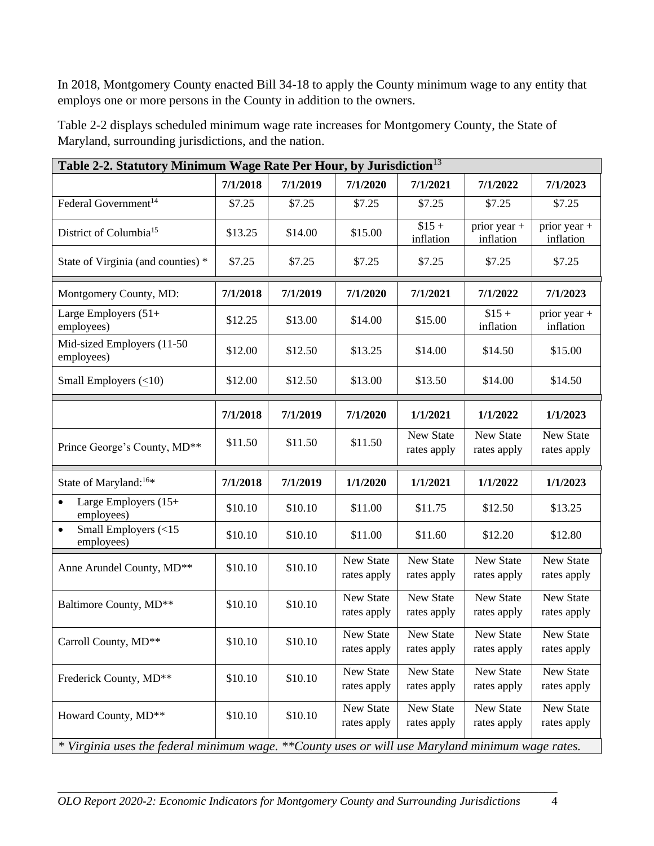In 2018, Montgomery County enacted Bill 34-18 to apply the County minimum wage to any entity that employs one or more persons in the County in addition to the owners.

| Table 2-2. Statutory Minimum Wage Rate Per Hour, by Jurisdiction <sup>13</sup>                    |          |          |                          |                          |                                 |                                 |  |  |  |
|---------------------------------------------------------------------------------------------------|----------|----------|--------------------------|--------------------------|---------------------------------|---------------------------------|--|--|--|
|                                                                                                   | 7/1/2018 | 7/1/2019 | 7/1/2020                 | 7/1/2021                 | 7/1/2022                        | 7/1/2023                        |  |  |  |
| Federal Government <sup>14</sup>                                                                  | \$7.25   | \$7.25   | \$7.25                   | \$7.25                   | \$7.25                          | \$7.25                          |  |  |  |
| District of Columbia <sup>15</sup>                                                                | \$13.25  | \$14.00  | \$15.00                  | $$15 +$<br>inflation     | prior year +<br>inflation       | prior year +<br>inflation       |  |  |  |
| State of Virginia (and counties) *                                                                | \$7.25   | \$7.25   | \$7.25                   | \$7.25                   | \$7.25                          | \$7.25                          |  |  |  |
| Montgomery County, MD:                                                                            | 7/1/2018 | 7/1/2019 | 7/1/2020                 | 7/1/2021                 | 7/1/2022                        | 7/1/2023                        |  |  |  |
| Large Employers (51+<br>employees)                                                                | \$12.25  | \$13.00  | \$14.00                  | \$15.00                  | $$15 +$<br>inflation            | prior year +<br>inflation       |  |  |  |
| Mid-sized Employers (11-50<br>employees)                                                          | \$12.00  | \$12.50  | \$13.25                  | \$14.00                  | \$14.50                         | \$15.00                         |  |  |  |
| Small Employers $(\leq 10)$                                                                       | \$12.00  | \$12.50  | \$13.00                  | \$13.50                  | \$14.00                         | \$14.50                         |  |  |  |
|                                                                                                   | 7/1/2018 | 7/1/2019 | 7/1/2020                 | 1/1/2021                 | 1/1/2022                        | 1/1/2023                        |  |  |  |
| Prince George's County, MD**                                                                      | \$11.50  | \$11.50  | \$11.50                  | New State<br>rates apply | <b>New State</b><br>rates apply | <b>New State</b><br>rates apply |  |  |  |
| State of Maryland: <sup>16*</sup>                                                                 | 7/1/2018 | 7/1/2019 | 1/1/2020                 | 1/1/2021                 | 1/1/2022                        | 1/1/2023                        |  |  |  |
| Large Employers (15+<br>$\bullet$<br>employees)                                                   | \$10.10  | \$10.10  | \$11.00                  | \$11.75                  | \$12.50                         | \$13.25                         |  |  |  |
| Small Employers (<15<br>$\bullet$<br>employees)                                                   | \$10.10  | \$10.10  | \$11.00                  | \$11.60                  | \$12.20                         | \$12.80                         |  |  |  |
| Anne Arundel County, MD**                                                                         | \$10.10  | \$10.10  | New State<br>rates apply | New State<br>rates apply | New State<br>rates apply        | New State<br>rates apply        |  |  |  |
| Baltimore County, MD**                                                                            | \$10.10  | \$10.10  | New State<br>rates apply | New State<br>rates apply | New State<br>rates apply        | New State<br>rates apply        |  |  |  |
| Carroll County, MD**                                                                              | \$10.10  | \$10.10  | New State<br>rates apply | New State<br>rates apply | New State<br>rates apply        | New State<br>rates apply        |  |  |  |
| Frederick County, MD**                                                                            | \$10.10  | \$10.10  | New State<br>rates apply | New State<br>rates apply | New State<br>rates apply        | New State<br>rates apply        |  |  |  |
| Howard County, MD**                                                                               | \$10.10  | \$10.10  | New State<br>rates apply | New State<br>rates apply | New State<br>rates apply        | New State<br>rates apply        |  |  |  |
| * Virginia uses the federal minimum wage. ** County uses or will use Maryland minimum wage rates. |          |          |                          |                          |                                 |                                 |  |  |  |

Table 2-2 displays scheduled minimum wage rate increases for Montgomery County, the State of Maryland, surrounding jurisdictions, and the nation.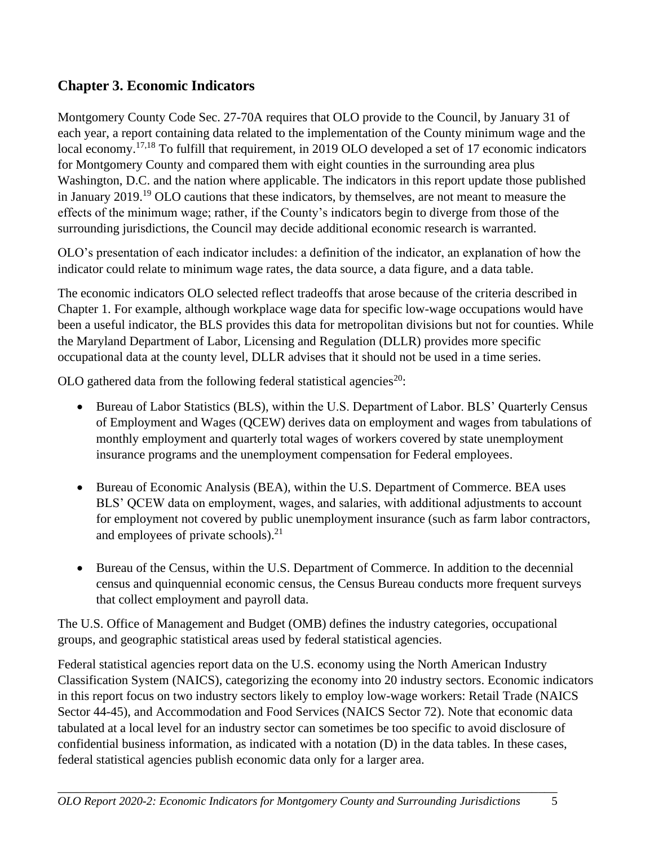# **Chapter 3. Economic Indicators**

Montgomery County Code Sec. 27-70A requires that OLO provide to the Council, by January 31 of each year, a report containing data related to the implementation of the County minimum wage and the local economy.<sup>17,18</sup> To fulfill that requirement, in 2019 OLO developed a set of 17 economic indicators for Montgomery County and compared them with eight counties in the surrounding area plus Washington, D.C. and the nation where applicable. The indicators in this report update those published in January 2019.<sup>19</sup> OLO cautions that these indicators, by themselves, are not meant to measure the effects of the minimum wage; rather, if the County's indicators begin to diverge from those of the surrounding jurisdictions, the Council may decide additional economic research is warranted.

OLO's presentation of each indicator includes: a definition of the indicator, an explanation of how the indicator could relate to minimum wage rates, the data source, a data figure, and a data table.

The economic indicators OLO selected reflect tradeoffs that arose because of the criteria described in Chapter 1. For example, although workplace wage data for specific low-wage occupations would have been a useful indicator, the BLS provides this data for metropolitan divisions but not for counties. While the Maryland Department of Labor, Licensing and Regulation (DLLR) provides more specific occupational data at the county level, DLLR advises that it should not be used in a time series.

OLO gathered data from the following federal statistical agencies<sup>20</sup>:

- Bureau of Labor Statistics (BLS), within the U.S. Department of Labor. BLS' Quarterly Census of Employment and Wages (QCEW) derives data on employment and wages from tabulations of monthly employment and quarterly total wages of workers covered by state unemployment insurance programs and the unemployment compensation for Federal employees.
- Bureau of Economic Analysis (BEA), within the U.S. Department of Commerce. BEA uses BLS' QCEW data on employment, wages, and salaries, with additional adjustments to account for employment not covered by public unemployment insurance (such as farm labor contractors, and employees of private schools).<sup>21</sup>
- Bureau of the Census, within the U.S. Department of Commerce. In addition to the decennial census and quinquennial economic census, the Census Bureau conducts more frequent surveys that collect employment and payroll data.

The U.S. Office of Management and Budget (OMB) defines the industry categories, occupational groups, and geographic statistical areas used by federal statistical agencies.

Federal statistical agencies report data on the U.S. economy using the North American Industry Classification System (NAICS), categorizing the economy into 20 industry sectors. Economic indicators in this report focus on two industry sectors likely to employ low-wage workers: Retail Trade (NAICS Sector 44-45), and Accommodation and Food Services (NAICS Sector 72). Note that economic data tabulated at a local level for an industry sector can sometimes be too specific to avoid disclosure of confidential business information, as indicated with a notation (D) in the data tables. In these cases, federal statistical agencies publish economic data only for a larger area.

\_\_\_\_\_\_\_\_\_\_\_\_\_\_\_\_\_\_\_\_\_\_\_\_\_\_\_\_\_\_\_\_\_\_\_\_\_\_\_\_\_\_\_\_\_\_\_\_\_\_\_\_\_\_\_\_\_\_\_\_\_\_\_\_\_\_\_\_\_\_\_\_\_\_\_\_\_\_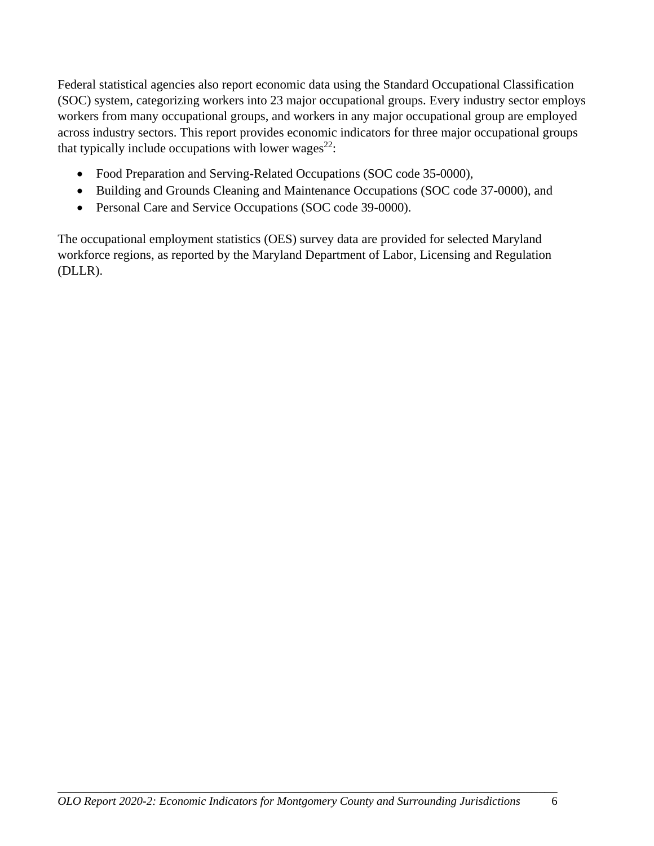Federal statistical agencies also report economic data using the Standard Occupational Classification (SOC) system, categorizing workers into 23 major occupational groups. Every industry sector employs workers from many occupational groups, and workers in any major occupational group are employed across industry sectors. This report provides economic indicators for three major occupational groups that typically include occupations with lower wages<sup>22</sup>:

- Food Preparation and Serving-Related Occupations (SOC code 35-0000),
- Building and Grounds Cleaning and Maintenance Occupations (SOC code 37-0000), and
- Personal Care and Service Occupations (SOC code 39-0000).

The occupational employment statistics (OES) survey data are provided for selected Maryland workforce regions, as reported by the Maryland Department of Labor, Licensing and Regulation (DLLR).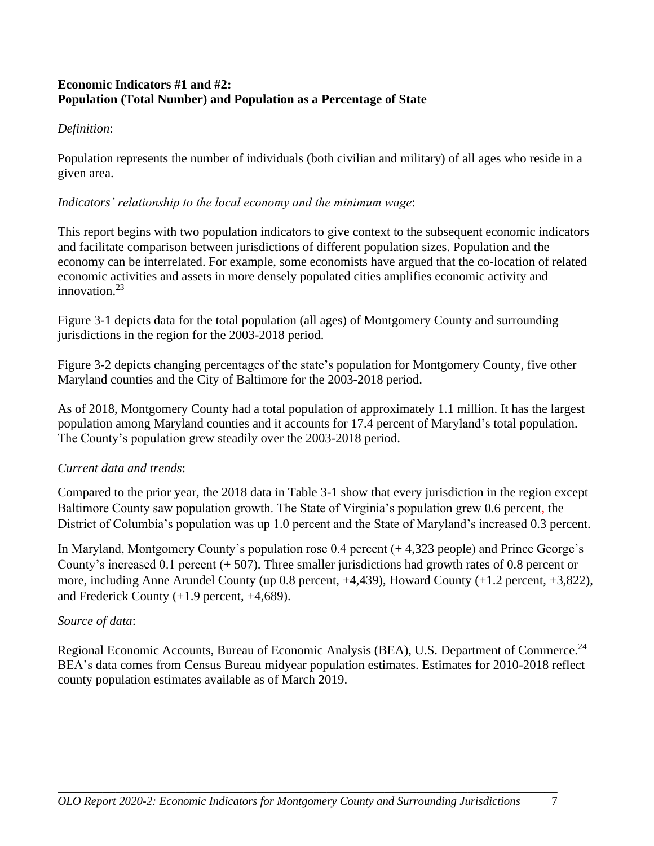#### **Economic Indicators #1 and #2: Population (Total Number) and Population as a Percentage of State**

#### *Definition*:

Population represents the number of individuals (both civilian and military) of all ages who reside in a given area.

#### *Indicators' relationship to the local economy and the minimum wage*:

This report begins with two population indicators to give context to the subsequent economic indicators and facilitate comparison between jurisdictions of different population sizes. Population and the economy can be interrelated. For example, some economists have argued that the co-location of related economic activities and assets in more densely populated cities amplifies economic activity and innovation. $23$ 

Figure 3-1 depicts data for the total population (all ages) of Montgomery County and surrounding jurisdictions in the region for the 2003-2018 period.

Figure 3-2 depicts changing percentages of the state's population for Montgomery County, five other Maryland counties and the City of Baltimore for the 2003-2018 period.

As of 2018, Montgomery County had a total population of approximately 1.1 million. It has the largest population among Maryland counties and it accounts for 17.4 percent of Maryland's total population. The County's population grew steadily over the 2003-2018 period.

### *Current data and trends*:

Compared to the prior year, the 2018 data in Table 3-1 show that every jurisdiction in the region except Baltimore County saw population growth. The State of Virginia's population grew 0.6 percent, the District of Columbia's population was up 1.0 percent and the State of Maryland's increased 0.3 percent.

In Maryland, Montgomery County's population rose 0.4 percent (+ 4,323 people) and Prince George's County's increased 0.1 percent (+ 507). Three smaller jurisdictions had growth rates of 0.8 percent or more, including Anne Arundel County (up 0.8 percent, +4,439), Howard County (+1.2 percent, +3,822), and Frederick County (+1.9 percent, +4,689).

### *Source of data*:

Regional Economic Accounts, Bureau of Economic Analysis (BEA), U.S. Department of Commerce.<sup>24</sup> BEA's data comes from Census Bureau midyear population estimates. Estimates for 2010-2018 reflect county population estimates available as of March 2019.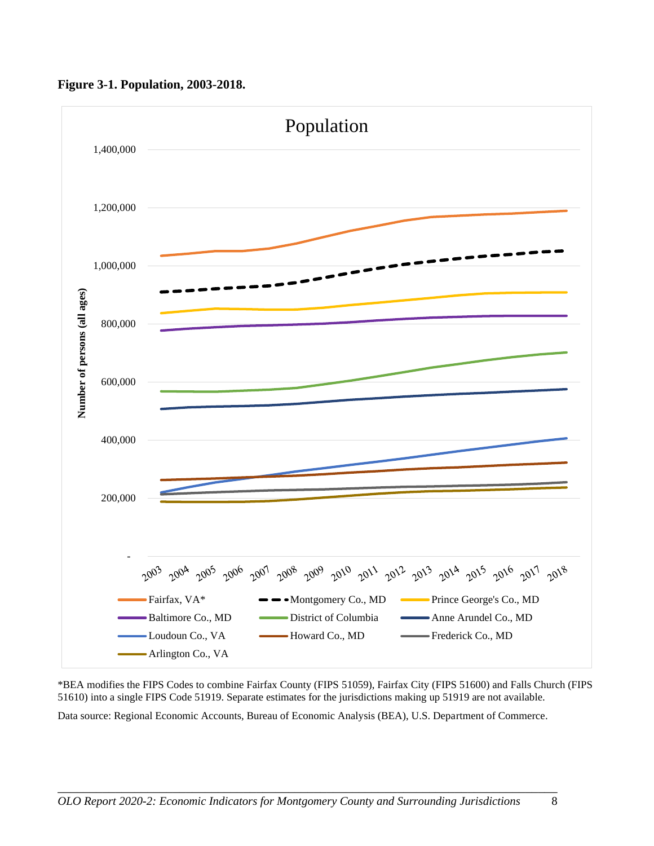

**Figure 3-1. Population, 2003-2018.**

\*BEA modifies the FIPS Codes to combine Fairfax County (FIPS 51059), Fairfax City (FIPS 51600) and Falls Church (FIPS 51610) into a single FIPS Code 51919. Separate estimates for the jurisdictions making up 51919 are not available.

Data source: Regional Economic Accounts, Bureau of Economic Analysis (BEA), U.S. Department of Commerce.

\_\_\_\_\_\_\_\_\_\_\_\_\_\_\_\_\_\_\_\_\_\_\_\_\_\_\_\_\_\_\_\_\_\_\_\_\_\_\_\_\_\_\_\_\_\_\_\_\_\_\_\_\_\_\_\_\_\_\_\_\_\_\_\_\_\_\_\_\_\_\_\_\_\_\_\_\_\_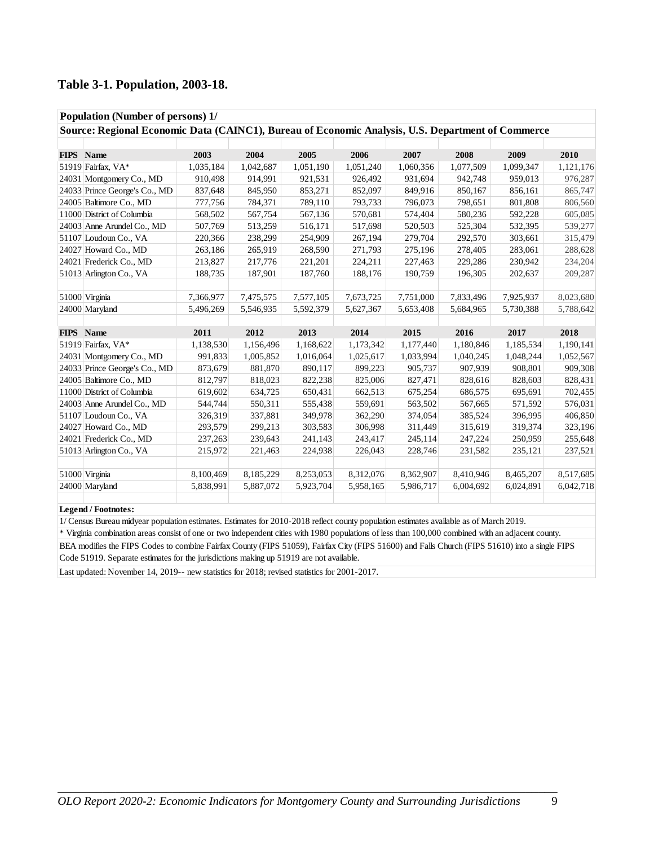#### **Table 3-1. Population, 2003-18.**

| Population (Number of persons) 1/                                                                 |           |           |           |           |           |           |           |           |  |  |
|---------------------------------------------------------------------------------------------------|-----------|-----------|-----------|-----------|-----------|-----------|-----------|-----------|--|--|
| Source: Regional Economic Data (CAINC1), Bureau of Economic Analysis, U.S. Department of Commerce |           |           |           |           |           |           |           |           |  |  |
|                                                                                                   |           |           |           |           |           |           |           |           |  |  |
| FIPS Name                                                                                         | 2003      | 2004      | 2005      | 2006      | 2007      | 2008      | 2009      | 2010      |  |  |
| 51919 Fairfax, VA*                                                                                | 1,035,184 | 1,042,687 | 1,051,190 | 1,051,240 | 1,060,356 | 1,077,509 | 1,099,347 | 1,121,176 |  |  |
| 24031 Montgomery Co., MD                                                                          | 910,498   | 914,991   | 921,531   | 926,492   | 931,694   | 942,748   | 959,013   | 976,287   |  |  |
| 24033 Prince George's Co., MD                                                                     | 837,648   | 845,950   | 853,271   | 852,097   | 849,916   | 850,167   | 856,161   | 865,747   |  |  |
| 24005 Baltimore Co., MD                                                                           | 777,756   | 784,371   | 789,110   | 793,733   | 796,073   | 798,651   | 801,808   | 806,560   |  |  |
| 11000 District of Columbia                                                                        | 568,502   | 567,754   | 567,136   | 570,681   | 574,404   | 580,236   | 592,228   | 605,085   |  |  |
| 24003 Anne Arundel Co., MD                                                                        | 507,769   | 513,259   | 516,171   | 517,698   | 520,503   | 525,304   | 532,395   | 539,277   |  |  |
| 51107 Loudoun Co., VA                                                                             | 220,366   | 238,299   | 254,909   | 267,194   | 279,704   | 292,570   | 303,661   | 315,479   |  |  |
| 24027 Howard Co., MD                                                                              | 263,186   | 265,919   | 268,590   | 271,793   | 275,196   | 278,405   | 283,061   | 288,628   |  |  |
| 24021 Frederick Co., MD                                                                           | 213,827   | 217,776   | 221,201   | 224,211   | 227,463   | 229,286   | 230,942   | 234,204   |  |  |
| 51013 Arlington Co., VA                                                                           | 188,735   | 187,901   | 187,760   | 188,176   | 190,759   | 196,305   | 202,637   | 209,287   |  |  |
|                                                                                                   |           |           |           |           |           |           |           |           |  |  |
| 51000 Virginia                                                                                    | 7,366,977 | 7,475,575 | 7,577,105 | 7,673,725 | 7,751,000 | 7,833,496 | 7,925,937 | 8,023,680 |  |  |
| 24000 Maryland                                                                                    | 5,496,269 | 5,546,935 | 5,592,379 | 5,627,367 | 5,653,408 | 5,684,965 | 5,730,388 | 5,788,642 |  |  |
|                                                                                                   |           |           |           |           |           |           |           |           |  |  |
| FIPS Name                                                                                         | 2011      | 2012      | 2013      | 2014      | 2015      | 2016      | 2017      | 2018      |  |  |
| 51919 Fairfax, VA*                                                                                | 1,138,530 | 1,156,496 | 1,168,622 | 1,173,342 | 1,177,440 | 1,180,846 | 1,185,534 | 1,190,141 |  |  |
| 24031 Montgomery Co., MD                                                                          | 991,833   | 1,005,852 | 1,016,064 | 1,025,617 | 1,033,994 | 1,040,245 | 1,048,244 | 1,052,567 |  |  |
| 24033 Prince George's Co., MD                                                                     | 873,679   | 881,870   | 890,117   | 899,223   | 905,737   | 907,939   | 908,801   | 909,308   |  |  |
| 24005 Baltimore Co., MD                                                                           | 812,797   | 818,023   | 822,238   | 825,006   | 827,471   | 828,616   | 828,603   | 828,431   |  |  |
| 11000 District of Columbia                                                                        | 619,602   | 634,725   | 650,431   | 662,513   | 675,254   | 686,575   | 695,691   | 702,455   |  |  |
| 24003 Anne Arundel Co., MD                                                                        | 544,744   | 550,311   | 555,438   | 559,691   | 563,502   | 567,665   | 571,592   | 576,031   |  |  |
| 51107 Loudoun Co., VA                                                                             | 326,319   | 337,881   | 349,978   | 362,290   | 374,054   | 385,524   | 396,995   | 406,850   |  |  |
| 24027 Howard Co., MD                                                                              | 293,579   | 299,213   | 303,583   | 306,998   | 311,449   | 315,619   | 319,374   | 323,196   |  |  |
| 24021 Frederick Co., MD                                                                           | 237,263   | 239,643   | 241,143   | 243,417   | 245,114   | 247,224   | 250,959   | 255,648   |  |  |
| 51013 Arlington Co., VA                                                                           | 215,972   | 221,463   | 224,938   | 226,043   | 228,746   | 231,582   | 235,121   | 237,521   |  |  |
|                                                                                                   |           |           |           |           |           |           |           |           |  |  |
| 51000 Virginia                                                                                    | 8,100,469 | 8,185,229 | 8,253,053 | 8,312,076 | 8,362,907 | 8,410,946 | 8,465,207 | 8,517,685 |  |  |
| 24000 Maryland                                                                                    | 5,838,991 | 5,887,072 | 5,923,704 | 5,958,165 | 5,986,717 | 6,004,692 | 6,024,891 | 6,042,718 |  |  |
|                                                                                                   |           |           |           |           |           |           |           |           |  |  |

#### **Legend / Footnotes:**

1/ Census Bureau midyear population estimates. Estimates for 2010-2018 reflect county population estimates available as of March 2019.

\* Virginia combination areas consist of one or two independent cities with 1980 populations of less than 100,000 combined with an adjacent county.

BEA modifies the FIPS Codes to combine Fairfax County (FIPS 51059), Fairfax City (FIPS 51600) and Falls Church (FIPS 51610) into a single FIPS Code 51919. Separate estimates for the jurisdictions making up 51919 are not available.

Last updated: November 14, 2019-- new statistics for 2018; revised statistics for 2001-2017.

\_\_\_\_\_\_\_\_\_\_\_\_\_\_\_\_\_\_\_\_\_\_\_\_\_\_\_\_\_\_\_\_\_\_\_\_\_\_\_\_\_\_\_\_\_\_\_\_\_\_\_\_\_\_\_\_\_\_\_\_\_\_\_\_\_\_\_\_\_\_\_\_\_\_\_\_\_\_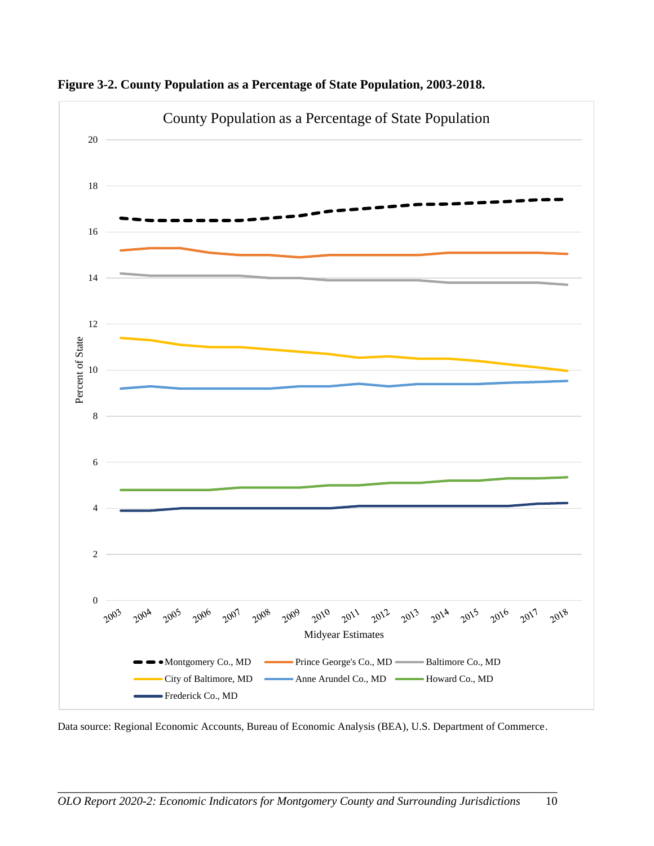

**Figure 3-2. County Population as a Percentage of State Population, 2003-2018.**

Data source: Regional Economic Accounts, Bureau of Economic Analysis (BEA), U.S. Department of Commerce.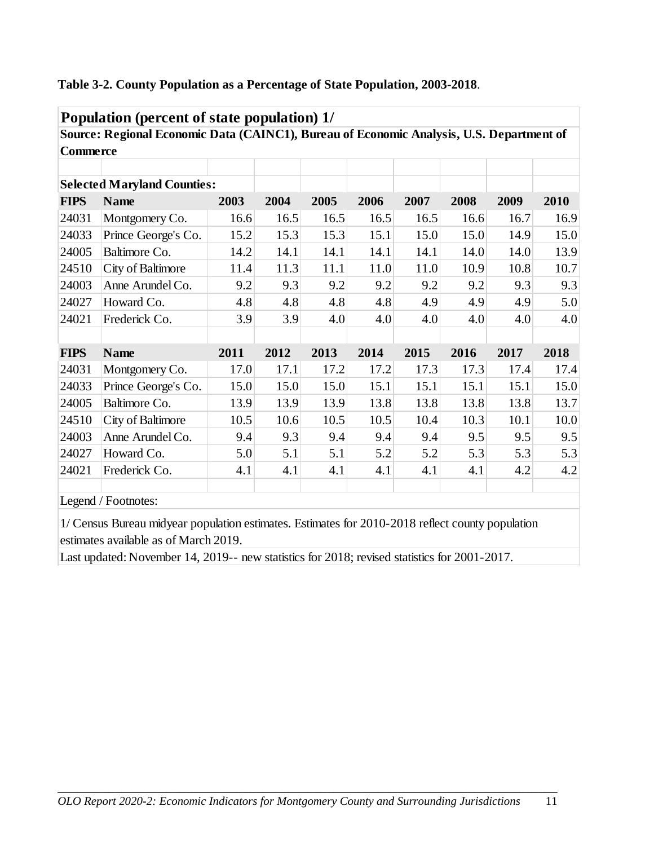|                 | Source: Regional Economic Data (CAINC1), Bureau of Economic Analysis, U.S. Department of |      |      |      |      |      |      |      |      |
|-----------------|------------------------------------------------------------------------------------------|------|------|------|------|------|------|------|------|
| <b>Commerce</b> |                                                                                          |      |      |      |      |      |      |      |      |
|                 |                                                                                          |      |      |      |      |      |      |      |      |
|                 | <b>Selected Maryland Counties:</b>                                                       |      |      |      |      |      |      |      |      |
| <b>FIPS</b>     | <b>Name</b>                                                                              | 2003 | 2004 | 2005 | 2006 | 2007 | 2008 | 2009 | 2010 |
| 24031           | Montgomery Co.                                                                           | 16.6 | 16.5 | 16.5 | 16.5 | 16.5 | 16.6 | 16.7 | 16.9 |
| 24033           | Prince George's Co.                                                                      | 15.2 | 15.3 | 15.3 | 15.1 | 15.0 | 15.0 | 14.9 | 15.0 |
| 24005           | Baltimore Co.                                                                            | 14.2 | 14.1 | 14.1 | 14.1 | 14.1 | 14.0 | 14.0 | 13.9 |
| 24510           | City of Baltimore                                                                        | 11.4 | 11.3 | 11.1 | 11.0 | 11.0 | 10.9 | 10.8 | 10.7 |
| 24003           | Anne Arundel Co.                                                                         | 9.2  | 9.3  | 9.2  | 9.2  | 9.2  | 9.2  | 9.3  | 9.3  |
| 24027           | Howard Co.                                                                               | 4.8  | 4.8  | 4.8  | 4.8  | 4.9  | 4.9  | 4.9  | 5.0  |
| 24021           | Frederick Co.                                                                            | 3.9  | 3.9  | 4.0  | 4.0  | 4.0  | 4.0  | 4.0  | 4.0  |
|                 |                                                                                          |      |      |      |      |      |      |      |      |
| <b>FIPS</b>     | <b>Name</b>                                                                              | 2011 | 2012 | 2013 | 2014 | 2015 | 2016 | 2017 | 2018 |
| 24031           | Montgomery Co.                                                                           | 17.0 | 17.1 | 17.2 | 17.2 | 17.3 | 17.3 | 17.4 | 17.4 |
| 24033           | Prince George's Co.                                                                      | 15.0 | 15.0 | 15.0 | 15.1 | 15.1 | 15.1 | 15.1 | 15.0 |
| 24005           | Baltimore Co.                                                                            | 13.9 | 13.9 | 13.9 | 13.8 | 13.8 | 13.8 | 13.8 | 13.7 |
| 24510           | City of Baltimore                                                                        | 10.5 | 10.6 | 10.5 | 10.5 | 10.4 | 10.3 | 10.1 | 10.0 |
| 24003           | Anne Arundel Co.                                                                         | 9.4  | 9.3  | 9.4  | 9.4  | 9.4  | 9.5  | 9.5  | 9.5  |
| 24027           | Howard Co.                                                                               | 5.0  | 5.1  | 5.1  | 5.2  | 5.2  | 5.3  | 5.3  | 5.3  |
| 24021           | Frederick Co.                                                                            | 4.1  | 4.1  | 4.1  | 4.1  | 4.1  | 4.1  | 4.2  | 4.2  |
|                 | Legend / Footnotes:                                                                      |      |      |      |      |      |      |      |      |

#### **Table 3-2. County Population as a Percentage of State Population, 2003-2018**.

1/ Census Bureau midyear population estimates. Estimates for 2010-2018 reflect county population estimates available as of March 2019.

Last updated: November 14, 2019-- new statistics for 2018; revised statistics for 2001-2017.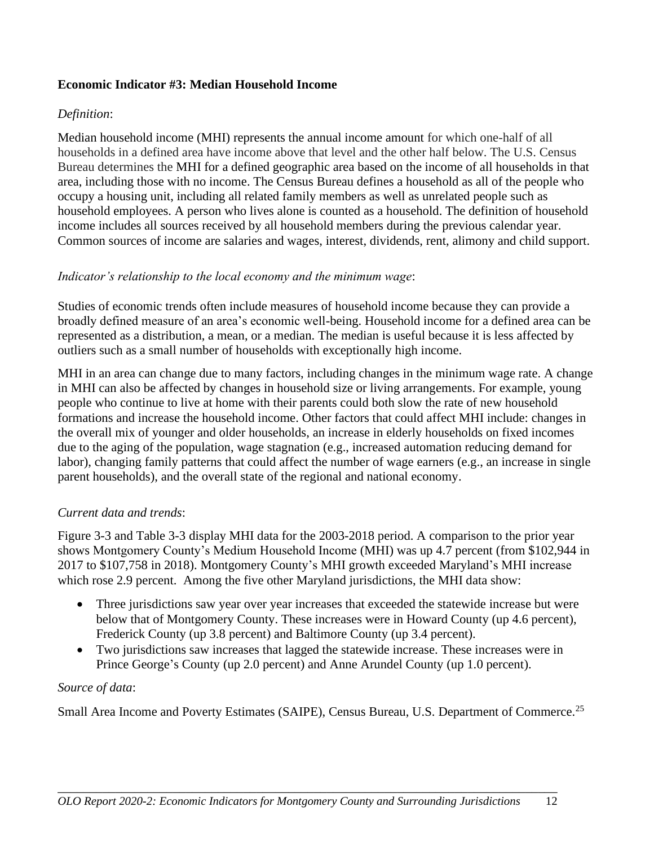#### **Economic Indicator #3: Median Household Income**

#### *Definition*:

Median household income (MHI) represents the annual income amount for which one-half of all households in a defined area have income above that level and the other half below. The U.S. Census Bureau determines the MHI for a defined geographic area based on the income of all households in that area, including those with no income. The Census Bureau defines a household as all of the people who occupy a housing unit, including all related family members as well as unrelated people such as household employees. A person who lives alone is counted as a household. The definition of household income includes all sources received by all household members during the previous calendar year. Common sources of income are salaries and wages, interest, dividends, rent, alimony and child support.

#### *Indicator's relationship to the local economy and the minimum wage*:

Studies of economic trends often include measures of household income because they can provide a broadly defined measure of an area's economic well-being. Household income for a defined area can be represented as a distribution, a mean, or a median. The median is useful because it is less affected by outliers such as a small number of households with exceptionally high income.

MHI in an area can change due to many factors, including changes in the minimum wage rate. A change in MHI can also be affected by changes in household size or living arrangements. For example, young people who continue to live at home with their parents could both slow the rate of new household formations and increase the household income. Other factors that could affect MHI include: changes in the overall mix of younger and older households, an increase in elderly households on fixed incomes due to the aging of the population, wage stagnation (e.g., increased automation reducing demand for labor), changing family patterns that could affect the number of wage earners (e.g., an increase in single parent households), and the overall state of the regional and national economy.

#### *Current data and trends*:

Figure 3-3 and Table 3-3 display MHI data for the 2003-2018 period. A comparison to the prior year shows Montgomery County's Medium Household Income (MHI) was up 4.7 percent (from \$102,944 in 2017 to \$107,758 in 2018). Montgomery County's MHI growth exceeded Maryland's MHI increase which rose 2.9 percent. Among the five other Maryland jurisdictions, the MHI data show:

- Three jurisdictions saw year over year increases that exceeded the statewide increase but were below that of Montgomery County. These increases were in Howard County (up 4.6 percent), Frederick County (up 3.8 percent) and Baltimore County (up 3.4 percent).
- Two jurisdictions saw increases that lagged the statewide increase. These increases were in Prince George's County (up 2.0 percent) and Anne Arundel County (up 1.0 percent).

#### *Source of data*:

Small Area Income and Poverty Estimates (SAIPE), Census Bureau, U.S. Department of Commerce.<sup>25</sup>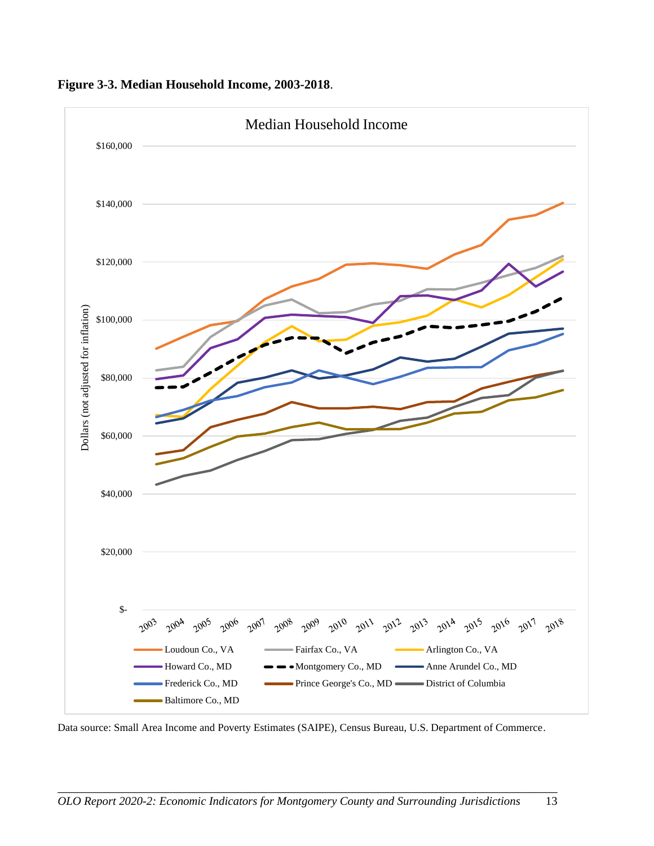

**Figure 3-3. Median Household Income, 2003-2018**.

Data source: Small Area Income and Poverty Estimates (SAIPE), Census Bureau, U.S. Department of Commerce.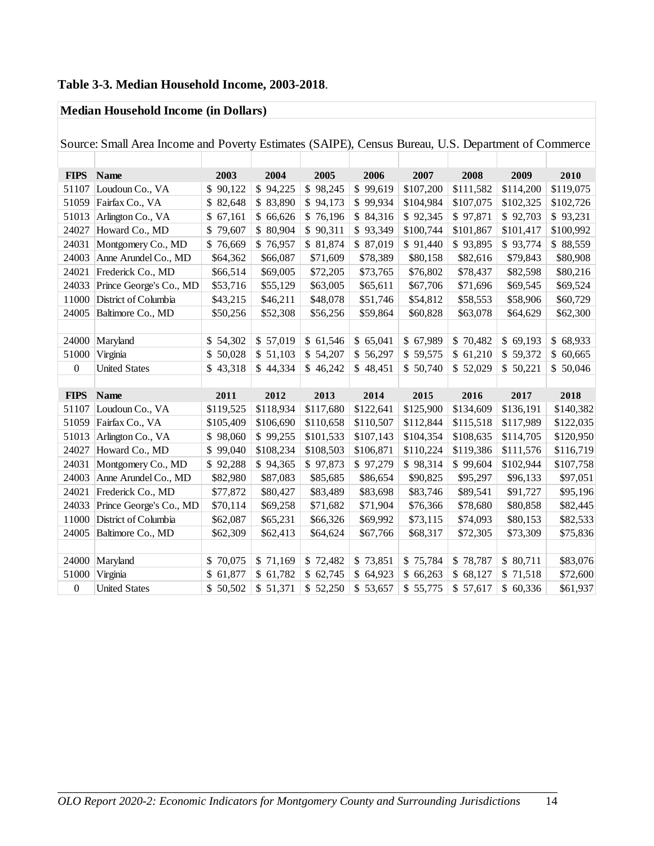# **Table 3-3. Median Household Income, 2003-2018**.

#### **Median Household Income (in Dollars)**

|                  | Source: Small Area Income and Poverty Estimates (SAIPE), Census Bureau, U.S. Department of Commerce |           |           |           |           |           |           |           |           |
|------------------|-----------------------------------------------------------------------------------------------------|-----------|-----------|-----------|-----------|-----------|-----------|-----------|-----------|
|                  |                                                                                                     |           |           |           |           |           |           |           |           |
| <b>FIPS</b>      | <b>Name</b>                                                                                         | 2003      | 2004      | 2005      | 2006      | 2007      | 2008      | 2009      | 2010      |
| 51107            | Loudoun Co., VA                                                                                     | \$90,122  | \$94,225  | \$98,245  | \$99,619  | \$107,200 | \$111,582 | \$114,200 | \$119,075 |
| 51059            | Fairfax Co., VA                                                                                     | \$82,648  | \$83,890  | \$94,173  | \$99,934  | \$104,984 | \$107,075 | \$102,325 | \$102,726 |
| 51013            | Arlington Co., VA                                                                                   | \$67,161  | \$66,626  | \$76,196  | \$84,316  | \$92,345  | \$97,871  | \$92,703  | \$93,231  |
| 24027            | Howard Co., MD                                                                                      | \$79,607  | \$80,904  | \$90,311  | \$93,349  | \$100,744 | \$101,867 | \$101,417 | \$100,992 |
| 24031            | Montgomery Co., MD                                                                                  | \$76,669  | \$76,957  | \$81,874  | \$87,019  | \$91,440  | \$93,895  | \$93,774  | \$88,559  |
| 24003            | Anne Arundel Co., MD                                                                                | \$64,362  | \$66,087  | \$71,609  | \$78,389  | \$80,158  | \$82,616  | \$79,843  | \$80,908  |
| 24021            | Frederick Co., MD                                                                                   | \$66,514  | \$69,005  | \$72,205  | \$73,765  | \$76,802  | \$78,437  | \$82,598  | \$80,216  |
| 24033            | Prince George's Co., MD                                                                             | \$53,716  | \$55,129  | \$63,005  | \$65,611  | \$67,706  | \$71,696  | \$69,545  | \$69,524  |
| 11000            | District of Columbia                                                                                | \$43,215  | \$46,211  | \$48,078  | \$51,746  | \$54,812  | \$58,553  | \$58,906  | \$60,729  |
| 24005            | Baltimore Co., MD                                                                                   | \$50,256  | \$52,308  | \$56,256  | \$59,864  | \$60,828  | \$63,078  | \$64,629  | \$62,300  |
|                  |                                                                                                     |           |           |           |           |           |           |           |           |
| 24000            | Maryland                                                                                            | \$54,302  | \$57,019  | \$61,546  | \$65,041  | \$67,989  | \$70,482  | \$69,193  | \$68,933  |
| 51000            | Virginia                                                                                            | \$50,028  | \$51,103  | \$54,207  | \$56,297  | \$59,575  | \$61,210  | \$59,372  | \$60,665  |
| $\boldsymbol{0}$ | <b>United States</b>                                                                                | \$43,318  | \$44,334  | \$46,242  | \$48,451  | \$50,740  | \$52,029  | \$50,221  | \$50,046  |
|                  |                                                                                                     |           |           |           |           |           |           |           |           |
| <b>FIPS</b>      | <b>Name</b>                                                                                         | 2011      | 2012      | 2013      | 2014      | 2015      | 2016      | 2017      | 2018      |
| 51107            | Loudoun Co., VA                                                                                     | \$119,525 | \$118,934 | \$117,680 | \$122,641 | \$125,900 | \$134,609 | \$136,191 | \$140,382 |
| 51059            | Fairfax Co., VA                                                                                     | \$105,409 | \$106,690 | \$110,658 | \$110,507 | \$112,844 | \$115,518 | \$117,989 | \$122,035 |
| 51013            | Arlington Co., VA                                                                                   | \$98,060  | \$99,255  | \$101,533 | \$107,143 | \$104,354 | \$108,635 | \$114,705 | \$120,950 |
| 24027            | Howard Co., MD                                                                                      | \$99,040  | \$108,234 | \$108,503 | \$106,871 | \$110,224 | \$119,386 | \$111,576 | \$116,719 |
| 24031            | Montgomery Co., MD                                                                                  | \$92,288  | \$94,365  | \$97,873  | \$97,279  | \$98,314  | \$99,604  | \$102,944 | \$107,758 |
| 24003            | Anne Arundel Co., MD                                                                                | \$82,980  | \$87,083  | \$85,685  | \$86,654  | \$90,825  | \$95,297  | \$96,133  | \$97,051  |
| 24021            | Frederick Co., MD                                                                                   | \$77,872  | \$80,427  | \$83,489  | \$83,698  | \$83,746  | \$89,541  | \$91,727  | \$95,196  |
| 24033            | Prince George's Co., MD                                                                             | \$70,114  | \$69,258  | \$71,682  | \$71,904  | \$76,366  | \$78,680  | \$80,858  | \$82,445  |
| 11000            | District of Columbia                                                                                | \$62,087  | \$65,231  | \$66,326  | \$69,992  | \$73,115  | \$74,093  | \$80,153  | \$82,533  |
| 24005            | Baltimore Co., MD                                                                                   | \$62,309  | \$62,413  | \$64,624  | \$67,766  | \$68,317  | \$72,305  | \$73,309  | \$75,836  |
|                  |                                                                                                     |           |           |           |           |           |           |           |           |
| 24000            | Maryland                                                                                            | \$70,075  | \$71,169  | \$72,482  | \$73,851  | \$75,784  | \$78,787  | \$80,711  | \$83,076  |
| 51000            | Virginia                                                                                            | \$61,877  | \$61,782  | \$62,745  | \$64,923  | \$66,263  | \$68,127  | \$71,518  | \$72,600  |
| $\boldsymbol{0}$ | <b>United States</b>                                                                                | \$50,502  | \$51,371  | \$52,250  | \$53,657  | \$55,775  | \$57,617  | \$60,336  | \$61,937  |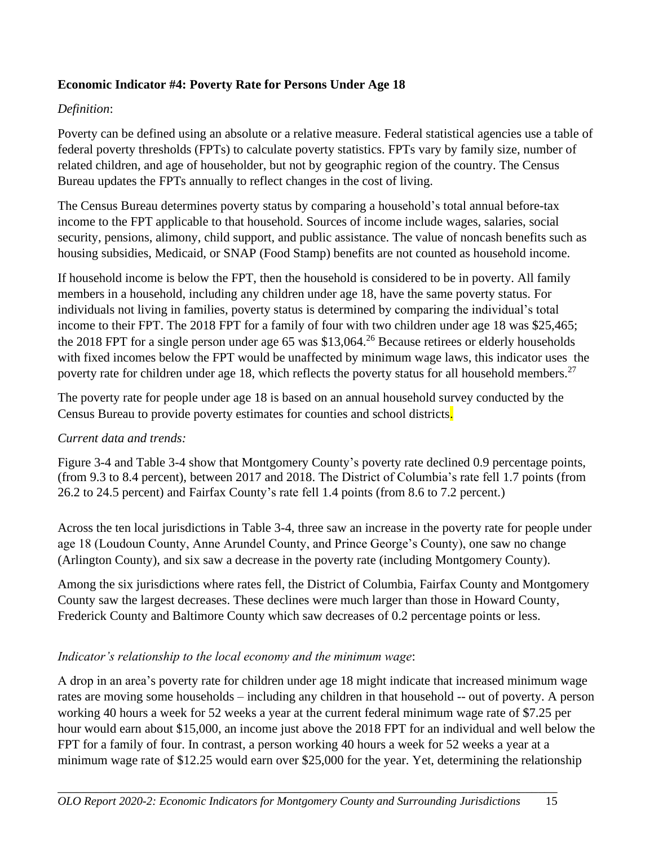### **Economic Indicator #4: Poverty Rate for Persons Under Age 18**

## *Definition*:

Poverty can be defined using an absolute or a relative measure. Federal statistical agencies use a table of federal poverty thresholds (FPTs) to calculate poverty statistics. FPTs vary by family size, number of related children, and age of householder, but not by geographic region of the country. The Census Bureau updates the FPTs annually to reflect changes in the cost of living.

The Census Bureau determines poverty status by comparing a household's total annual before-tax income to the FPT applicable to that household. Sources of income include wages, salaries, social security, pensions, alimony, child support, and public assistance. The value of noncash benefits such as housing subsidies, Medicaid, or SNAP (Food Stamp) benefits are not counted as household income.

If household income is below the FPT, then the household is considered to be in poverty. All family members in a household, including any children under age 18, have the same poverty status. For individuals not living in families, poverty status is determined by comparing the individual's total income to their FPT. The 2018 FPT for a family of four with two children under age 18 was \$25,465; the 2018 FPT for a single person under age 65 was \$13,064. <sup>26</sup> Because retirees or elderly households with fixed incomes below the FPT would be unaffected by minimum wage laws, this indicator uses the poverty rate for children under age 18, which reflects the poverty status for all household members.<sup>27</sup>

The poverty rate for people under age 18 is based on an annual household survey conducted by the Census Bureau to provide poverty estimates for counties and school districts.

### *Current data and trends:*

Figure 3-4 and Table 3-4 show that Montgomery County's poverty rate declined 0.9 percentage points, (from 9.3 to 8.4 percent), between 2017 and 2018. The District of Columbia's rate fell 1.7 points (from 26.2 to 24.5 percent) and Fairfax County's rate fell 1.4 points (from 8.6 to 7.2 percent.)

Across the ten local jurisdictions in Table 3-4, three saw an increase in the poverty rate for people under age 18 (Loudoun County, Anne Arundel County, and Prince George's County), one saw no change (Arlington County), and six saw a decrease in the poverty rate (including Montgomery County).

Among the six jurisdictions where rates fell, the District of Columbia, Fairfax County and Montgomery County saw the largest decreases. These declines were much larger than those in Howard County, Frederick County and Baltimore County which saw decreases of 0.2 percentage points or less.

### *Indicator's relationship to the local economy and the minimum wage*:

A drop in an area's poverty rate for children under age 18 might indicate that increased minimum wage rates are moving some households – including any children in that household -- out of poverty. A person working 40 hours a week for 52 weeks a year at the current federal minimum wage rate of \$7.25 per hour would earn about \$15,000, an income just above the 2018 FPT for an individual and well below the FPT for a family of four. In contrast, a person working 40 hours a week for 52 weeks a year at a minimum wage rate of \$12.25 would earn over \$25,000 for the year. Yet, determining the relationship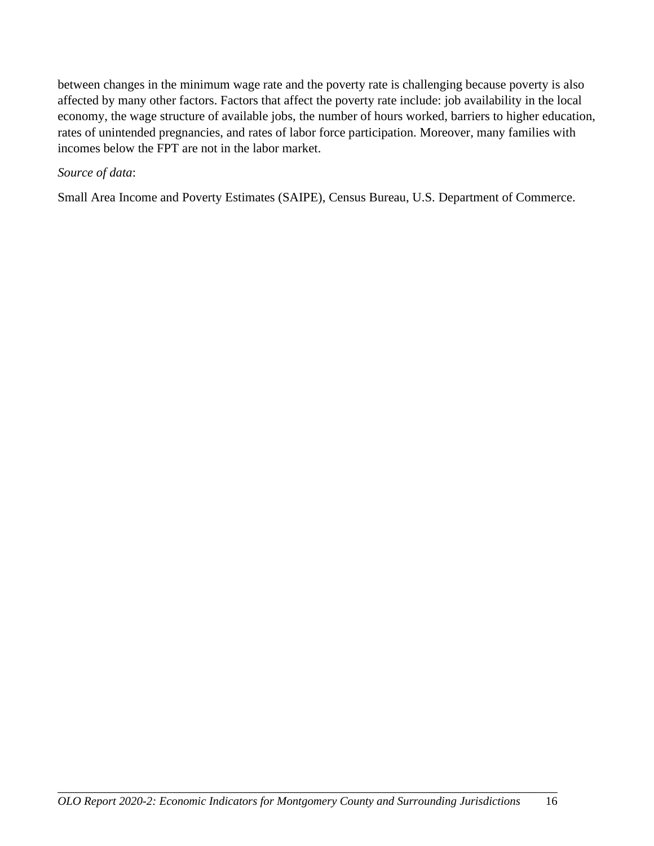between changes in the minimum wage rate and the poverty rate is challenging because poverty is also affected by many other factors. Factors that affect the poverty rate include: job availability in the local economy, the wage structure of available jobs, the number of hours worked, barriers to higher education, rates of unintended pregnancies, and rates of labor force participation. Moreover, many families with incomes below the FPT are not in the labor market.

#### *Source of data*:

Small Area Income and Poverty Estimates (SAIPE), Census Bureau, U.S. Department of Commerce.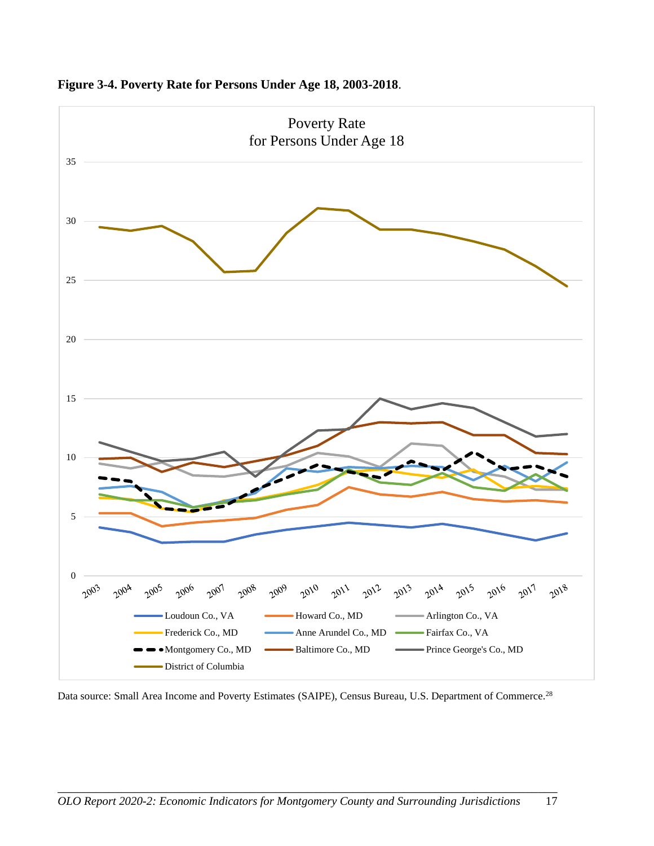

**Figure 3-4. Poverty Rate for Persons Under Age 18, 2003-2018**.

Data source: Small Area Income and Poverty Estimates (SAIPE), Census Bureau, U.S. Department of Commerce.<sup>28</sup>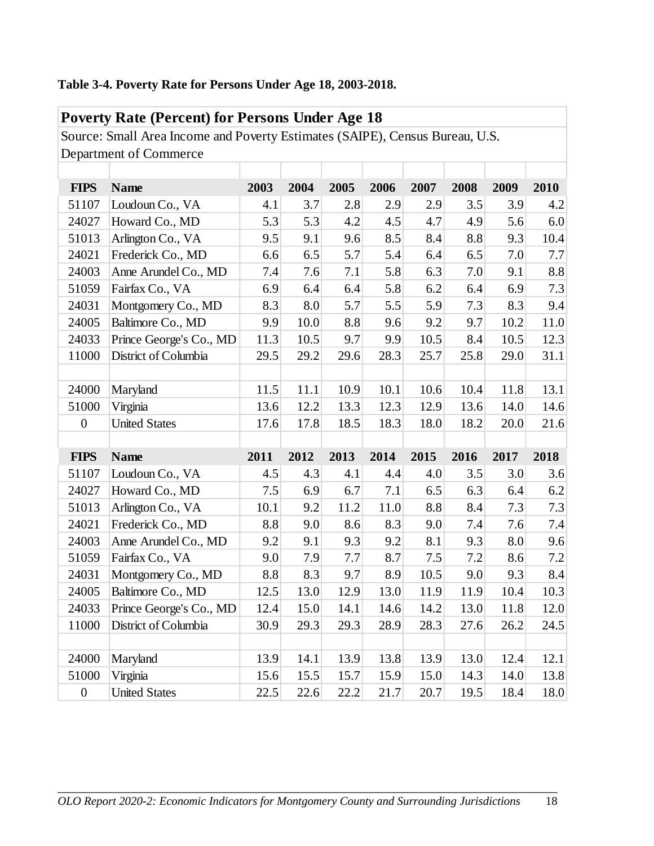# **Table 3-4. Poverty Rate for Persons Under Age 18, 2003-2018.**

|                  | <b>Poverty Rate (Percent) for Persons Under Age 18</b>                       |      |      |      |      |      |      |      |      |
|------------------|------------------------------------------------------------------------------|------|------|------|------|------|------|------|------|
|                  | Source: Small Area Income and Poverty Estimates (SAIPE), Census Bureau, U.S. |      |      |      |      |      |      |      |      |
|                  | Department of Commerce                                                       |      |      |      |      |      |      |      |      |
|                  |                                                                              |      |      |      |      |      |      |      |      |
| <b>FIPS</b>      | <b>Name</b>                                                                  | 2003 | 2004 | 2005 | 2006 | 2007 | 2008 | 2009 | 2010 |
| 51107            | Loudoun Co., VA                                                              | 4.1  | 3.7  | 2.8  | 2.9  | 2.9  | 3.5  | 3.9  | 4.2  |
| 24027            | Howard Co., MD                                                               | 5.3  | 5.3  | 4.2  | 4.5  | 4.7  | 4.9  | 5.6  | 6.0  |
| 51013            | Arlington Co., VA                                                            | 9.5  | 9.1  | 9.6  | 8.5  | 8.4  | 8.8  | 9.3  | 10.4 |
| 24021            | Frederick Co., MD                                                            | 6.6  | 6.5  | 5.7  | 5.4  | 6.4  | 6.5  | 7.0  | 7.7  |
| 24003            | Anne Arundel Co., MD                                                         | 7.4  | 7.6  | 7.1  | 5.8  | 6.3  | 7.0  | 9.1  | 8.8  |
| 51059            | Fairfax Co., VA                                                              | 6.9  | 6.4  | 6.4  | 5.8  | 6.2  | 6.4  | 6.9  | 7.3  |
| 24031            | Montgomery Co., MD                                                           | 8.3  | 8.0  | 5.7  | 5.5  | 5.9  | 7.3  | 8.3  | 9.4  |
| 24005            | Baltimore Co., MD                                                            | 9.9  | 10.0 | 8.8  | 9.6  | 9.2  | 9.7  | 10.2 | 11.0 |
| 24033            | Prince George's Co., MD                                                      | 11.3 | 10.5 | 9.7  | 9.9  | 10.5 | 8.4  | 10.5 | 12.3 |
| 11000            | District of Columbia                                                         | 29.5 | 29.2 | 29.6 | 28.3 | 25.7 | 25.8 | 29.0 | 31.1 |
|                  |                                                                              |      |      |      |      |      |      |      |      |
| 24000            | Maryland                                                                     | 11.5 | 11.1 | 10.9 | 10.1 | 10.6 | 10.4 | 11.8 | 13.1 |
| 51000            | Virginia                                                                     | 13.6 | 12.2 | 13.3 | 12.3 | 12.9 | 13.6 | 14.0 | 14.6 |
| $\boldsymbol{0}$ | <b>United States</b>                                                         | 17.6 | 17.8 | 18.5 | 18.3 | 18.0 | 18.2 | 20.0 | 21.6 |
|                  |                                                                              |      |      |      |      |      |      |      |      |
| <b>FIPS</b>      | <b>Name</b>                                                                  | 2011 | 2012 | 2013 | 2014 | 2015 | 2016 | 2017 | 2018 |
| 51107            | Loudoun Co., VA                                                              | 4.5  | 4.3  | 4.1  | 4.4  | 4.0  | 3.5  | 3.0  | 3.6  |
| 24027            | Howard Co., MD                                                               | 7.5  | 6.9  | 6.7  | 7.1  | 6.5  | 6.3  | 6.4  | 6.2  |
| 51013            | Arlington Co., VA                                                            | 10.1 | 9.2  | 11.2 | 11.0 | 8.8  | 8.4  | 7.3  | 7.3  |
| 24021            | Frederick Co., MD                                                            | 8.8  | 9.0  | 8.6  | 8.3  | 9.0  | 7.4  | 7.6  | 7.4  |
| 24003            | Anne Arundel Co., MD                                                         | 9.2  | 9.1  | 9.3  | 9.2  | 8.1  | 9.3  | 8.0  | 9.6  |
| 51059            | Fairfax Co., VA                                                              | 9.0  | 7.9  | 7.7  | 8.7  | 7.5  | 7.2  | 8.6  | 7.2  |
| 24031            | Montgomery Co., MD                                                           | 8.8  | 8.3  | 9.7  | 8.9  | 10.5 | 9.0  | 9.3  | 8.4  |
| 24005            | Baltimore Co., MD                                                            | 12.5 | 13.0 | 12.9 | 13.0 | 11.9 | 11.9 | 10.4 | 10.3 |
| 24033            | Prince George's Co., MD                                                      | 12.4 | 15.0 | 14.1 | 14.6 | 14.2 | 13.0 | 11.8 | 12.0 |
| 11000            | District of Columbia                                                         | 30.9 | 29.3 | 29.3 | 28.9 | 28.3 | 27.6 | 26.2 | 24.5 |
|                  |                                                                              |      |      |      |      |      |      |      |      |
| 24000            | Maryland                                                                     | 13.9 | 14.1 | 13.9 | 13.8 | 13.9 | 13.0 | 12.4 | 12.1 |
| 51000            | Virginia                                                                     | 15.6 | 15.5 | 15.7 | 15.9 | 15.0 | 14.3 | 14.0 | 13.8 |
| $\boldsymbol{0}$ | <b>United States</b>                                                         | 22.5 | 22.6 | 22.2 | 21.7 | 20.7 | 19.5 | 18.4 | 18.0 |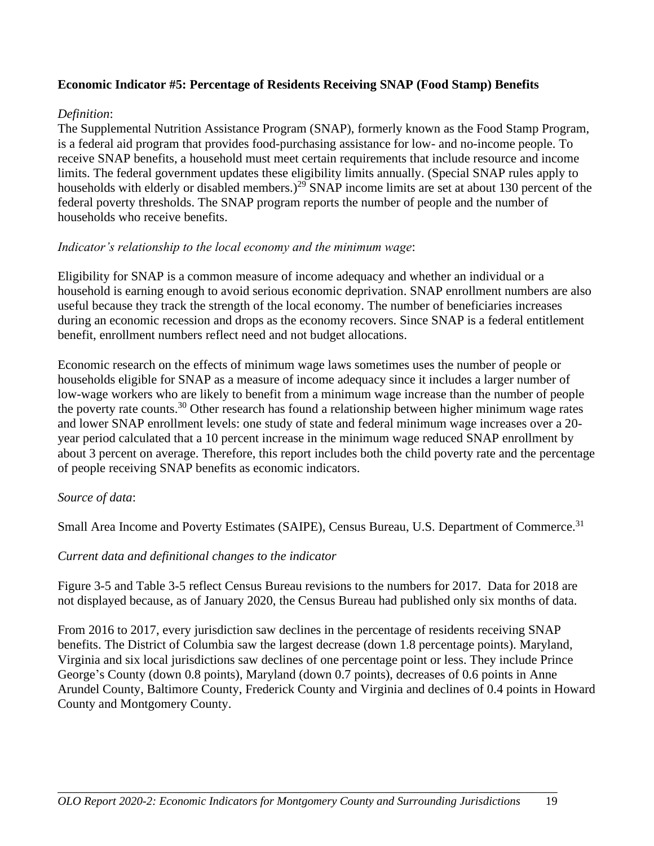#### **Economic Indicator #5: Percentage of Residents Receiving SNAP (Food Stamp) Benefits**

#### *Definition*:

The Supplemental Nutrition Assistance Program (SNAP), formerly known as the Food Stamp Program, is a federal aid program that provides food-purchasing assistance for low- and no-income people. To receive SNAP benefits, a household must meet certain requirements that include resource and income limits. The federal government updates these eligibility limits annually. (Special SNAP rules apply to households with elderly or disabled members.)<sup>29</sup> SNAP income limits are set at about 130 percent of the federal poverty thresholds. The SNAP program reports the number of people and the number of households who receive benefits.

#### *Indicator's relationship to the local economy and the minimum wage*:

Eligibility for SNAP is a common measure of income adequacy and whether an individual or a household is earning enough to avoid serious economic deprivation. SNAP enrollment numbers are also useful because they track the strength of the local economy. The number of beneficiaries increases during an economic recession and drops as the economy recovers. Since SNAP is a federal entitlement benefit, enrollment numbers reflect need and not budget allocations.

Economic research on the effects of minimum wage laws sometimes uses the number of people or households eligible for SNAP as a measure of income adequacy since it includes a larger number of low-wage workers who are likely to benefit from a minimum wage increase than the number of people the poverty rate counts.<sup>30</sup> Other research has found a relationship between higher minimum wage rates and lower SNAP enrollment levels: one study of state and federal minimum wage increases over a 20 year period calculated that a 10 percent increase in the minimum wage reduced SNAP enrollment by about 3 percent on average. Therefore, this report includes both the child poverty rate and the percentage of people receiving SNAP benefits as economic indicators.

### *Source of data*:

Small Area Income and Poverty Estimates (SAIPE), Census Bureau, U.S. Department of Commerce.<sup>31</sup>

#### *Current data and definitional changes to the indicator*

Figure 3-5 and Table 3-5 reflect Census Bureau revisions to the numbers for 2017. Data for 2018 are not displayed because, as of January 2020, the Census Bureau had published only six months of data.

From 2016 to 2017, every jurisdiction saw declines in the percentage of residents receiving SNAP benefits. The District of Columbia saw the largest decrease (down 1.8 percentage points). Maryland, Virginia and six local jurisdictions saw declines of one percentage point or less. They include Prince George's County (down 0.8 points), Maryland (down 0.7 points), decreases of 0.6 points in Anne Arundel County, Baltimore County, Frederick County and Virginia and declines of 0.4 points in Howard County and Montgomery County.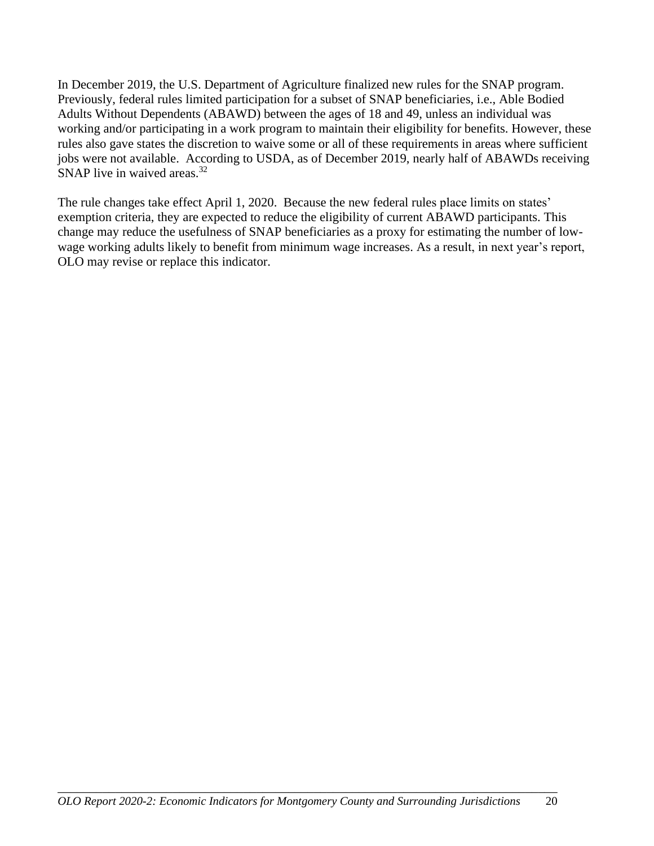In December 2019, the U.S. Department of Agriculture finalized new rules for the SNAP program. Previously, federal rules limited participation for a subset of SNAP beneficiaries, i.e., Able Bodied Adults Without Dependents (ABAWD) between the ages of 18 and 49, unless an individual was working and/or participating in a work program to maintain their eligibility for benefits. However, these rules also gave states the discretion to waive some or all of these requirements in areas where sufficient jobs were not available. According to USDA, as of December 2019, nearly half of ABAWDs receiving SNAP live in waived areas.  $32<sup>32</sup>$ 

The rule changes take effect April 1, 2020. Because the new federal rules place limits on states' exemption criteria, they are expected to reduce the eligibility of current ABAWD participants. This change may reduce the usefulness of SNAP beneficiaries as a proxy for estimating the number of lowwage working adults likely to benefit from minimum wage increases. As a result, in next year's report, OLO may revise or replace this indicator.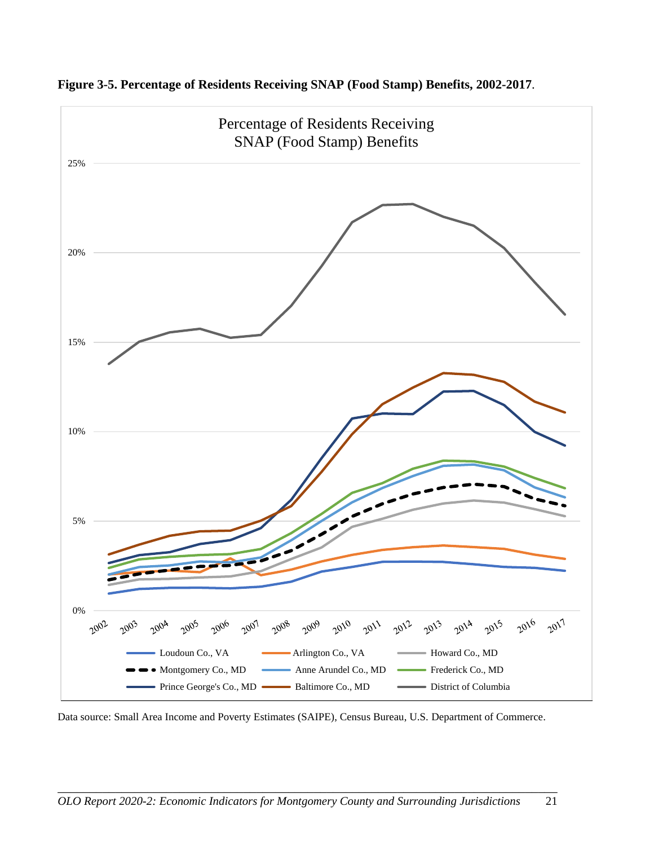

**Figure 3-5. Percentage of Residents Receiving SNAP (Food Stamp) Benefits, 2002-2017**.

Data source: Small Area Income and Poverty Estimates (SAIPE), Census Bureau, U.S. Department of Commerce.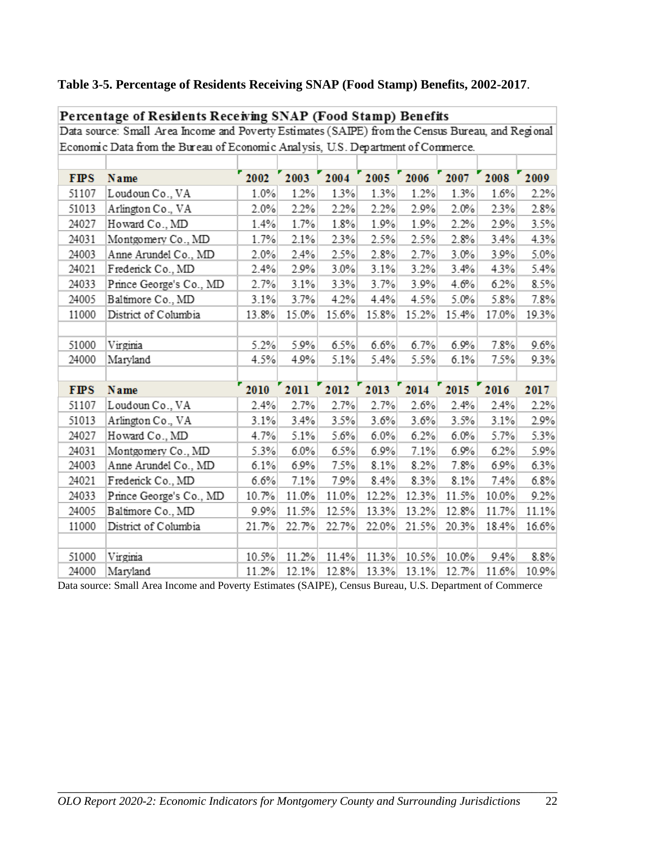# **Table 3-5. Percentage of Residents Receiving SNAP (Food Stamp) Benefits, 2002-2017**.

| Data source: Small Area Income and Poverty Estimates (SAIPE) from the Census Bureau, and Regional |                                                                                  |       |       |       |           |                |       |       |       |
|---------------------------------------------------------------------------------------------------|----------------------------------------------------------------------------------|-------|-------|-------|-----------|----------------|-------|-------|-------|
|                                                                                                   | Economic Data from the Bureau of Economic Analysis, U.S. Department of Commerce. |       |       |       |           |                |       |       |       |
|                                                                                                   |                                                                                  |       |       |       |           |                |       |       |       |
| <b>FIPS</b>                                                                                       | Name                                                                             | 2002  | 2003  |       | 2004 2005 | 2006           | 2007  | 2008  | 2009  |
| 51107                                                                                             | Loudoun Co., VA                                                                  | 1.0%  | 1.2%  | 1.3%  | 1.3%      | 1.2%           | 1.3%  | 1.6%  | 2.2%  |
| 51013                                                                                             | Arlington Co., VA                                                                | 2.0%  | 2.2%  | 2.2%  | 2.2%      | 2.9%           | 2.0%  | 2.3%  | 2.8%  |
| 24027                                                                                             | Howard Co., MD                                                                   | 1.4%  | 1.7%  | 1.8%  | 1.9%      | 1.9%           | 2.2%  | 2.9%  | 3.5%  |
| 24031                                                                                             | Montgomery Co., MD                                                               | 1.7%  | 2.1%  | 2.3%  | 2.5%      | 2.5%           | 2.8%  | 3.4%  | 4.3%  |
| 24003                                                                                             | Anne Arundel Co., MD                                                             | 2.0%  | 2.4%  | 2.5%  | 2.8%      | 2.7%           | 3.0%  | 3.9%  | 5.0%  |
| 24021                                                                                             | Frederick Co., MD                                                                | 2.4%  | 2.9%  | 3.0%  | 3.1%      | 3.2%           | 3.4%  | 4.3%  | 5.4%  |
| 24033                                                                                             | Prince George's Co., MD                                                          | 2.7%  | 3.1%  | 3.3%  | 3.7%      | 3.9%           | 4.6%  | 6.2%  | 8.5%  |
| 24005                                                                                             | Baltimore Co., MD                                                                | 3.1%  | 3.7%  | 4.2%  | 4.4%      | 4.5%           | 5.0%  | 5.8%  | 7.8%  |
| 11000                                                                                             | District of Columbia                                                             | 13.8% | 15.0% | 15.6% | 15.8%     | 15.2%          | 15.4% | 17.0% | 19.3% |
|                                                                                                   |                                                                                  |       |       |       |           |                |       |       |       |
| 51000                                                                                             | Virginia                                                                         | 5.2%  | 5.9%  | 6.5%  | 6.6%      | 6.7%           | 6.9%  | 7.8%  | 9.6%  |
| 24000                                                                                             | Maryland                                                                         | 4.5%  | 4.9%  | 5.1%  | 5.4%      | 5.5%           | 6.1%  | 7.5%  | 9.3%  |
|                                                                                                   |                                                                                  |       |       |       |           |                |       |       |       |
| <b>FIPS</b>                                                                                       | Name                                                                             | 2010  | 2011  | 2012  |           | 2013 2014 2015 |       | 2016  | 2017  |
| 51107                                                                                             | Loudoun Co., VA                                                                  | 2.4%  | 2.7%  | 2.7%  | 2.7%      | 2.6%           | 2.4%  | 2.4%  | 2.2%  |
| 51013                                                                                             | Arlington Co., VA                                                                | 3.1%  | 3.4%  | 3.5%  | 3.6%      | 3.6%           | 3.5%  | 3.1%  | 2.9%  |
| 24027                                                                                             | Howard Co., MD                                                                   | 4.7%  | 5.1%  | 5.6%  | 6.0%      | 6.2%           | 6.0%  | 5.7%  | 5.3%  |
| 24031                                                                                             | Montgomery Co., MD                                                               | 5.3%  | 6.0%  | 6.5%  | 6.9%      | 7.1%           | 6.9%  | 6.2%  | 5.9%  |
| 24003                                                                                             | Anne Arundel Co., MD                                                             | 6.1%  | 6.9%  | 7.5%  | 8.1%      | 8.2%           | 7.8%  | 6.9%  | 6.3%  |
| 24021                                                                                             | Frederick Co., MD                                                                | 6.6%  | 7.1%  | 7.9%  | 8.4%      | 8.3%           | 8.1%  | 7.4%  | 6.8%  |
| 24033                                                                                             | Prince George's Co., MD                                                          | 10.7% | 11.0% | 11.0% | 12.2%     | 12.3%          | 11.5% | 10.0% | 9.2%  |
| 24005                                                                                             | Baltimore Co., MD                                                                | 9.9%  | 11.5% | 12.5% | 13.3%     | 13.2%          | 12.8% | 11.7% | 11.1% |
| 11000                                                                                             | District of Columbia                                                             | 21.7% | 22.7% | 22.7% | 22.0%     | 21.5%          | 20.3% | 18.4% | 16.6% |
|                                                                                                   |                                                                                  |       |       |       |           |                |       |       |       |
| 51000                                                                                             | Virginia                                                                         | 10.5% | 11.2% | 11.4% | 11.3%     | 10.5%          | 10.0% | 9.4%  | 8.8%  |
| 24000                                                                                             | Maryland                                                                         | 11.2% | 12.1% | 12.8% | 13.3%     | 13.1%          | 12.7% | 11.6% | 10.9% |

Percentage of Residents Receiving SNAP (Food Stamp) Benefits

Data source: Small Area Income and Poverty Estimates (SAIPE), Census Bureau, U.S. Department of Commerce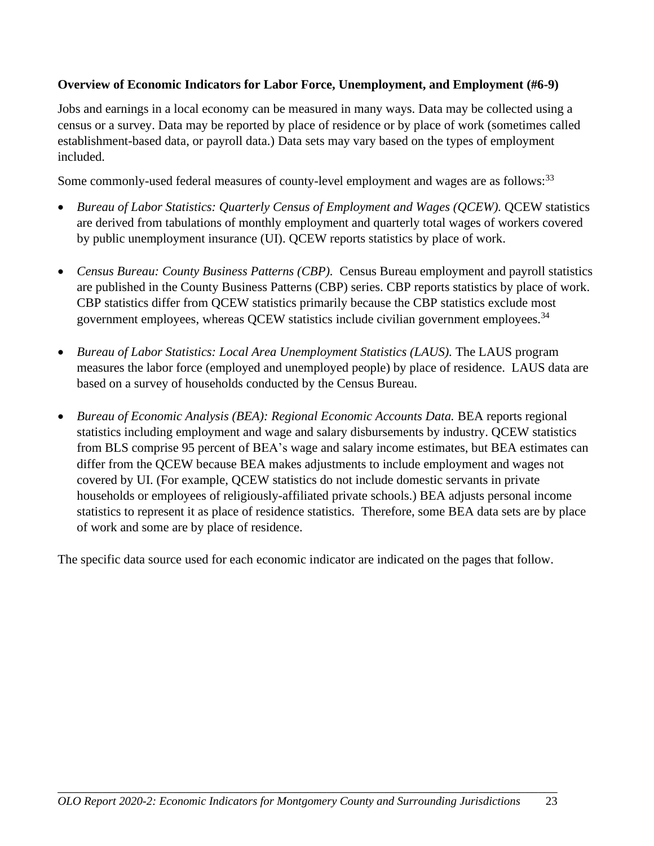#### **Overview of Economic Indicators for Labor Force, Unemployment, and Employment (#6-9)**

Jobs and earnings in a local economy can be measured in many ways. Data may be collected using a census or a survey. Data may be reported by place of residence or by place of work (sometimes called establishment-based data, or payroll data.) Data sets may vary based on the types of employment included.

Some commonly-used federal measures of county-level employment and wages are as follows:<sup>33</sup>

- *Bureau of Labor Statistics: Quarterly Census of Employment and Wages (QCEW).* QCEW statistics are derived from tabulations of monthly employment and quarterly total wages of workers covered by public unemployment insurance (UI). QCEW reports statistics by place of work.
- *Census Bureau: County Business Patterns (CBP).* Census Bureau employment and payroll statistics are published in the County Business Patterns (CBP) series. CBP reports statistics by place of work. CBP statistics differ from QCEW statistics primarily because the CBP statistics exclude most government employees, whereas OCEW statistics include civilian government employees.<sup>34</sup>
- *Bureau of Labor Statistics: Local Area Unemployment Statistics (LAUS).* The LAUS program measures the labor force (employed and unemployed people) by place of residence. LAUS data are based on a survey of households conducted by the Census Bureau.
- *Bureau of Economic Analysis (BEA): Regional Economic Accounts Data. BEA reports regional* statistics including employment and wage and salary disbursements by industry. QCEW statistics from BLS comprise 95 percent of BEA's wage and salary income estimates, but BEA estimates can differ from the QCEW because BEA makes adjustments to include employment and wages not covered by UI. (For example, QCEW statistics do not include domestic servants in private households or employees of religiously-affiliated private schools.) BEA adjusts personal income statistics to represent it as place of residence statistics. Therefore, some BEA data sets are by place of work and some are by place of residence.

The specific data source used for each economic indicator are indicated on the pages that follow.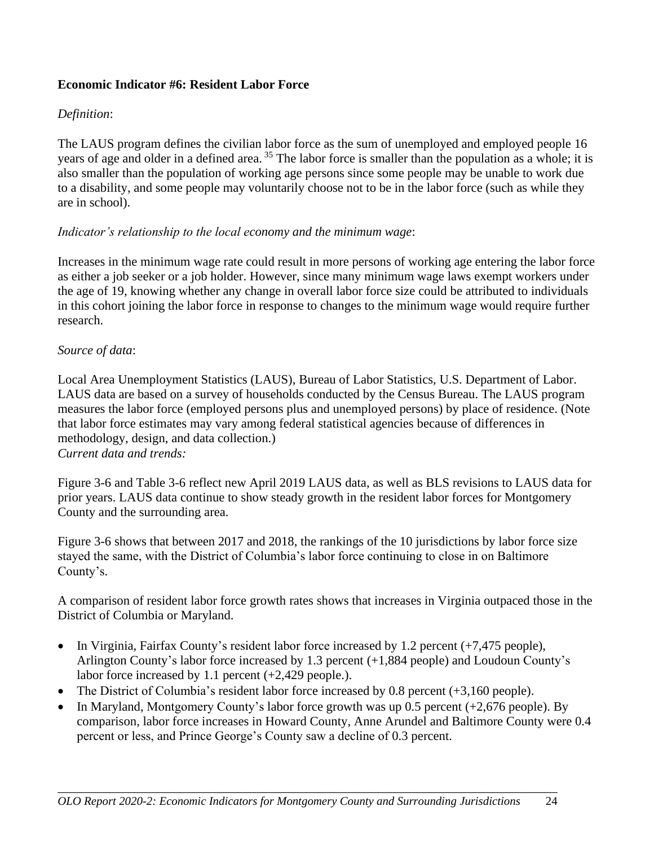#### **Economic Indicator #6: Resident Labor Force**

### *Definition*:

The LAUS program defines the civilian labor force as the sum of unemployed and employed people 16 years of age and older in a defined area. <sup>35</sup> The labor force is smaller than the population as a whole; it is also smaller than the population of working age persons since some people may be unable to work due to a disability, and some people may voluntarily choose not to be in the labor force (such as while they are in school).

#### *Indicator's relationship to the local economy and the minimum wage*:

Increases in the minimum wage rate could result in more persons of working age entering the labor force as either a job seeker or a job holder. However, since many minimum wage laws exempt workers under the age of 19, knowing whether any change in overall labor force size could be attributed to individuals in this cohort joining the labor force in response to changes to the minimum wage would require further research.

#### *Source of data*:

Local Area Unemployment Statistics (LAUS), Bureau of Labor Statistics, U.S. Department of Labor. LAUS data are based on a survey of households conducted by the Census Bureau. The LAUS program measures the labor force (employed persons plus and unemployed persons) by place of residence. (Note that labor force estimates may vary among federal statistical agencies because of differences in methodology, design, and data collection.) *Current data and trends:*

Figure 3-6 and Table 3-6 reflect new April 2019 LAUS data, as well as BLS revisions to LAUS data for prior years. LAUS data continue to show steady growth in the resident labor forces for Montgomery County and the surrounding area.

Figure 3-6 shows that between 2017 and 2018, the rankings of the 10 jurisdictions by labor force size stayed the same, with the District of Columbia's labor force continuing to close in on Baltimore County's.

A comparison of resident labor force growth rates shows that increases in Virginia outpaced those in the District of Columbia or Maryland.

- In Virginia, Fairfax County's resident labor force increased by 1.2 percent (+7,475 people), Arlington County's labor force increased by 1.3 percent (+1,884 people) and Loudoun County's labor force increased by 1.1 percent (+2,429 people.).
- The District of Columbia's resident labor force increased by 0.8 percent (+3,160 people).
- In Maryland, Montgomery County's labor force growth was up 0.5 percent (+2,676 people). By comparison, labor force increases in Howard County, Anne Arundel and Baltimore County were 0.4 percent or less, and Prince George's County saw a decline of 0.3 percent.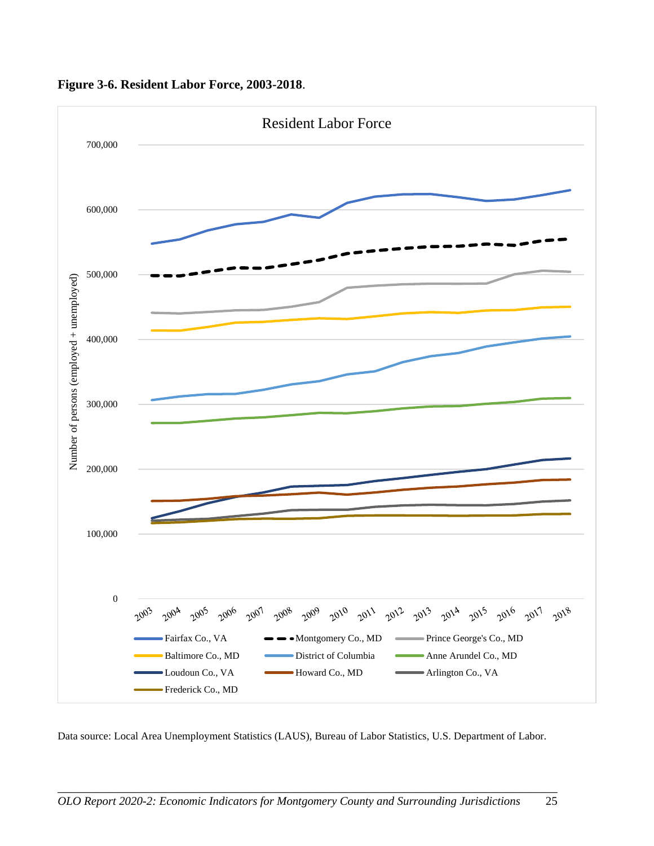

**Figure 3-6. Resident Labor Force, 2003-2018**.

Data source: Local Area Unemployment Statistics (LAUS), Bureau of Labor Statistics, U.S. Department of Labor.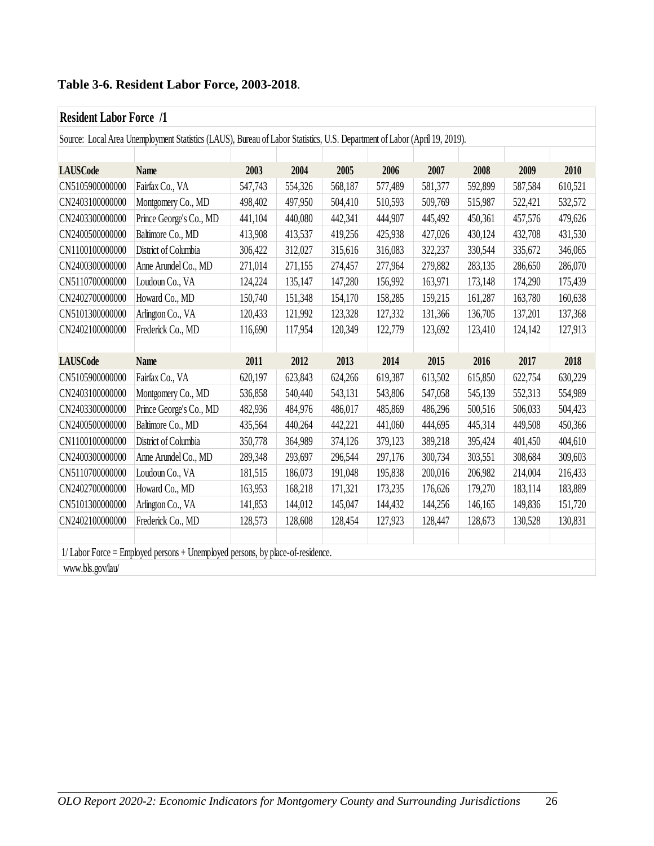# **Table 3-6. Resident Labor Force, 2003-2018**.

# **Resident Labor Force /1**

| Source: Local Area Unemployment Statistics (LAUS), Bureau of Labor Statistics, U.S. Department of Labor (April 19, 2019). |                                                                               |         |         |         |         |         |         |         |         |  |  |
|---------------------------------------------------------------------------------------------------------------------------|-------------------------------------------------------------------------------|---------|---------|---------|---------|---------|---------|---------|---------|--|--|
|                                                                                                                           |                                                                               |         |         |         |         |         |         |         |         |  |  |
| <b>LAUSCode</b>                                                                                                           | <b>Name</b>                                                                   | 2003    | 2004    | 2005    | 2006    | 2007    | 2008    | 2009    | 2010    |  |  |
| CN5105900000000                                                                                                           | Fairfax Co., VA                                                               | 547,743 | 554,326 | 568,187 | 577,489 | 581,377 | 592,899 | 587,584 | 610,521 |  |  |
| CN2403100000000                                                                                                           | Montgomery Co., MD                                                            | 498,402 | 497,950 | 504,410 | 510,593 | 509,769 | 515,987 | 522,421 | 532,572 |  |  |
| CN2403300000000                                                                                                           | Prince George's Co., MD                                                       | 441,104 | 440,080 | 442,341 | 444,907 | 445,492 | 450,361 | 457,576 | 479,626 |  |  |
| CN2400500000000                                                                                                           | Baltimore Co., MD                                                             | 413,908 | 413,537 | 419,256 | 425,938 | 427,026 | 430,124 | 432,708 | 431,530 |  |  |
| CN1100100000000                                                                                                           | District of Columbia                                                          | 306,422 | 312,027 | 315,616 | 316,083 | 322,237 | 330,544 | 335,672 | 346,065 |  |  |
| CN2400300000000                                                                                                           | Anne Arundel Co., MD                                                          | 271,014 | 271,155 | 274,457 | 277,964 | 279,882 | 283,135 | 286,650 | 286,070 |  |  |
| CN5110700000000                                                                                                           | Loudoun Co., VA                                                               | 124,224 | 135,147 | 147,280 | 156,992 | 163,971 | 173,148 | 174,290 | 175,439 |  |  |
| CN2402700000000                                                                                                           | Howard Co., MD                                                                | 150,740 | 151,348 | 154,170 | 158,285 | 159,215 | 161,287 | 163,780 | 160,638 |  |  |
| CN5101300000000                                                                                                           | Arlington Co., VA                                                             | 120,433 | 121,992 | 123,328 | 127,332 | 131,366 | 136,705 | 137,201 | 137,368 |  |  |
| CN2402100000000                                                                                                           | Frederick Co., MD                                                             | 116,690 | 117,954 | 120,349 | 122,779 | 123,692 | 123,410 | 124,142 | 127,913 |  |  |
|                                                                                                                           |                                                                               |         |         |         |         |         |         |         |         |  |  |
| <b>LAUSCode</b>                                                                                                           | <b>Name</b>                                                                   | 2011    | 2012    | 2013    | 2014    | 2015    | 2016    | 2017    | 2018    |  |  |
| CN5105900000000                                                                                                           | Fairfax Co., VA                                                               | 620,197 | 623,843 | 624,266 | 619,387 | 613,502 | 615,850 | 622,754 | 630,229 |  |  |
| CN2403100000000                                                                                                           | Montgomery Co., MD                                                            | 536,858 | 540,440 | 543,131 | 543,806 | 547,058 | 545,139 | 552,313 | 554,989 |  |  |
| CN2403300000000                                                                                                           |                                                                               |         |         |         |         |         |         |         |         |  |  |
|                                                                                                                           | Prince George's Co., MD                                                       | 482,936 | 484,976 | 486,017 | 485,869 | 486,296 | 500,516 | 506,033 | 504,423 |  |  |
| CN2400500000000                                                                                                           | Baltimore Co., MD                                                             | 435,564 | 440,264 | 442,221 | 441,060 | 444,695 | 445,314 | 449,508 | 450,366 |  |  |
| CN1100100000000                                                                                                           | District of Columbia                                                          | 350,778 | 364,989 | 374,126 | 379,123 | 389,218 | 395,424 | 401,450 | 404,610 |  |  |
| CN2400300000000                                                                                                           | Anne Arundel Co., MD                                                          | 289,348 | 293,697 | 296,544 | 297,176 | 300,734 | 303,551 | 308,684 | 309,603 |  |  |
| CN5110700000000                                                                                                           | Loudoun Co., VA                                                               | 181,515 | 186,073 | 191,048 | 195,838 | 200,016 | 206,982 | 214,004 | 216,433 |  |  |
| CN2402700000000                                                                                                           | Howard Co., MD                                                                | 163,953 | 168,218 | 171,321 | 173,235 | 176,626 | 179,270 | 183,114 | 183,889 |  |  |
| CN5101300000000                                                                                                           | Arlington Co., VA                                                             | 141,853 | 144,012 | 145,047 | 144,432 | 144,256 | 146,165 | 149,836 | 151,720 |  |  |
| CN2402100000000                                                                                                           | Frederick Co., MD                                                             | 128,573 | 128,608 | 128,454 | 127,923 | 128,447 | 128,673 | 130,528 | 130,831 |  |  |
|                                                                                                                           |                                                                               |         |         |         |         |         |         |         |         |  |  |
|                                                                                                                           | 1/Labor Force = Employed persons + Unemployed persons, by place-of-residence. |         |         |         |         |         |         |         |         |  |  |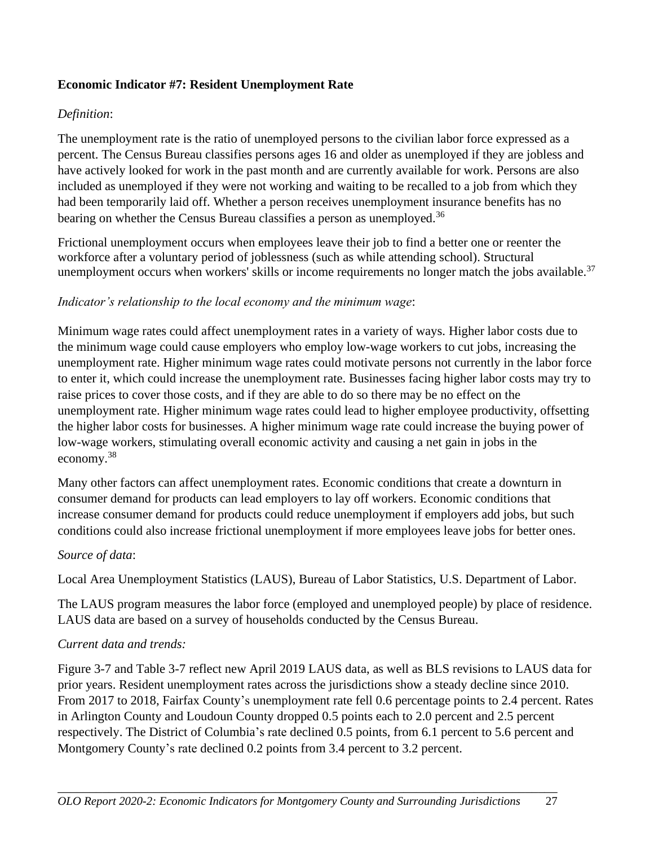### **Economic Indicator #7: Resident Unemployment Rate**

#### *Definition*:

The unemployment rate is the ratio of unemployed persons to the civilian labor force expressed as a percent. The Census Bureau classifies persons ages 16 and older as unemployed if they are jobless and have actively looked for work in the past month and are currently available for work. Persons are also included as unemployed if they were not working and waiting to be recalled to a job from which they had been temporarily laid off. Whether a person receives unemployment insurance benefits has no bearing on whether the Census Bureau classifies a person as unemployed.<sup>36</sup>

Frictional unemployment occurs when employees leave their job to find a better one or reenter the workforce after a voluntary period of joblessness (such as while attending school). [Structural](https://www.thebalance.com/structural-unemployment-3306202)  [unemployment](https://www.thebalance.com/structural-unemployment-3306202) occurs when workers' skills or income requirements no longer match the jobs available.<sup>37</sup>

#### *Indicator's relationship to the local economy and the minimum wage*:

Minimum wage rates could affect unemployment rates in a variety of ways. Higher labor costs due to the minimum wage could cause employers who employ low-wage workers to cut jobs, increasing the unemployment rate. Higher minimum wage rates could motivate persons not currently in the labor force to enter it, which could increase the unemployment rate. Businesses facing higher labor costs may try to raise prices to cover those costs, and if they are able to do so there may be no effect on the unemployment rate. Higher minimum wage rates could lead to higher employee productivity, offsetting the higher labor costs for businesses. A higher minimum wage rate could increase the buying power of low-wage workers, stimulating overall economic activity and causing a net gain in jobs in the economy.<sup>38</sup>

Many other factors can affect unemployment rates. Economic conditions that create a downturn in consumer demand for products can lead employers to lay off workers. Economic conditions that increase consumer demand for products could reduce unemployment if employers add jobs, but such conditions could also increase frictional unemployment if more employees leave jobs for better ones.

#### *Source of data*:

Local Area Unemployment Statistics (LAUS), Bureau of Labor Statistics, U.S. Department of Labor.

The LAUS program measures the labor force (employed and unemployed people) by place of residence. LAUS data are based on a survey of households conducted by the Census Bureau.

#### *Current data and trends:*

Figure 3-7 and Table 3-7 reflect new April 2019 LAUS data, as well as BLS revisions to LAUS data for prior years. Resident unemployment rates across the jurisdictions show a steady decline since 2010. From 2017 to 2018, Fairfax County's unemployment rate fell 0.6 percentage points to 2.4 percent. Rates in Arlington County and Loudoun County dropped 0.5 points each to 2.0 percent and 2.5 percent respectively. The District of Columbia's rate declined 0.5 points, from 6.1 percent to 5.6 percent and Montgomery County's rate declined 0.2 points from 3.4 percent to 3.2 percent.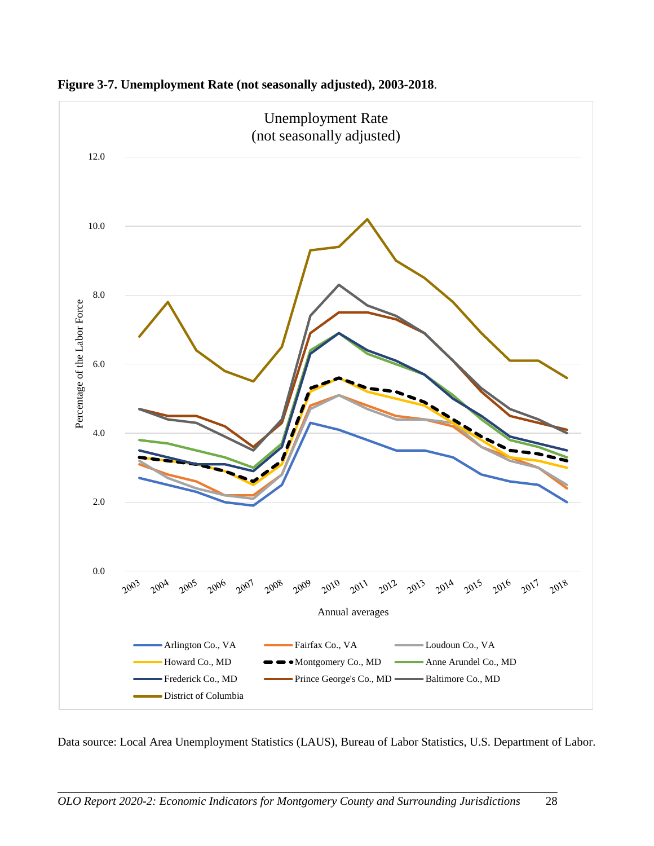

**Figure 3-7. Unemployment Rate (not seasonally adjusted), 2003-2018**.

Data source: Local Area Unemployment Statistics (LAUS), Bureau of Labor Statistics, U.S. Department of Labor.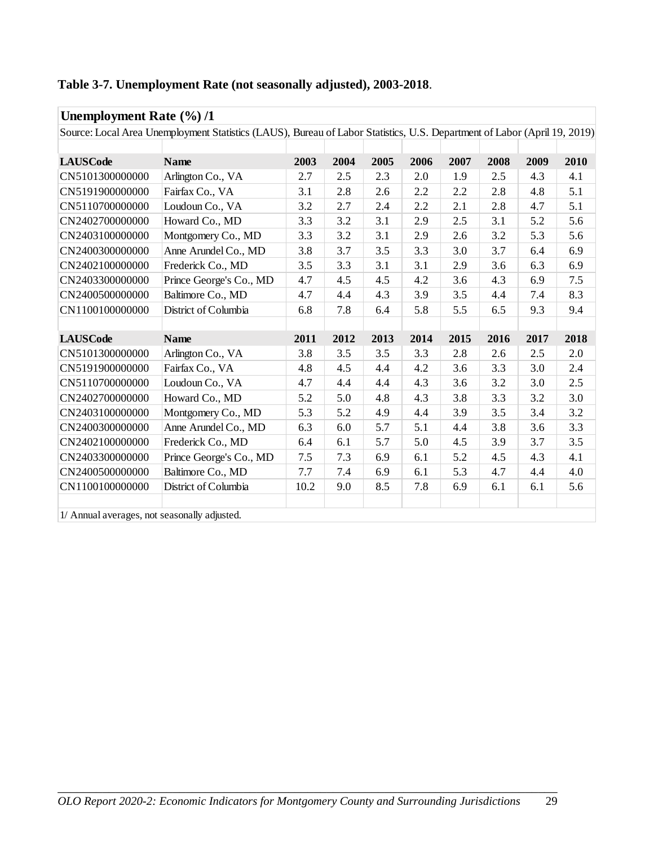| Unemployment Rate $(\frac{6}{6})/1$          |                                                                                                                          |      |      |      |      |      |      |      |      |
|----------------------------------------------|--------------------------------------------------------------------------------------------------------------------------|------|------|------|------|------|------|------|------|
|                                              | Source: Local Area Unemployment Statistics (LAUS), Bureau of Labor Statistics, U.S. Department of Labor (April 19, 2019) |      |      |      |      |      |      |      |      |
|                                              |                                                                                                                          |      |      |      |      |      |      |      |      |
| <b>LAUSCode</b>                              | <b>Name</b>                                                                                                              | 2003 | 2004 | 2005 | 2006 | 2007 | 2008 | 2009 | 2010 |
| CN5101300000000                              | Arlington Co., VA                                                                                                        | 2.7  | 2.5  | 2.3  | 2.0  | 1.9  | 2.5  | 4.3  | 4.1  |
| CN5191900000000                              | Fairfax Co., VA                                                                                                          | 3.1  | 2.8  | 2.6  | 2.2  | 2.2  | 2.8  | 4.8  | 5.1  |
| CN5110700000000                              | Loudoun Co., VA                                                                                                          | 3.2  | 2.7  | 2.4  | 2.2  | 2.1  | 2.8  | 4.7  | 5.1  |
| CN2402700000000                              | Howard Co., MD                                                                                                           | 3.3  | 3.2  | 3.1  | 2.9  | 2.5  | 3.1  | 5.2  | 5.6  |
| CN2403100000000                              | Montgomery Co., MD                                                                                                       | 3.3  | 3.2  | 3.1  | 2.9  | 2.6  | 3.2  | 5.3  | 5.6  |
| CN2400300000000                              | Anne Arundel Co., MD                                                                                                     | 3.8  | 3.7  | 3.5  | 3.3  | 3.0  | 3.7  | 6.4  | 6.9  |
| CN2402100000000                              | Frederick Co., MD                                                                                                        | 3.5  | 3.3  | 3.1  | 3.1  | 2.9  | 3.6  | 6.3  | 6.9  |
| CN2403300000000                              | Prince George's Co., MD                                                                                                  | 4.7  | 4.5  | 4.5  | 4.2  | 3.6  | 4.3  | 6.9  | 7.5  |
| CN2400500000000                              | Baltimore Co., MD                                                                                                        | 4.7  | 4.4  | 4.3  | 3.9  | 3.5  | 4.4  | 7.4  | 8.3  |
| CN1100100000000                              | District of Columbia                                                                                                     | 6.8  | 7.8  | 6.4  | 5.8  | 5.5  | 6.5  | 9.3  | 9.4  |
|                                              |                                                                                                                          |      |      |      |      |      |      |      |      |
| <b>LAUSCode</b>                              | <b>Name</b>                                                                                                              | 2011 | 2012 | 2013 | 2014 | 2015 | 2016 | 2017 | 2018 |
| CN5101300000000                              | Arlington Co., VA                                                                                                        | 3.8  | 3.5  | 3.5  | 3.3  | 2.8  | 2.6  | 2.5  | 2.0  |
| CN5191900000000                              | Fairfax Co., VA                                                                                                          | 4.8  | 4.5  | 4.4  | 4.2  | 3.6  | 3.3  | 3.0  | 2.4  |
| CN5110700000000                              | Loudoun Co., VA                                                                                                          | 4.7  | 4.4  | 4.4  | 4.3  | 3.6  | 3.2  | 3.0  | 2.5  |
| CN2402700000000                              | Howard Co., MD                                                                                                           | 5.2  | 5.0  | 4.8  | 4.3  | 3.8  | 3.3  | 3.2  | 3.0  |
| CN2403100000000                              | Montgomery Co., MD                                                                                                       | 5.3  | 5.2  | 4.9  | 4.4  | 3.9  | 3.5  | 3.4  | 3.2  |
| CN2400300000000                              | Anne Arundel Co., MD                                                                                                     | 6.3  | 6.0  | 5.7  | 5.1  | 4.4  | 3.8  | 3.6  | 3.3  |
| CN2402100000000                              | Frederick Co., MD                                                                                                        | 6.4  | 6.1  | 5.7  | 5.0  | 4.5  | 3.9  | 3.7  | 3.5  |
| CN2403300000000                              | Prince George's Co., MD                                                                                                  | 7.5  | 7.3  | 6.9  | 6.1  | 5.2  | 4.5  | 4.3  | 4.1  |
| CN2400500000000                              | Baltimore Co., MD                                                                                                        | 7.7  | 7.4  | 6.9  | 6.1  | 5.3  | 4.7  | 4.4  | 4.0  |
| CN1100100000000                              | District of Columbia                                                                                                     | 10.2 | 9.0  | 8.5  | 7.8  | 6.9  | 6.1  | 6.1  | 5.6  |
|                                              |                                                                                                                          |      |      |      |      |      |      |      |      |
| 1/ Annual averages, not seasonally adjusted. |                                                                                                                          |      |      |      |      |      |      |      |      |

# **Table 3-7. Unemployment Rate (not seasonally adjusted), 2003-2018**.

\_\_\_\_\_\_\_\_\_\_\_\_\_\_\_\_\_\_\_\_\_\_\_\_\_\_\_\_\_\_\_\_\_\_\_\_\_\_\_\_\_\_\_\_\_\_\_\_\_\_\_\_\_\_\_\_\_\_\_\_\_\_\_\_\_\_\_\_\_\_\_\_\_\_\_\_\_\_ *OLO Report 2020-2: Economic Indicators for Montgomery County and Surrounding Jurisdictions* 29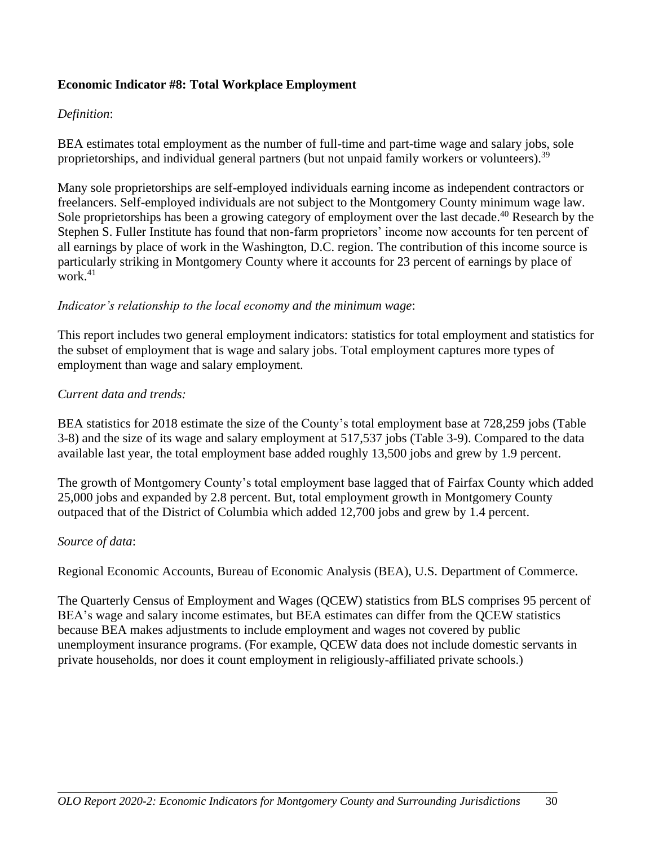#### **Economic Indicator #8: Total Workplace Employment**

#### *Definition*:

BEA estimates total employment as the number of full-time and part-time wage and salary jobs, sole proprietorships, and individual general partners (but not unpaid family workers or volunteers).<sup>39</sup>

Many sole proprietorships are self-employed individuals earning income as independent contractors or freelancers. Self-employed individuals are not subject to the Montgomery County minimum wage law. Sole proprietorships has been a growing category of employment over the last decade.<sup>40</sup> Research by the Stephen S. Fuller Institute has found that non-farm proprietors' income now accounts for ten percent of all earnings by place of work in the Washington, D.C. region. The contribution of this income source is particularly striking in Montgomery County where it accounts for 23 percent of earnings by place of work $^{41}$ 

#### *Indicator's relationship to the local economy and the minimum wage*:

This report includes two general employment indicators: statistics for total employment and statistics for the subset of employment that is wage and salary jobs. Total employment captures more types of employment than wage and salary employment.

#### *Current data and trends:*

BEA statistics for 2018 estimate the size of the County's total employment base at 728,259 jobs (Table 3-8) and the size of its wage and salary employment at 517,537 jobs (Table 3-9). Compared to the data available last year, the total employment base added roughly 13,500 jobs and grew by 1.9 percent.

The growth of Montgomery County's total employment base lagged that of Fairfax County which added 25,000 jobs and expanded by 2.8 percent. But, total employment growth in Montgomery County outpaced that of the District of Columbia which added 12,700 jobs and grew by 1.4 percent.

#### *Source of data*:

Regional Economic Accounts, Bureau of Economic Analysis (BEA), U.S. Department of Commerce.

The Quarterly Census of Employment and Wages (QCEW) statistics from BLS comprises 95 percent of BEA's wage and salary income estimates, but BEA estimates can differ from the QCEW statistics because BEA makes adjustments to include employment and wages not covered by public unemployment insurance programs. (For example, QCEW data does not include domestic servants in private households, nor does it count employment in religiously-affiliated private schools.)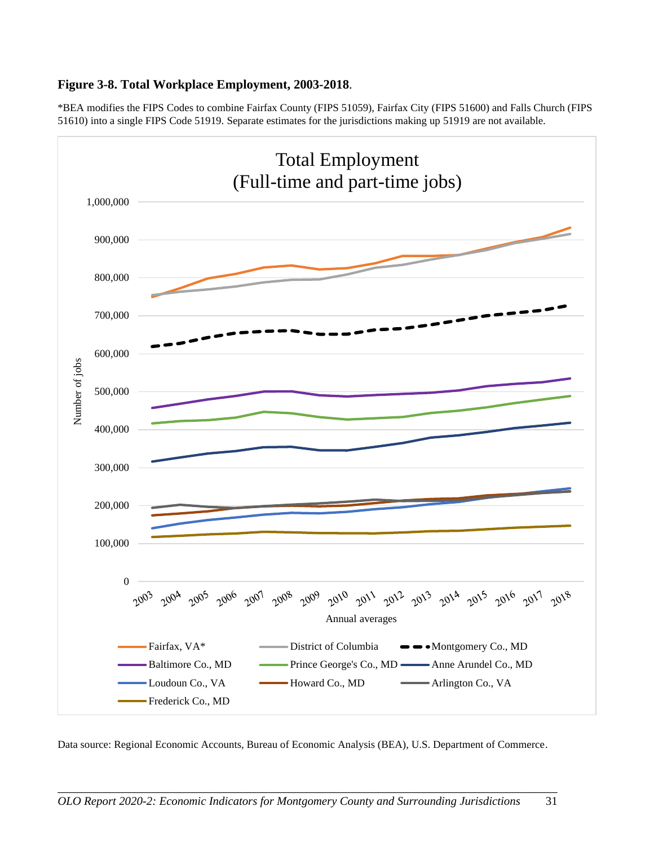#### **Figure 3-8. Total Workplace Employment, 2003-2018**.

\*BEA modifies the FIPS Codes to combine Fairfax County (FIPS 51059), Fairfax City (FIPS 51600) and Falls Church (FIPS 51610) into a single FIPS Code 51919. Separate estimates for the jurisdictions making up 51919 are not available.



Data source: Regional Economic Accounts, Bureau of Economic Analysis (BEA), U.S. Department of Commerce.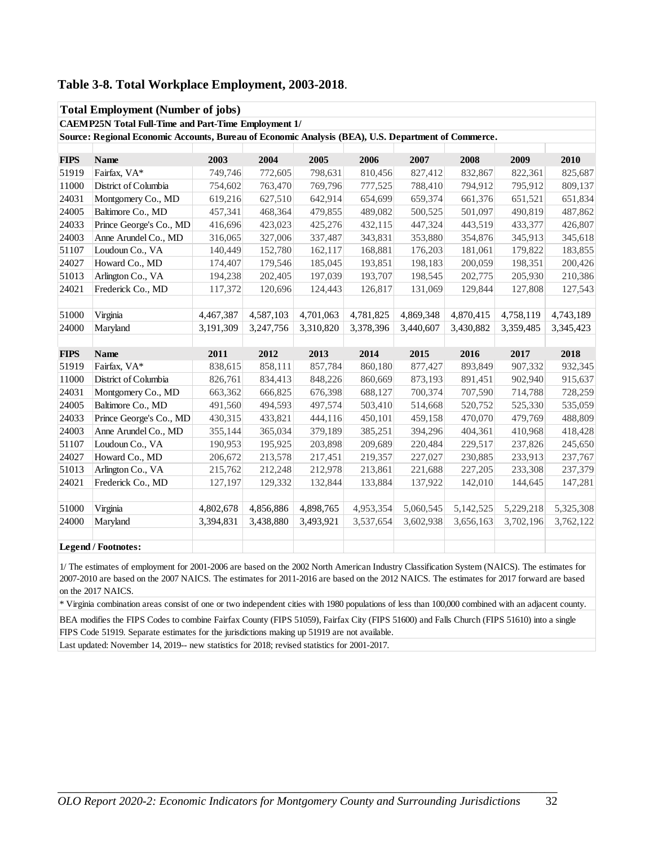|             | <b>Total Employment (Number of jobs)</b>                                                            |           |           |           |           |           |           |           |           |  |
|-------------|-----------------------------------------------------------------------------------------------------|-----------|-----------|-----------|-----------|-----------|-----------|-----------|-----------|--|
|             | <b>CAEMP25N Total Full-Time and Part-Time Employment 1/</b>                                         |           |           |           |           |           |           |           |           |  |
|             | Source: Regional Economic Accounts, Bureau of Economic Analysis (BEA), U.S. Department of Commerce. |           |           |           |           |           |           |           |           |  |
|             |                                                                                                     |           |           |           |           |           |           |           |           |  |
| <b>FIPS</b> | <b>Name</b>                                                                                         | 2003      | 2004      | 2005      | 2006      | 2007      | 2008      | 2009      | 2010      |  |
| 51919       | Fairfax, VA*                                                                                        | 749,746   | 772,605   | 798,631   | 810,456   | 827,412   | 832,867   | 822,361   | 825,687   |  |
| 11000       | District of Columbia                                                                                | 754,602   | 763,470   | 769,796   | 777,525   | 788,410   | 794,912   | 795,912   | 809,137   |  |
| 24031       | Montgomery Co., MD                                                                                  | 619,216   | 627,510   | 642,914   | 654,699   | 659,374   | 661,376   | 651,521   | 651,834   |  |
| 24005       | Baltimore Co., MD                                                                                   | 457,341   | 468,364   | 479,855   | 489,082   | 500,525   | 501,097   | 490,819   | 487,862   |  |
| 24033       | Prince George's Co., MD                                                                             | 416,696   | 423,023   | 425,276   | 432,115   | 447,324   | 443,519   | 433,377   | 426,807   |  |
| 24003       | Anne Arundel Co., MD                                                                                | 316,065   | 327,006   | 337,487   | 343,831   | 353,880   | 354,876   | 345,913   | 345,618   |  |
| 51107       | Loudoun Co., VA                                                                                     | 140,449   | 152,780   | 162,117   | 168,881   | 176,203   | 181,061   | 179,822   | 183,855   |  |
| 24027       | Howard Co., MD                                                                                      | 174,407   | 179,546   | 185,045   | 193,851   | 198,183   | 200,059   | 198,351   | 200,426   |  |
| 51013       | Arlington Co., VA                                                                                   | 194,238   | 202,405   | 197,039   | 193,707   | 198,545   | 202,775   | 205,930   | 210,386   |  |
| 24021       | Frederick Co., MD                                                                                   | 117,372   | 120,696   | 124,443   | 126,817   | 131,069   | 129,844   | 127,808   | 127,543   |  |
|             |                                                                                                     |           |           |           |           |           |           |           |           |  |
| 51000       | Virginia                                                                                            | 4,467,387 | 4,587,103 | 4,701,063 | 4,781,825 | 4,869,348 | 4,870,415 | 4,758,119 | 4,743,189 |  |
| 24000       | Maryland                                                                                            | 3,191,309 | 3,247,756 | 3,310,820 | 3,378,396 | 3,440,607 | 3,430,882 | 3,359,485 | 3,345,423 |  |
|             |                                                                                                     |           |           |           |           |           |           |           |           |  |
| <b>FIPS</b> | <b>Name</b>                                                                                         | 2011      | 2012      | 2013      | 2014      | 2015      | 2016      | 2017      | 2018      |  |
| 51919       | Fairfax, VA*                                                                                        | 838,615   | 858,111   | 857,784   | 860,180   | 877,427   | 893,849   | 907,332   | 932,345   |  |
| 11000       | District of Columbia                                                                                | 826,761   | 834,413   | 848,226   | 860,669   | 873,193   | 891,451   | 902,940   | 915,637   |  |
| 24031       | Montgomery Co., MD                                                                                  | 663,362   | 666,825   | 676,398   | 688,127   | 700,374   | 707,590   | 714,788   | 728,259   |  |
| 24005       | Baltimore Co., MD                                                                                   | 491,560   | 494,593   | 497,574   | 503,410   | 514,668   | 520,752   | 525,330   | 535,059   |  |
| 24033       | Prince George's Co., MD                                                                             | 430,315   | 433,821   | 444,116   | 450,101   | 459,158   | 470,070   | 479,769   | 488,809   |  |
| 24003       | Anne Arundel Co., MD                                                                                | 355,144   | 365,034   | 379,189   | 385,251   | 394,296   | 404,361   | 410,968   | 418,428   |  |
| 51107       | Loudoun Co., VA                                                                                     | 190,953   | 195,925   | 203,898   | 209,689   | 220,484   | 229,517   | 237,826   | 245,650   |  |
| 24027       | Howard Co., MD                                                                                      | 206,672   | 213,578   | 217,451   | 219,357   | 227,027   | 230,885   | 233,913   | 237,767   |  |
| 51013       | Arlington Co., VA                                                                                   | 215,762   | 212,248   | 212,978   | 213,861   | 221,688   | 227,205   | 233,308   | 237,379   |  |
| 24021       | Frederick Co., MD                                                                                   | 127,197   | 129,332   | 132,844   | 133,884   | 137,922   | 142,010   | 144,645   | 147,281   |  |
|             |                                                                                                     |           |           |           |           |           |           |           |           |  |
| 51000       | Virginia                                                                                            | 4,802,678 | 4,856,886 | 4,898,765 | 4,953,354 | 5,060,545 | 5,142,525 | 5,229,218 | 5,325,308 |  |
| 24000       | Maryland                                                                                            | 3,394,831 | 3,438,880 | 3,493,921 | 3,537,654 | 3,602,938 | 3,656,163 | 3,702,196 | 3,762,122 |  |
|             |                                                                                                     |           |           |           |           |           |           |           |           |  |
|             | <b>Legend / Footnotes:</b>                                                                          |           |           |           |           |           |           |           |           |  |

#### **Table 3-8. Total Workplace Employment, 2003-2018**.

1/ The estimates of employment for 2001-2006 are based on the 2002 North American Industry Classification System (NAICS). The estimates for 2007-2010 are based on the 2007 NAICS. The estimates for 2011-2016 are based on the 2012 NAICS. The estimates for 2017 forward are based on the 2017 NAICS.

\* Virginia combination areas consist of one or two independent cities with 1980 populations of less than 100,000 combined with an adjacent county.

BEA modifies the FIPS Codes to combine Fairfax County (FIPS 51059), Fairfax City (FIPS 51600) and Falls Church (FIPS 51610) into a single FIPS Code 51919. Separate estimates for the jurisdictions making up 51919 are not available.

Last updated: November 14, 2019-- new statistics for 2018; revised statistics for 2001-2017.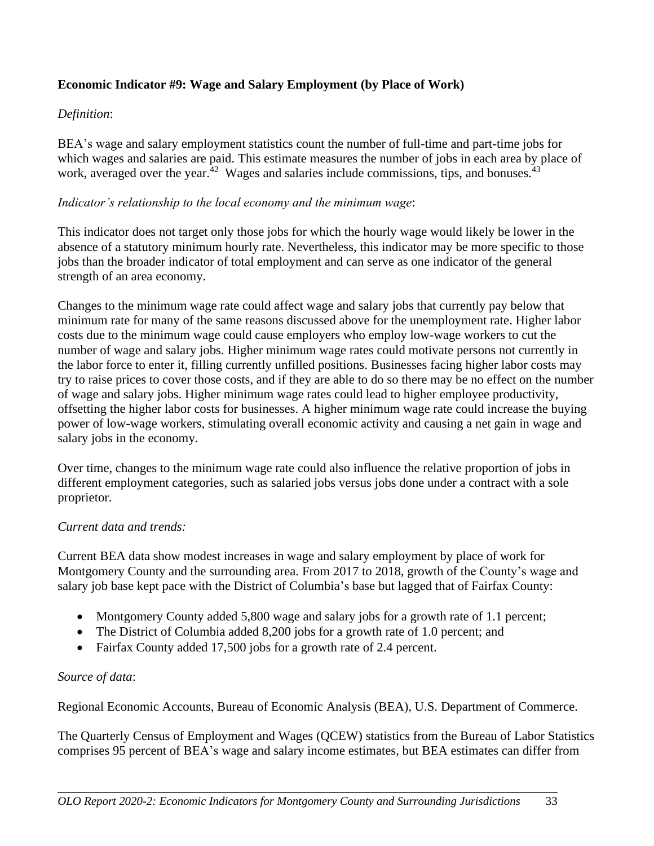## **Economic Indicator #9: Wage and Salary Employment (by Place of Work)**

## *Definition*:

BEA's wage and salary employment statistics count the number of full-time and part-time jobs for which wages and salaries are paid. This estimate measures the number of jobs in each area by place of work, averaged over the year.<sup>42</sup> Wages and salaries include commissions, tips, and bonuses.<sup>43</sup>

#### *Indicator's relationship to the local economy and the minimum wage*:

This indicator does not target only those jobs for which the hourly wage would likely be lower in the absence of a statutory minimum hourly rate. Nevertheless, this indicator may be more specific to those jobs than the broader indicator of total employment and can serve as one indicator of the general strength of an area economy.

Changes to the minimum wage rate could affect wage and salary jobs that currently pay below that minimum rate for many of the same reasons discussed above for the unemployment rate. Higher labor costs due to the minimum wage could cause employers who employ low-wage workers to cut the number of wage and salary jobs. Higher minimum wage rates could motivate persons not currently in the labor force to enter it, filling currently unfilled positions. Businesses facing higher labor costs may try to raise prices to cover those costs, and if they are able to do so there may be no effect on the number of wage and salary jobs. Higher minimum wage rates could lead to higher employee productivity, offsetting the higher labor costs for businesses. A higher minimum wage rate could increase the buying power of low-wage workers, stimulating overall economic activity and causing a net gain in wage and salary jobs in the economy.

Over time, changes to the minimum wage rate could also influence the relative proportion of jobs in different employment categories, such as salaried jobs versus jobs done under a contract with a sole proprietor.

#### *Current data and trends:*

Current BEA data show modest increases in wage and salary employment by place of work for Montgomery County and the surrounding area. From 2017 to 2018, growth of the County's wage and salary job base kept pace with the District of Columbia's base but lagged that of Fairfax County:

- Montgomery County added 5,800 wage and salary jobs for a growth rate of 1.1 percent;
- The District of Columbia added 8,200 jobs for a growth rate of 1.0 percent; and
- Fairfax County added 17,500 jobs for a growth rate of 2.4 percent.

#### *Source of data*:

Regional Economic Accounts, Bureau of Economic Analysis (BEA), U.S. Department of Commerce.

The Quarterly Census of Employment and Wages (QCEW) statistics from the Bureau of Labor Statistics comprises 95 percent of BEA's wage and salary income estimates, but BEA estimates can differ from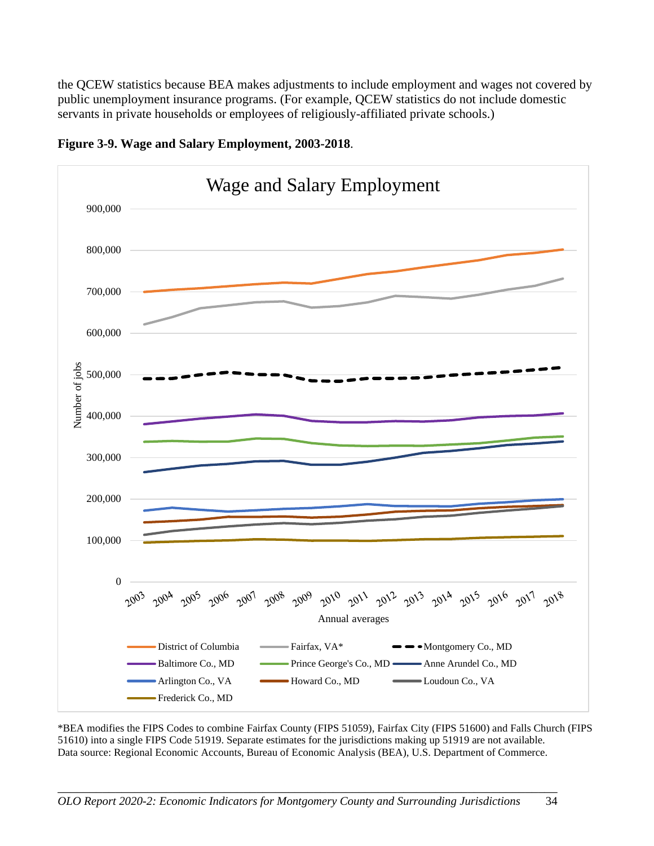the QCEW statistics because BEA makes adjustments to include employment and wages not covered by public unemployment insurance programs. (For example, QCEW statistics do not include domestic servants in private households or employees of religiously-affiliated private schools.)



![](_page_38_Figure_2.jpeg)

\*BEA modifies the FIPS Codes to combine Fairfax County (FIPS 51059), Fairfax City (FIPS 51600) and Falls Church (FIPS 51610) into a single FIPS Code 51919. Separate estimates for the jurisdictions making up 51919 are not available. Data source: Regional Economic Accounts, Bureau of Economic Analysis (BEA), U.S. Department of Commerce.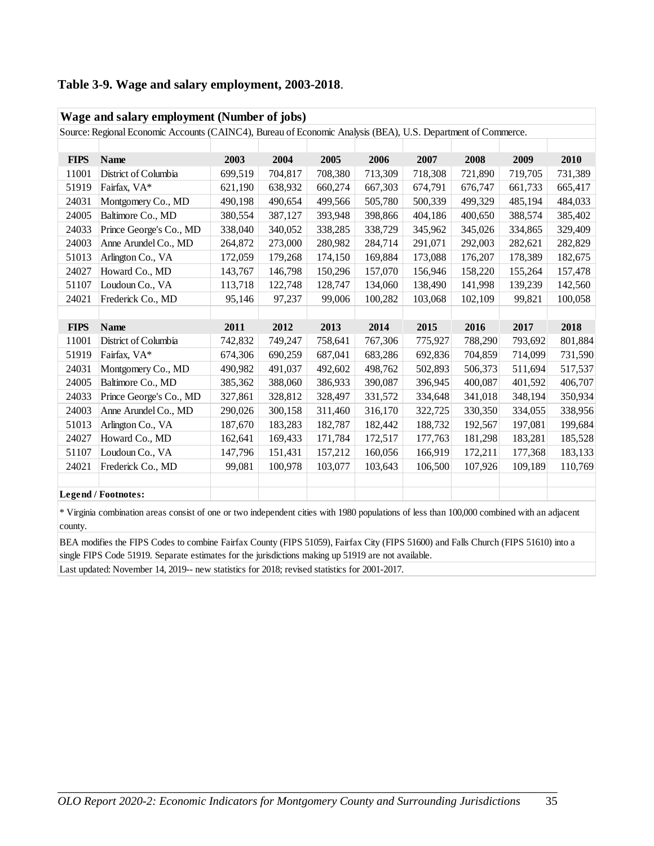|  |  |  | Table 3-9. Wage and salary employment, 2003-2018. |  |
|--|--|--|---------------------------------------------------|--|
|--|--|--|---------------------------------------------------|--|

| Wage and salary employment (Number of jobs) |                                                                                                              |         |         |         |         |         |         |         |                               |  |
|---------------------------------------------|--------------------------------------------------------------------------------------------------------------|---------|---------|---------|---------|---------|---------|---------|-------------------------------|--|
|                                             | Source: Regional Economic Accounts (CAINC4), Bureau of Economic Analysis (BEA), U.S. Department of Commerce. |         |         |         |         |         |         |         |                               |  |
|                                             |                                                                                                              |         |         |         |         |         |         |         |                               |  |
| <b>FIPS</b>                                 | <b>Name</b>                                                                                                  | 2003    | 2004    | 2005    | 2006    | 2007    | 2008    | 2009    | 2010                          |  |
| 11001                                       | District of Columbia                                                                                         | 699,519 | 704,817 | 708,380 | 713,309 | 718,308 | 721,890 | 719,705 | 731,389                       |  |
| 51919                                       | Fairfax, VA*                                                                                                 | 621,190 | 638,932 | 660,274 | 667,303 | 674,791 | 676,747 | 661,733 | 665,417                       |  |
| 24031                                       | Montgomery Co., MD                                                                                           | 490,198 | 490,654 | 499,566 | 505,780 | 500,339 | 499,329 | 485,194 | 484,033                       |  |
| 24005                                       | Baltimore Co., MD                                                                                            | 380,554 | 387,127 | 393,948 | 398,866 | 404,186 | 400,650 | 388,574 | 385,402                       |  |
| 24033                                       | Prince George's Co., MD                                                                                      | 338,040 | 340,052 | 338,285 | 338,729 | 345,962 | 345,026 | 334,865 | 329,409                       |  |
| 24003                                       | Anne Arundel Co., MD                                                                                         | 264,872 | 273,000 | 280,982 | 284,714 | 291,071 | 292,003 | 282,621 | 282,829                       |  |
| 51013                                       | Arlington Co., VA                                                                                            | 172,059 | 179,268 | 174,150 | 169,884 | 173,088 | 176,207 | 178,389 | 182,675                       |  |
| 24027                                       | Howard Co., MD                                                                                               | 143,767 | 146,798 | 150,296 | 157,070 | 156,946 | 158,220 | 155,264 | 157,478                       |  |
| 51107                                       | Loudoun Co., VA                                                                                              | 113,718 | 122,748 | 128,747 | 134,060 | 138,490 | 141,998 | 139,239 | 142,560                       |  |
| 24021                                       | Frederick Co., MD                                                                                            | 95,146  | 97,237  | 99,006  | 100,282 | 103,068 | 102,109 | 99,821  | 100,058                       |  |
|                                             |                                                                                                              |         |         |         |         |         |         |         |                               |  |
| <b>FIPS</b>                                 | <b>Name</b>                                                                                                  | 2011    | 2012    | 2013    | 2014    | 2015    | 2016    | 2017    | 2018                          |  |
|                                             |                                                                                                              |         |         |         |         |         |         |         |                               |  |
| 11001                                       | District of Columbia                                                                                         | 742,832 | 749,247 | 758,641 | 767,306 | 775,927 | 788,290 | 793,692 | 801,884                       |  |
| 51919                                       | Fairfax, VA*                                                                                                 | 674,306 | 690,259 | 687,041 | 683,286 | 692,836 | 704,859 | 714,099 |                               |  |
| 24031                                       | Montgomery Co., MD                                                                                           | 490,982 | 491,037 | 492,602 | 498,762 | 502,893 | 506,373 | 511,694 |                               |  |
| 24005                                       | Baltimore Co., MD                                                                                            | 385,362 | 388,060 | 386,933 | 390,087 | 396,945 | 400,087 | 401,592 | 731,590<br>517,537<br>406,707 |  |
| 24033                                       | Prince George's Co., MD                                                                                      | 327,861 | 328,812 | 328,497 | 331,572 | 334,648 | 341,018 | 348,194 | 350,934                       |  |
| 24003                                       | Anne Arundel Co., MD                                                                                         | 290,026 | 300,158 | 311,460 | 316,170 | 322,725 | 330,350 | 334,055 |                               |  |
| 51013                                       | Arlington Co., VA                                                                                            | 187,670 | 183,283 | 182,787 | 182,442 | 188,732 | 192,567 | 197,081 | 338,956<br>199,684            |  |
| 24027                                       | Howard Co., MD                                                                                               | 162,641 | 169,433 | 171,784 | 172,517 | 177,763 | 181,298 | 183,281 | 185,528                       |  |
| 51107                                       | Loudoun Co., VA                                                                                              | 147,796 | 151,431 | 157,212 | 160,056 | 166,919 | 172,211 | 177,368 | 183,133                       |  |
| 24021                                       | Frederick Co., MD                                                                                            | 99,081  | 100,978 | 103,077 | 103,643 | 106,500 | 107,926 | 109,189 | 110,769                       |  |
|                                             |                                                                                                              |         |         |         |         |         |         |         |                               |  |

\* Virginia combination areas consist of one or two independent cities with 1980 populations of less than 100,000 combined with an adjacent county.

BEA modifies the FIPS Codes to combine Fairfax County (FIPS 51059), Fairfax City (FIPS 51600) and Falls Church (FIPS 51610) into a single FIPS Code 51919. Separate estimates for the jurisdictions making up 51919 are not available.

Last updated: November 14, 2019-- new statistics for 2018; revised statistics for 2001-2017.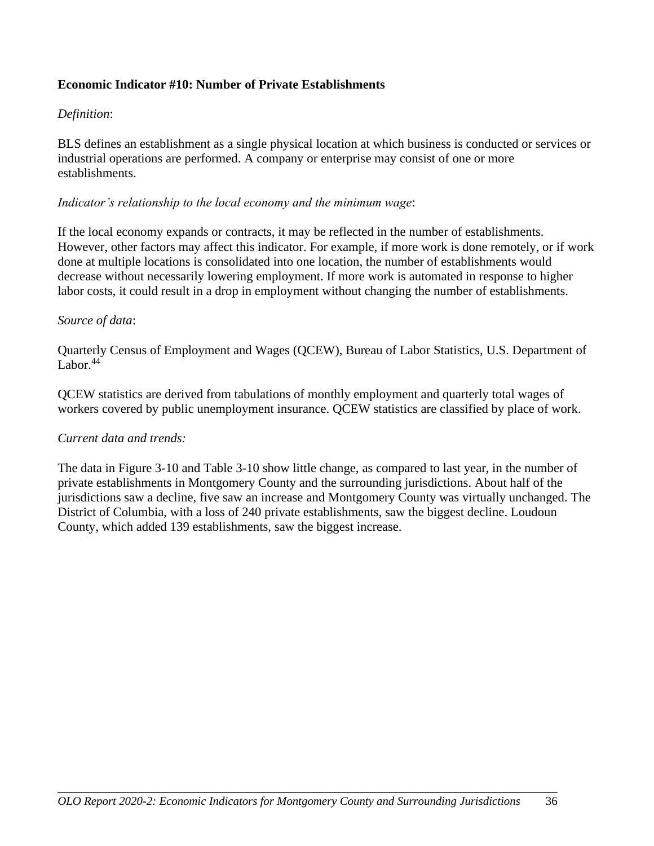### **Economic Indicator #10: Number of Private Establishments**

#### *Definition*:

BLS defines an establishment as a single physical location at which business is conducted or services or industrial operations are performed. A company or enterprise may consist of one or more establishments.

#### *Indicator's relationship to the local economy and the minimum wage*:

If the local economy expands or contracts, it may be reflected in the number of establishments. However, other factors may affect this indicator. For example, if more work is done remotely, or if work done at multiple locations is consolidated into one location, the number of establishments would decrease without necessarily lowering employment. If more work is automated in response to higher labor costs, it could result in a drop in employment without changing the number of establishments.

#### *Source of data*:

Quarterly Census of Employment and Wages (QCEW), Bureau of Labor Statistics, U.S. Department of Labor. $44$ 

QCEW statistics are derived from tabulations of monthly employment and quarterly total wages of workers covered by public unemployment insurance. QCEW statistics are classified by place of work.

#### *Current data and trends:*

The data in Figure 3-10 and Table 3-10 show little change, as compared to last year, in the number of private establishments in Montgomery County and the surrounding jurisdictions. About half of the jurisdictions saw a decline, five saw an increase and Montgomery County was virtually unchanged. The District of Columbia, with a loss of 240 private establishments, saw the biggest decline. Loudoun County, which added 139 establishments, saw the biggest increase.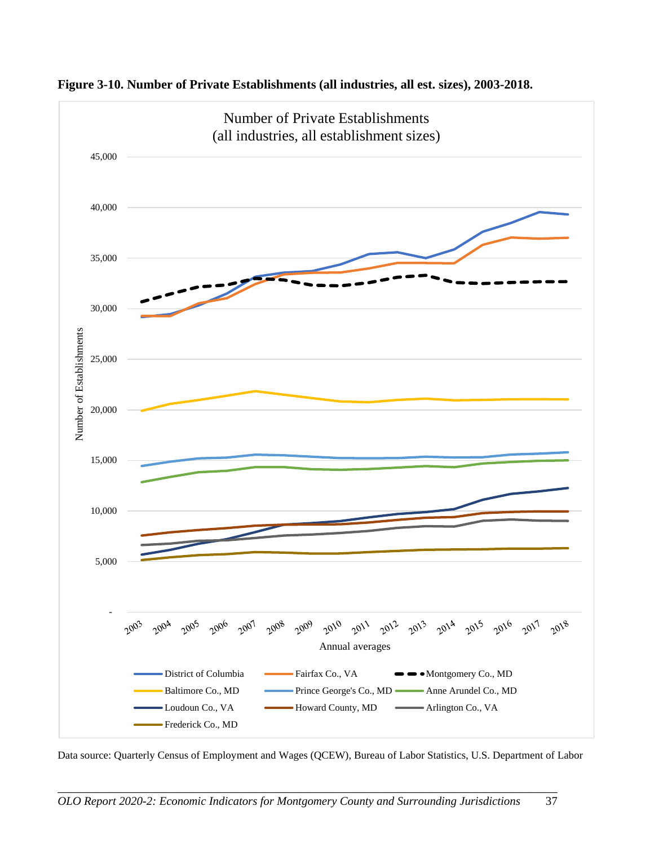![](_page_41_Figure_0.jpeg)

**Figure 3-10. Number of Private Establishments (all industries, all est. sizes), 2003-2018.**

Data source: Quarterly Census of Employment and Wages (QCEW), Bureau of Labor Statistics, U.S. Department of Labor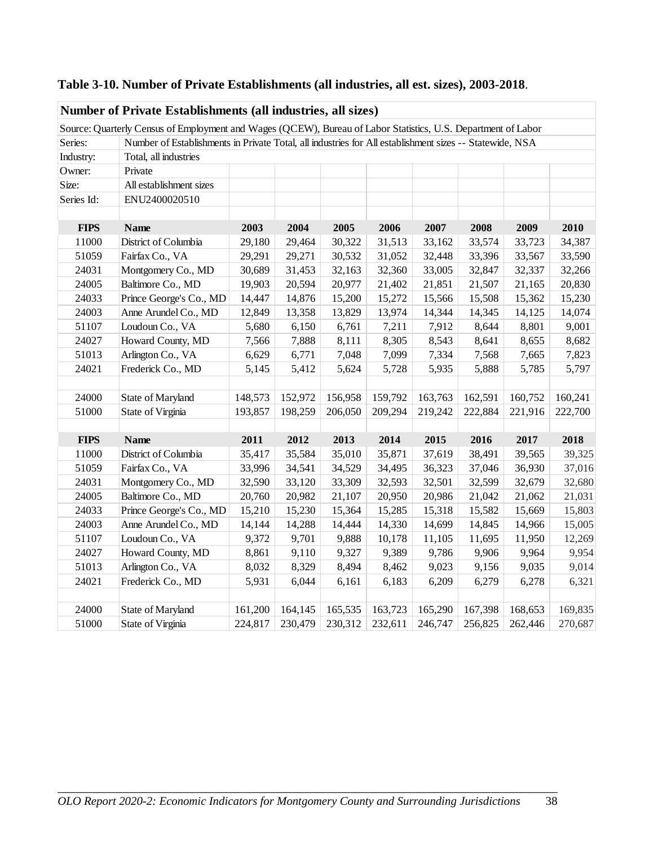|             | Number of Private Establishments (all industries, all sizes)                                                  |         |         |         |         |         |         |         |         |
|-------------|---------------------------------------------------------------------------------------------------------------|---------|---------|---------|---------|---------|---------|---------|---------|
|             | Source: Quarterly Census of Employment and Wages (QCEW), Bureau of Labor Statistics, U.S. Department of Labor |         |         |         |         |         |         |         |         |
| Series:     | Number of Establishments in Private Total, all industries for All establishment sizes -- Statewide, NSA       |         |         |         |         |         |         |         |         |
| Industry:   | Total, all industries                                                                                         |         |         |         |         |         |         |         |         |
| Owner:      | Private                                                                                                       |         |         |         |         |         |         |         |         |
| Size:       | All establishment sizes                                                                                       |         |         |         |         |         |         |         |         |
| Series Id:  | ENU2400020510                                                                                                 |         |         |         |         |         |         |         |         |
|             |                                                                                                               |         |         |         |         |         |         |         |         |
| <b>FIPS</b> | <b>Name</b>                                                                                                   | 2003    | 2004    | 2005    | 2006    | 2007    | 2008    | 2009    | 2010    |
| 11000       | District of Columbia                                                                                          | 29,180  | 29,464  | 30,322  | 31,513  | 33,162  | 33,574  | 33,723  | 34,387  |
| 51059       | Fairfax Co., VA                                                                                               | 29,291  | 29,271  | 30,532  | 31,052  | 32,448  | 33,396  | 33,567  | 33,590  |
| 24031       | Montgomery Co., MD                                                                                            | 30,689  | 31,453  | 32,163  | 32,360  | 33,005  | 32,847  | 32,337  | 32,266  |
| 24005       | Baltimore Co., MD                                                                                             | 19,903  | 20,594  | 20,977  | 21,402  | 21,851  | 21,507  | 21,165  | 20,830  |
| 24033       | Prince George's Co., MD                                                                                       | 14,447  | 14,876  | 15,200  | 15,272  | 15,566  | 15,508  | 15,362  | 15,230  |
| 24003       | Anne Arundel Co., MD                                                                                          | 12,849  | 13,358  | 13,829  | 13,974  | 14,344  | 14,345  | 14,125  | 14,074  |
| 51107       | Loudoun Co., VA                                                                                               | 5,680   | 6,150   | 6,761   | 7,211   | 7,912   | 8,644   | 8,801   | 9,001   |
| 24027       | Howard County, MD                                                                                             | 7,566   | 7,888   | 8,111   | 8,305   | 8,543   | 8,641   | 8,655   | 8,682   |
| 51013       | Arlington Co., VA                                                                                             | 6,629   | 6,771   | 7,048   | 7,099   | 7,334   | 7,568   | 7,665   | 7,823   |
| 24021       | Frederick Co., MD                                                                                             | 5,145   | 5,412   | 5,624   | 5,728   | 5,935   | 5,888   | 5,785   | 5,797   |
|             |                                                                                                               |         |         |         |         |         |         |         |         |
| 24000       | State of Maryland                                                                                             | 148,573 | 152,972 | 156,958 | 159,792 | 163,763 | 162,591 | 160,752 | 160,241 |
| 51000       | State of Virginia                                                                                             | 193,857 | 198,259 | 206,050 | 209,294 | 219,242 | 222,884 | 221,916 | 222,700 |
|             |                                                                                                               |         |         |         |         |         |         |         |         |
| <b>FIPS</b> | <b>Name</b>                                                                                                   | 2011    | 2012    | 2013    | 2014    | 2015    | 2016    | 2017    | 2018    |
| 11000       | District of Columbia                                                                                          | 35,417  | 35,584  | 35,010  | 35,871  | 37,619  | 38,491  | 39,565  | 39,325  |
| 51059       | Fairfax Co., VA                                                                                               | 33,996  | 34,541  | 34,529  | 34,495  | 36,323  | 37,046  | 36,930  | 37,016  |
| 24031       | Montgomery Co., MD                                                                                            | 32,590  | 33,120  | 33,309  | 32,593  | 32,501  | 32,599  | 32,679  | 32,680  |
| 24005       | Baltimore Co., MD                                                                                             | 20,760  | 20,982  | 21,107  | 20,950  | 20,986  | 21,042  | 21,062  | 21,031  |
| 24033       | Prince George's Co., MD                                                                                       | 15,210  | 15,230  | 15,364  | 15,285  | 15,318  | 15,582  | 15,669  | 15,803  |
| 24003       | Anne Arundel Co., MD                                                                                          | 14,144  | 14,288  | 14,444  | 14,330  | 14,699  | 14,845  | 14,966  | 15,005  |
| 51107       | Loudoun Co., VA                                                                                               | 9,372   | 9,701   | 9,888   | 10,178  | 11,105  | 11,695  | 11,950  | 12,269  |
| 24027       | Howard County, MD                                                                                             | 8,861   | 9,110   | 9,327   | 9,389   | 9,786   | 9,906   | 9,964   | 9,954   |
| 51013       | Arlington Co., VA                                                                                             | 8,032   | 8,329   | 8,494   | 8,462   | 9,023   | 9,156   | 9,035   | 9,014   |
| 24021       | Frederick Co., MD                                                                                             | 5,931   | 6,044   | 6,161   | 6,183   | 6,209   | 6,279   | 6,278   | 6,321   |
|             |                                                                                                               |         |         |         |         |         |         |         |         |
| 24000       | State of Maryland                                                                                             | 161,200 | 164,145 | 165,535 | 163,723 | 165,290 | 167,398 | 168,653 | 169,835 |
| 51000       | State of Virginia                                                                                             | 224,817 | 230,479 | 230,312 | 232,611 | 246,747 | 256,825 | 262,446 | 270,687 |

**Table 3-10. Number of Private Establishments (all industries, all est. sizes), 2003-2018**.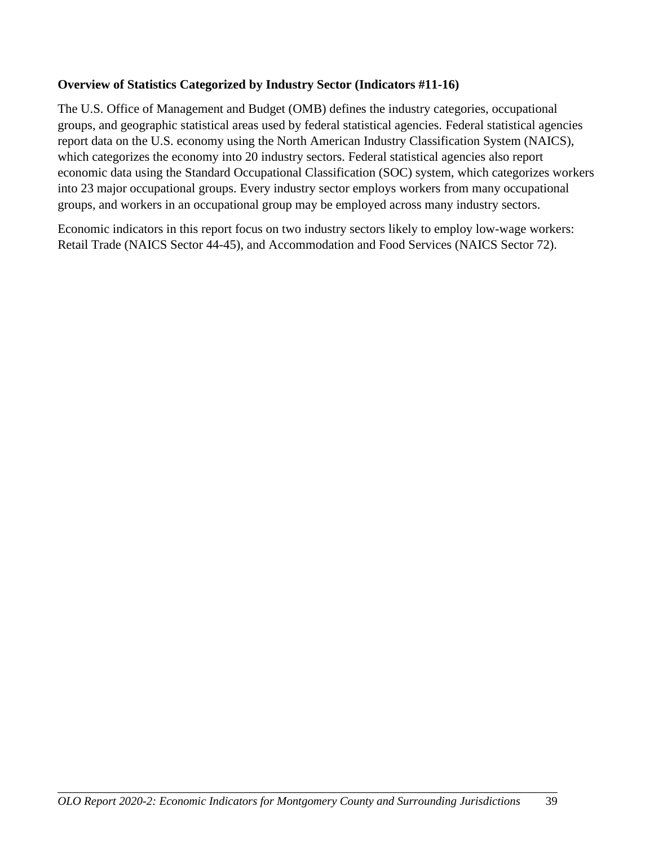## **Overview of Statistics Categorized by Industry Sector (Indicators #11-16)**

The U.S. Office of Management and Budget (OMB) defines the industry categories, occupational groups, and geographic statistical areas used by federal statistical agencies. Federal statistical agencies report data on the U.S. economy using the North American Industry Classification System (NAICS), which categorizes the economy into 20 industry sectors. Federal statistical agencies also report economic data using the Standard Occupational Classification (SOC) system, which categorizes workers into 23 major occupational groups. Every industry sector employs workers from many occupational groups, and workers in an occupational group may be employed across many industry sectors.

Economic indicators in this report focus on two industry sectors likely to employ low-wage workers: Retail Trade (NAICS Sector 44-45), and Accommodation and Food Services (NAICS Sector 72).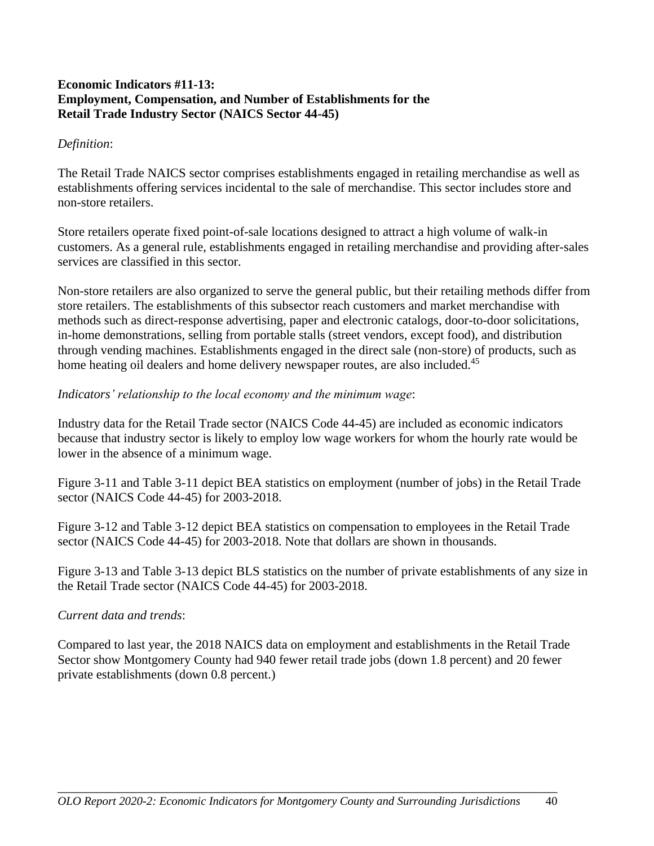#### **Economic Indicators #11-13: Employment, Compensation, and Number of Establishments for the Retail Trade Industry Sector (NAICS Sector 44-45)**

#### *Definition*:

The Retail Trade NAICS sector comprises establishments engaged in retailing merchandise as well as establishments offering services incidental to the sale of merchandise. This sector includes store and non-store retailers.

Store retailers operate fixed point-of-sale locations designed to attract a high volume of walk-in customers. As a general rule, establishments engaged in retailing merchandise and providing after-sales services are classified in this sector.

Non-store retailers are also organized to serve the general public, but their retailing methods differ from store retailers. The establishments of this subsector reach customers and market merchandise with methods such as direct-response advertising, paper and electronic catalogs, door-to-door solicitations, in-home demonstrations, selling from portable stalls (street vendors, except food), and distribution through vending machines. Establishments engaged in the direct sale (non-store) of products, such as home heating oil dealers and home delivery newspaper routes, are also included.<sup>45</sup>

#### *Indicators' relationship to the local economy and the minimum wage*:

Industry data for the Retail Trade sector (NAICS Code 44-45) are included as economic indicators because that industry sector is likely to employ low wage workers for whom the hourly rate would be lower in the absence of a minimum wage.

Figure 3-11 and Table 3-11 depict BEA statistics on employment (number of jobs) in the Retail Trade sector (NAICS Code 44-45) for 2003-2018.

Figure 3-12 and Table 3-12 depict BEA statistics on compensation to employees in the Retail Trade sector (NAICS Code 44-45) for 2003-2018. Note that dollars are shown in thousands.

Figure 3-13 and Table 3-13 depict BLS statistics on the number of private establishments of any size in the Retail Trade sector (NAICS Code 44-45) for 2003-2018.

## *Current data and trends*:

Compared to last year, the 2018 NAICS data on employment and establishments in the Retail Trade Sector show Montgomery County had 940 fewer retail trade jobs (down 1.8 percent) and 20 fewer private establishments (down 0.8 percent.)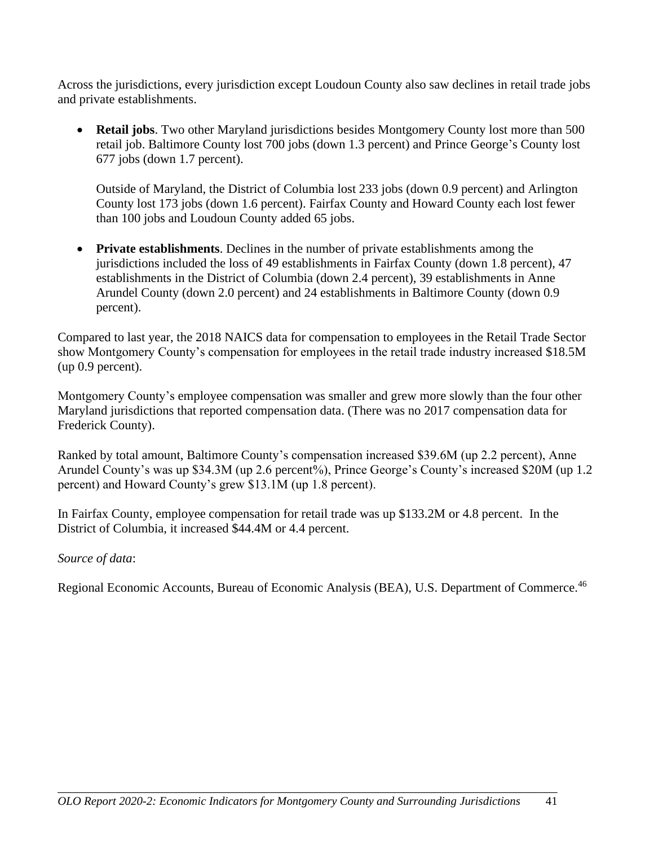Across the jurisdictions, every jurisdiction except Loudoun County also saw declines in retail trade jobs and private establishments.

• **Retail jobs**. Two other Maryland jurisdictions besides Montgomery County lost more than 500 retail job. Baltimore County lost 700 jobs (down 1.3 percent) and Prince George's County lost 677 jobs (down 1.7 percent).

Outside of Maryland, the District of Columbia lost 233 jobs (down 0.9 percent) and Arlington County lost 173 jobs (down 1.6 percent). Fairfax County and Howard County each lost fewer than 100 jobs and Loudoun County added 65 jobs.

• **Private establishments**. Declines in the number of private establishments among the jurisdictions included the loss of 49 establishments in Fairfax County (down 1.8 percent), 47 establishments in the District of Columbia (down 2.4 percent), 39 establishments in Anne Arundel County (down 2.0 percent) and 24 establishments in Baltimore County (down 0.9 percent).

Compared to last year, the 2018 NAICS data for compensation to employees in the Retail Trade Sector show Montgomery County's compensation for employees in the retail trade industry increased \$18.5M (up 0.9 percent).

Montgomery County's employee compensation was smaller and grew more slowly than the four other Maryland jurisdictions that reported compensation data. (There was no 2017 compensation data for Frederick County).

Ranked by total amount, Baltimore County's compensation increased \$39.6M (up 2.2 percent), Anne Arundel County's was up \$34.3M (up 2.6 percent%), Prince George's County's increased \$20M (up 1.2 percent) and Howard County's grew \$13.1M (up 1.8 percent).

In Fairfax County, employee compensation for retail trade was up \$133.2M or 4.8 percent. In the District of Columbia, it increased \$44.4M or 4.4 percent.

#### *Source of data*:

Regional Economic Accounts, Bureau of Economic Analysis (BEA), U.S. Department of Commerce.<sup>46</sup>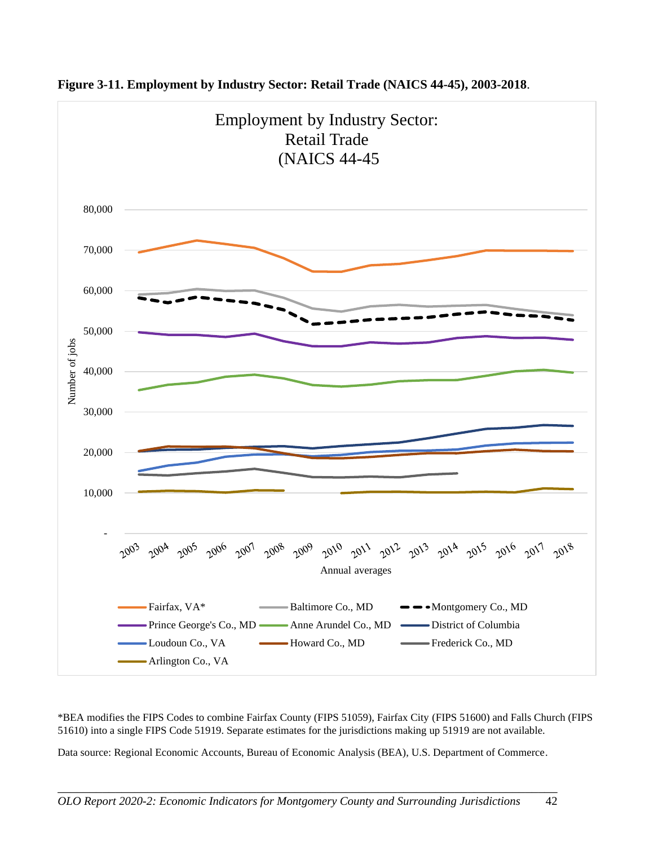![](_page_46_Figure_0.jpeg)

**Figure 3-11. Employment by Industry Sector: Retail Trade (NAICS 44-45), 2003-2018**.

\*BEA modifies the FIPS Codes to combine Fairfax County (FIPS 51059), Fairfax City (FIPS 51600) and Falls Church (FIPS 51610) into a single FIPS Code 51919. Separate estimates for the jurisdictions making up 51919 are not available.

Data source: Regional Economic Accounts, Bureau of Economic Analysis (BEA), U.S. Department of Commerce.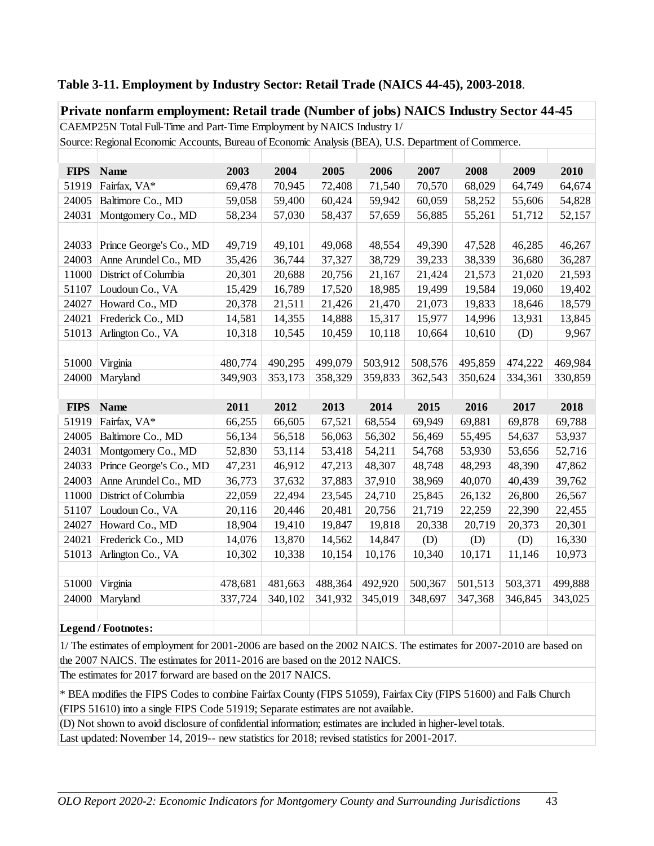|             | Private nonfarm employment: Retail trade (Number of jobs) NAICS Industry Sector 44-45               |         |         |         |         |         |         |         |         |  |
|-------------|-----------------------------------------------------------------------------------------------------|---------|---------|---------|---------|---------|---------|---------|---------|--|
|             | CAEMP25N Total Full-Time and Part-Time Employment by NAICS Industry 1/                              |         |         |         |         |         |         |         |         |  |
|             | Source: Regional Economic Accounts, Bureau of Economic Analysis (BEA), U.S. Department of Commerce. |         |         |         |         |         |         |         |         |  |
|             |                                                                                                     |         |         |         |         |         |         |         |         |  |
| <b>FIPS</b> | <b>Name</b>                                                                                         | 2003    | 2004    | 2005    | 2006    | 2007    | 2008    | 2009    | 2010    |  |
| 51919       | Fairfax, VA*                                                                                        | 69,478  | 70,945  | 72,408  | 71,540  | 70,570  | 68,029  | 64,749  | 64,674  |  |
| 24005       | Baltimore Co., MD                                                                                   | 59,058  | 59,400  | 60,424  | 59,942  | 60,059  | 58,252  | 55,606  | 54,828  |  |
| 24031       | Montgomery Co., MD                                                                                  | 58,234  | 57,030  | 58,437  | 57,659  | 56,885  | 55,261  | 51,712  | 52,157  |  |
|             |                                                                                                     |         |         |         |         |         |         |         |         |  |
| 24033       | Prince George's Co., MD                                                                             | 49,719  | 49,101  | 49,068  | 48,554  | 49,390  | 47,528  | 46,285  | 46,267  |  |
| 24003       | Anne Arundel Co., MD                                                                                | 35,426  | 36,744  | 37,327  | 38,729  | 39,233  | 38,339  | 36,680  | 36,287  |  |
| 11000       | District of Columbia                                                                                | 20,301  | 20,688  | 20,756  | 21,167  | 21,424  | 21,573  | 21,020  | 21,593  |  |
| 51107       | Loudoun Co., VA                                                                                     | 15,429  | 16,789  | 17,520  | 18,985  | 19,499  | 19,584  | 19,060  | 19,402  |  |
| 24027       | Howard Co., MD                                                                                      | 20,378  | 21,511  | 21,426  | 21,470  | 21,073  | 19,833  | 18,646  | 18,579  |  |
| 24021       | Frederick Co., MD                                                                                   | 14,581  | 14,355  | 14,888  | 15,317  | 15,977  | 14,996  | 13,931  | 13,845  |  |
| 51013       | Arlington Co., VA                                                                                   | 10,318  | 10,545  | 10,459  | 10,118  | 10,664  | 10,610  | (D)     | 9,967   |  |
|             |                                                                                                     |         |         |         |         |         |         |         |         |  |
| 51000       | Virginia                                                                                            | 480,774 | 490,295 | 499,079 | 503,912 | 508,576 | 495,859 | 474,222 | 469,984 |  |
| 24000       | Maryland                                                                                            | 349,903 | 353,173 | 358,329 | 359,833 | 362,543 | 350,624 | 334,361 | 330,859 |  |
|             |                                                                                                     |         |         |         |         |         |         |         |         |  |
| <b>FIPS</b> | <b>Name</b>                                                                                         | 2011    | 2012    | 2013    | 2014    | 2015    | 2016    | 2017    | 2018    |  |
| 51919       | Fairfax, VA*                                                                                        | 66,255  | 66,605  | 67,521  | 68,554  | 69,949  | 69,881  | 69,878  | 69,788  |  |
| 24005       | Baltimore Co., MD                                                                                   | 56,134  | 56,518  | 56,063  | 56,302  | 56,469  | 55,495  | 54,637  | 53,937  |  |
| 24031       | Montgomery Co., MD                                                                                  | 52,830  | 53,114  | 53,418  | 54,211  | 54,768  | 53,930  | 53,656  | 52,716  |  |
| 24033       | Prince George's Co., MD                                                                             | 47,231  | 46,912  | 47,213  | 48,307  | 48,748  | 48,293  | 48,390  | 47,862  |  |
| 24003       | Anne Arundel Co., MD                                                                                | 36,773  | 37,632  | 37,883  | 37,910  | 38,969  | 40,070  | 40,439  | 39,762  |  |
| 11000       | District of Columbia                                                                                | 22,059  | 22,494  | 23,545  | 24,710  | 25,845  | 26,132  | 26,800  | 26,567  |  |
| 51107       | Loudoun Co., VA                                                                                     | 20,116  | 20,446  | 20,481  | 20,756  | 21,719  | 22,259  | 22,390  | 22,455  |  |
| 24027       | Howard Co., MD                                                                                      | 18,904  | 19,410  | 19,847  | 19,818  | 20,338  | 20,719  | 20,373  | 20,301  |  |
| 24021       | Frederick Co., MD                                                                                   | 14,076  | 13,870  | 14,562  | 14,847  | (D)     | (D)     | (D)     | 16,330  |  |
| 51013       | Arlington Co., VA                                                                                   | 10,302  | 10,338  | 10,154  | 10,176  | 10,340  | 10,171  | 11,146  | 10,973  |  |
|             |                                                                                                     |         |         |         |         |         |         |         |         |  |
| 51000       | Virginia                                                                                            | 478,681 | 481,663 | 488,364 | 492,920 | 500,367 | 501,513 | 503,371 | 499,888 |  |
| 24000       | Maryland                                                                                            | 337,724 | 340,102 | 341,932 | 345,019 | 348,697 | 347,368 | 346,845 | 343,025 |  |
|             |                                                                                                     |         |         |         |         |         |         |         |         |  |
|             | <b>Legend / Footnotes:</b>                                                                          |         |         |         |         |         |         |         |         |  |

#### **Table 3-11. Employment by Industry Sector: Retail Trade (NAICS 44-45), 2003-2018**.

1/ The estimates of employment for 2001-2006 are based on the 2002 NAICS. The estimates for 2007-2010 are based on the 2007 NAICS. The estimates for 2011-2016 are based on the 2012 NAICS.

The estimates for 2017 forward are based on the 2017 NAICS.

\* BEA modifies the FIPS Codes to combine Fairfax County (FIPS 51059), Fairfax City (FIPS 51600) and Falls Church (FIPS 51610) into a single FIPS Code 51919; Separate estimates are not available.

(D) Not shown to avoid disclosure of confidential information; estimates are included in higher-level totals.

Last updated: November 14, 2019-- new statistics for 2018; revised statistics for 2001-2017.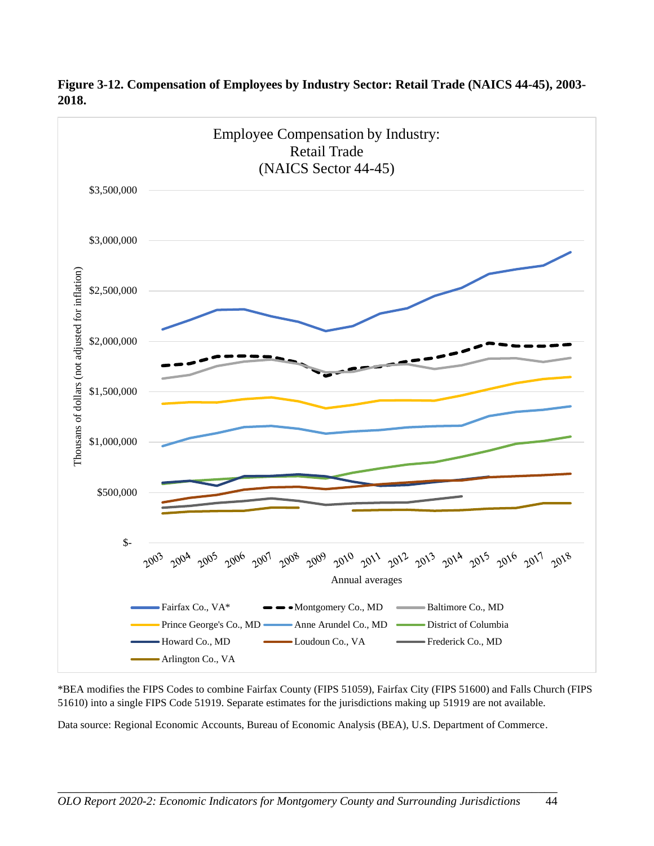![](_page_48_Figure_0.jpeg)

**Figure 3-12. Compensation of Employees by Industry Sector: Retail Trade (NAICS 44-45), 2003- 2018.**

\*BEA modifies the FIPS Codes to combine Fairfax County (FIPS 51059), Fairfax City (FIPS 51600) and Falls Church (FIPS 51610) into a single FIPS Code 51919. Separate estimates for the jurisdictions making up 51919 are not available.

Data source: Regional Economic Accounts, Bureau of Economic Analysis (BEA), U.S. Department of Commerce.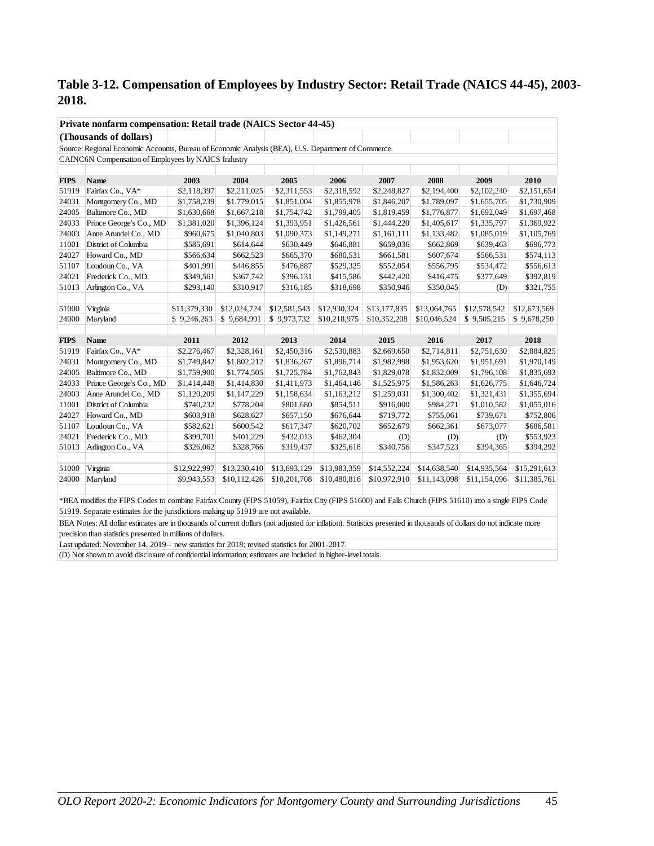## **Table 3-12. Compensation of Employees by Industry Sector: Retail Trade (NAICS 44-45), 2003- 2018.**

|             | Private nonfarm compensation: Retail trade (NAICS Sector 44-45)                                                                                       |              |              |              |              |              |              |              |              |  |
|-------------|-------------------------------------------------------------------------------------------------------------------------------------------------------|--------------|--------------|--------------|--------------|--------------|--------------|--------------|--------------|--|
|             | (Thousands of dollars)                                                                                                                                |              |              |              |              |              |              |              |              |  |
|             | Source: Regional Economic Accounts, Bureau of Economic Analysis (BEA), U.S. Department of Commerce.                                                   |              |              |              |              |              |              |              |              |  |
|             | CAINC6N Compensation of Employees by NAICS Industry                                                                                                   |              |              |              |              |              |              |              |              |  |
|             |                                                                                                                                                       |              |              |              |              |              |              |              |              |  |
| <b>FIPS</b> | Name                                                                                                                                                  | 2003         | 2004         | 2005         | 2006         | 2007         | 2008         | 2009         | 2010         |  |
| 51919       | Fairfax Co., VA*                                                                                                                                      | \$2,118,397  | \$2,211,025  | \$2,311,553  | \$2,318,592  | \$2,248,827  | \$2,194,400  | \$2,102,240  | \$2,151,654  |  |
| 24031       | Montgomery Co., MD                                                                                                                                    | \$1,758,239  | \$1,779,015  | \$1,851,004  | \$1,855,978  | \$1,846,207  | \$1,789,097  | \$1,655,705  | \$1,730,909  |  |
| 24005       | Baltimore Co., MD                                                                                                                                     | \$1,630,668  | \$1,667,218  | \$1,754,742  | \$1,799,405  | \$1,819,459  | \$1,776,877  | \$1,692,049  | \$1,697,468  |  |
| 24033       | Prince George's Co., MD                                                                                                                               | \$1,381,020  | \$1,396,124  | \$1,393,951  | \$1,426,561  | \$1,444,220  | \$1,405,617  | \$1,335,797  | \$1,369,922  |  |
| 24003       | Anne Arundel Co., MD                                                                                                                                  | \$960,675    | \$1,040,803  | \$1,090,373  | \$1,149,271  | \$1,161,111  | \$1,133,482  | \$1,085,019  | \$1,105,769  |  |
| 11001       | District of Columbia                                                                                                                                  | \$585,691    | \$614,644    | \$630,449    | \$646,881    | \$659,036    | \$662,869    | \$639,463    | \$696,773    |  |
| 24027       | Howard Co., MD                                                                                                                                        | \$566,634    | \$662,523    | \$665,370    | \$680,531    | \$661,581    | \$607,674    | \$566,531    | \$574,113    |  |
| 51107       | Loudoun Co., VA                                                                                                                                       | \$401,991    | \$446,855    | \$476,887    | \$529,325    | \$552,054    | \$556,795    | \$534,472    | \$556,613    |  |
| 24021       | Frederick Co., MD                                                                                                                                     | \$349,561    | \$367,742    | \$396,131    | \$415,586    | \$442,420    | \$416,475    | \$377,649    | \$392,819    |  |
| 51013       | Arlington Co., VA                                                                                                                                     | \$293,140    | \$310,917    | \$316,185    | \$318,698    | \$350,946    | \$350,045    | (D)          | \$321,755    |  |
|             |                                                                                                                                                       |              |              |              |              |              |              |              |              |  |
| 51000       | Virginia                                                                                                                                              | \$11,379,330 | \$12,024,724 | \$12,581,543 | \$12,930,324 | \$13,177,835 | \$13,064,765 | \$12,578,542 | \$12,673,569 |  |
| 24000       | Maryland                                                                                                                                              | \$9,246,263  | \$9,684,991  | \$9,973,732  | \$10,218,975 | \$10,352,208 | \$10,046,524 | \$9,505,215  | \$9,678,250  |  |
|             |                                                                                                                                                       |              |              |              |              |              |              |              |              |  |
| <b>FIPS</b> | <b>Name</b>                                                                                                                                           | 2011         | 2012         | 2013         | 2014         | 2015         | 2016         | 2017         | 2018         |  |
| 51919       | Fairfax Co., VA*                                                                                                                                      | \$2,276,467  | \$2,328,161  | \$2,450,316  | \$2,530,883  | \$2,669,650  | \$2,714,811  | \$2,751,630  | \$2,884,825  |  |
| 24031       | Montgomery Co., MD                                                                                                                                    | \$1,749,842  | \$1,802,212  | \$1,836,267  | \$1,896,714  | \$1,982,998  | \$1,953,620  | \$1,951,691  | \$1,970,149  |  |
| 24005       | Baltimore Co., MD                                                                                                                                     | \$1,759,900  | \$1,774,505  | \$1,725,784  | \$1,762,843  | \$1,829,078  | \$1,832,009  | \$1,796,108  | \$1,835,693  |  |
| 24033       | Prince George's Co., MD                                                                                                                               | \$1,414,448  | \$1,414,830  | \$1,411,973  | \$1,464,146  | \$1,525,975  | \$1,586,263  | \$1,626,775  | \$1,646,724  |  |
| 24003       | Anne Arundel Co., MD                                                                                                                                  | \$1,120,209  | \$1,147,229  | \$1,158,634  | \$1,163,212  | \$1,259,031  | \$1,300,402  | \$1,321,431  | \$1,355,694  |  |
| 11001       | District of Columbia                                                                                                                                  | \$740,232    | \$778,204    | \$801,680    | \$854,511    | \$916,000    | \$984,271    | \$1,010,582  | \$1,055,016  |  |
| 24027       | Howard Co., MD                                                                                                                                        | \$603,918    | \$628,627    | \$657,150    | \$676,644    | \$719,772    | \$755,061    | \$739,671    | \$752,806    |  |
| 51107       | Loudoun Co., VA                                                                                                                                       | \$582,621    | \$600,542    | \$617,347    | \$620,702    | \$652,679    | \$662,361    | \$673,077    | \$686,581    |  |
| 24021       | Frederick Co., MD                                                                                                                                     | \$399,701    | \$401,229    | \$432,013    | \$462,304    | (D)          | (D)          | (D)          | \$553,923    |  |
| 51013       | Arlington Co., VA                                                                                                                                     | \$326,062    | \$328,766    | \$319,437    | \$325,618    | \$340,756    | \$347,523    | \$394,365    | \$394,292    |  |
|             |                                                                                                                                                       |              |              |              |              |              |              |              |              |  |
| 51000       | Virginia                                                                                                                                              | \$12,922,997 | \$13,230,410 | \$13,693,129 | \$13,983,359 | \$14,552,224 | \$14,638,540 | \$14,935,564 | \$15,291,613 |  |
| 24000       | Maryland                                                                                                                                              | \$9,943,553  | \$10,112,426 | \$10,201,708 | \$10,480,816 | \$10,972,910 | \$11,143,098 | \$11,154,096 | \$11,385,761 |  |
|             |                                                                                                                                                       |              |              |              |              |              |              |              |              |  |
|             | $*BEA$ modifies the EIDS Codes to combine Feirfox County (FIDS 51050) Feirfox City (FIDS 51600) and Fells Church (FIDS 51610) into a single FIDS Code |              |              |              |              |              |              |              |              |  |

\*BEA modifies the FIPS Codes to combine Fairfax County (FIPS 51059), Fairfax City (FIPS 51600) and Falls Church (FIPS 51610) into a single FIPS Code 51919. Separate estimates for the jurisdictions making up 51919 are not available.

BEA Notes: All dollar estimates are in thousands of current dollars (not adjusted for inflation). Statistics presented in thousands of dollars do not indicate more precision than statistics presented in millions of dollars.

Last updated: November 14, 2019-- new statistics for 2018; revised statistics for 2001-2017.

(D) Not shown to avoid disclosure of confidential information; estimates are included in higher-level totals.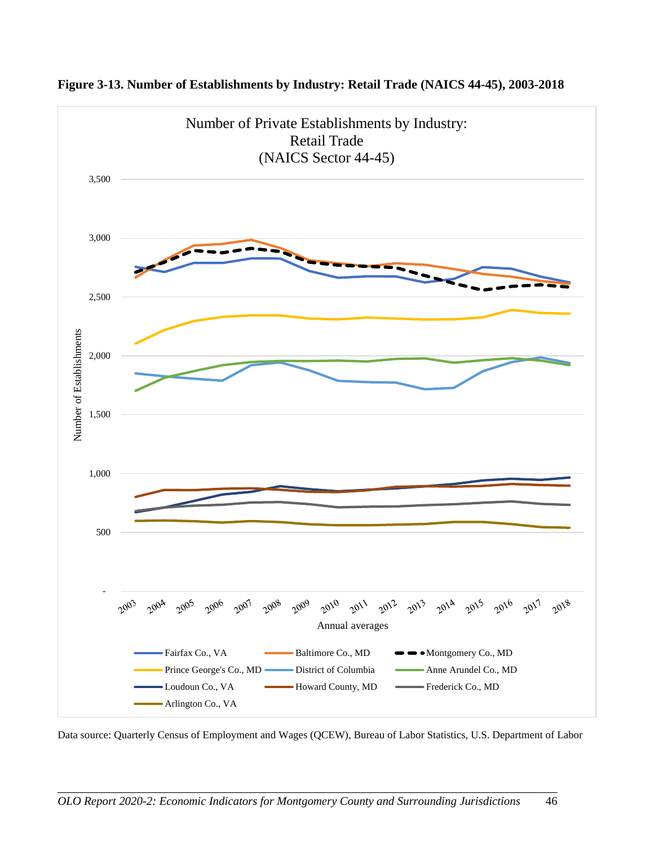![](_page_50_Figure_0.jpeg)

**Figure 3-13. Number of Establishments by Industry: Retail Trade (NAICS 44-45), 2003-2018**

Data source: Quarterly Census of Employment and Wages (QCEW), Bureau of Labor Statistics, U.S. Department of Labor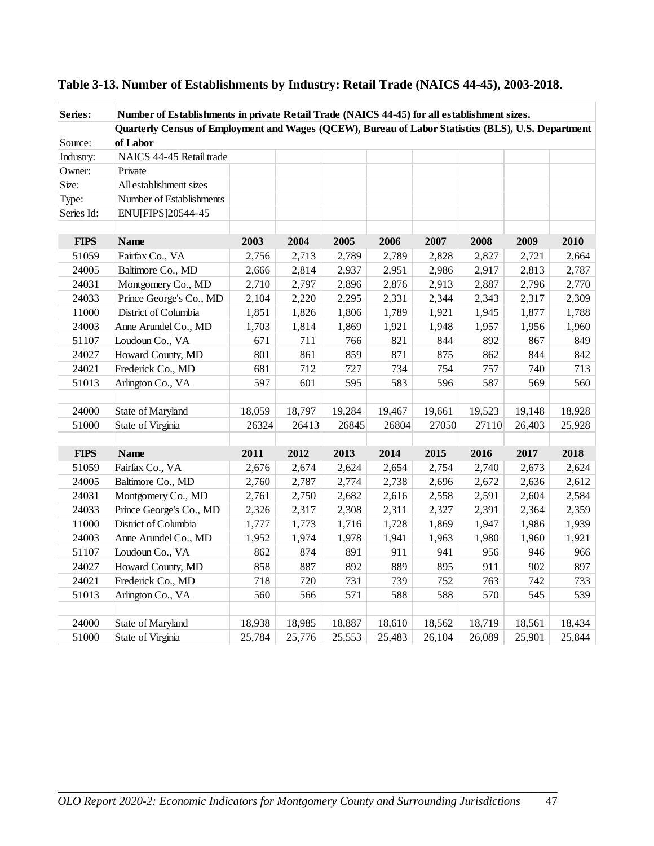| Series:     | Number of Establishments in private Retail Trade (NAICS 44-45) for all establishment sizes.        |        |        |        |        |        |        |        |        |
|-------------|----------------------------------------------------------------------------------------------------|--------|--------|--------|--------|--------|--------|--------|--------|
|             | Quarterly Census of Employment and Wages (QCEW), Bureau of Labor Statistics (BLS), U.S. Department |        |        |        |        |        |        |        |        |
| Source:     | of Labor                                                                                           |        |        |        |        |        |        |        |        |
| Industry:   | NAICS 44-45 Retail trade                                                                           |        |        |        |        |        |        |        |        |
| Owner:      | Private                                                                                            |        |        |        |        |        |        |        |        |
| Size:       | All establishment sizes                                                                            |        |        |        |        |        |        |        |        |
| Type:       | Number of Establishments                                                                           |        |        |        |        |        |        |        |        |
| Series Id:  | ENU[FIPS]20544-45                                                                                  |        |        |        |        |        |        |        |        |
|             |                                                                                                    |        |        |        |        |        |        |        |        |
| <b>FIPS</b> | <b>Name</b>                                                                                        | 2003   | 2004   | 2005   | 2006   | 2007   | 2008   | 2009   | 2010   |
| 51059       | Fairfax Co., VA                                                                                    | 2,756  | 2,713  | 2,789  | 2,789  | 2,828  | 2,827  | 2,721  | 2,664  |
| 24005       | Baltimore Co., MD                                                                                  | 2,666  | 2,814  | 2,937  | 2,951  | 2,986  | 2,917  | 2,813  | 2,787  |
| 24031       | Montgomery Co., MD                                                                                 | 2,710  | 2,797  | 2,896  | 2,876  | 2,913  | 2,887  | 2,796  | 2,770  |
| 24033       | Prince George's Co., MD                                                                            | 2,104  | 2,220  | 2,295  | 2,331  | 2,344  | 2,343  | 2,317  | 2,309  |
| 11000       | District of Columbia                                                                               | 1,851  | 1,826  | 1,806  | 1,789  | 1,921  | 1,945  | 1,877  | 1,788  |
| 24003       | Anne Arundel Co., MD                                                                               | 1,703  | 1,814  | 1,869  | 1,921  | 1,948  | 1,957  | 1,956  | 1,960  |
| 51107       | Loudoun Co., VA                                                                                    | 671    | 711    | 766    | 821    | 844    | 892    | 867    | 849    |
| 24027       | Howard County, MD                                                                                  | 801    | 861    | 859    | 871    | 875    | 862    | 844    | 842    |
| 24021       | Frederick Co., MD                                                                                  | 681    | 712    | 727    | 734    | 754    | 757    | 740    | 713    |
| 51013       | Arlington Co., VA                                                                                  | 597    | 601    | 595    | 583    | 596    | 587    | 569    | 560    |
|             |                                                                                                    |        |        |        |        |        |        |        |        |
| 24000       | State of Maryland                                                                                  | 18,059 | 18,797 | 19,284 | 19,467 | 19,661 | 19,523 | 19,148 | 18,928 |
| 51000       | State of Virginia                                                                                  | 26324  | 26413  | 26845  | 26804  | 27050  | 27110  | 26,403 | 25,928 |
|             |                                                                                                    |        |        |        |        |        |        |        |        |
| <b>FIPS</b> | <b>Name</b>                                                                                        | 2011   | 2012   | 2013   | 2014   | 2015   | 2016   | 2017   | 2018   |
| 51059       | Fairfax Co., VA                                                                                    | 2,676  | 2,674  | 2,624  | 2,654  | 2,754  | 2,740  | 2,673  | 2,624  |
| 24005       | Baltimore Co., MD                                                                                  | 2,760  | 2,787  | 2,774  | 2,738  | 2,696  | 2,672  | 2,636  | 2,612  |
| 24031       | Montgomery Co., MD                                                                                 | 2,761  | 2,750  | 2,682  | 2,616  | 2,558  | 2,591  | 2,604  | 2,584  |
| 24033       | Prince George's Co., MD                                                                            | 2,326  | 2,317  | 2,308  | 2,311  | 2,327  | 2,391  | 2,364  | 2,359  |
| 11000       | District of Columbia                                                                               | 1,777  | 1,773  | 1,716  | 1,728  | 1,869  | 1,947  | 1,986  | 1,939  |
| 24003       | Anne Arundel Co., MD                                                                               | 1,952  | 1,974  | 1,978  | 1,941  | 1,963  | 1,980  | 1,960  | 1,921  |
| 51107       | Loudoun Co., VA                                                                                    | 862    | 874    | 891    | 911    | 941    | 956    | 946    | 966    |
| 24027       | Howard County, MD                                                                                  | 858    | 887    | 892    | 889    | 895    | 911    | 902    | 897    |
| 24021       | Frederick Co., MD                                                                                  | 718    | 720    | 731    | 739    | 752    | 763    | 742    | 733    |
| 51013       | Arlington Co., VA                                                                                  | 560    | 566    | 571    | 588    | 588    | 570    | 545    | 539    |
|             |                                                                                                    |        |        |        |        |        |        |        |        |
| 24000       | State of Maryland                                                                                  | 18,938 | 18,985 | 18,887 | 18,610 | 18,562 | 18,719 | 18,561 | 18,434 |
| 51000       | State of Virginia                                                                                  | 25,784 | 25,776 | 25,553 | 25,483 | 26,104 | 26,089 | 25,901 | 25,844 |

## **Table 3-13. Number of Establishments by Industry: Retail Trade (NAICS 44-45), 2003-2018**.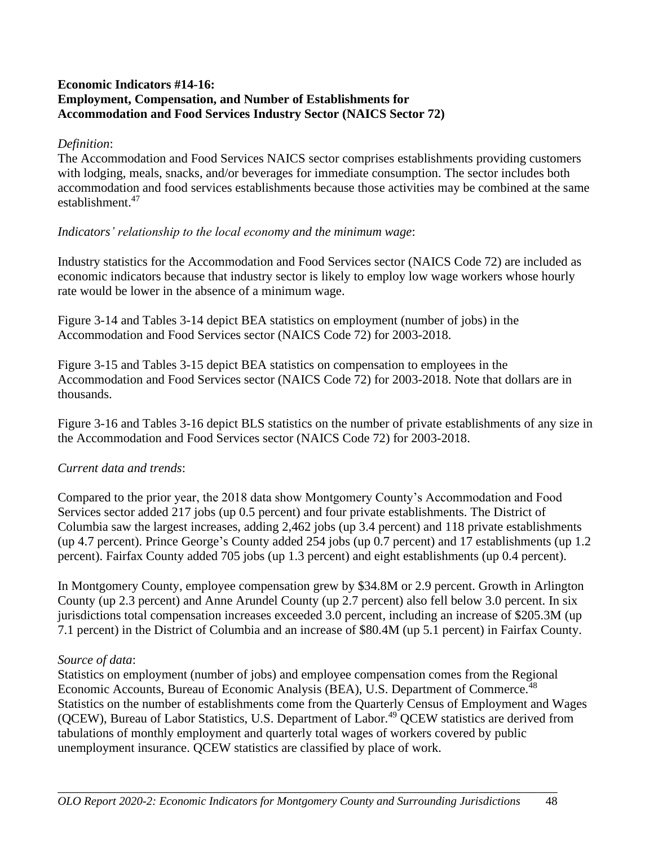#### **Economic Indicators #14-16: Employment, Compensation, and Number of Establishments for Accommodation and Food Services Industry Sector (NAICS Sector 72)**

#### *Definition*:

The Accommodation and Food Services NAICS sector comprises establishments providing customers with lodging, meals, snacks, and/or beverages for immediate consumption. The sector includes both accommodation and food services establishments because those activities may be combined at the same establishment.<sup>47</sup>

#### *Indicators' relationship to the local economy and the minimum wage*:

Industry statistics for the Accommodation and Food Services sector (NAICS Code 72) are included as economic indicators because that industry sector is likely to employ low wage workers whose hourly rate would be lower in the absence of a minimum wage.

Figure 3-14 and Tables 3-14 depict BEA statistics on employment (number of jobs) in the Accommodation and Food Services sector (NAICS Code 72) for 2003-2018.

Figure 3-15 and Tables 3-15 depict BEA statistics on compensation to employees in the Accommodation and Food Services sector (NAICS Code 72) for 2003-2018. Note that dollars are in thousands.

Figure 3-16 and Tables 3-16 depict BLS statistics on the number of private establishments of any size in the Accommodation and Food Services sector (NAICS Code 72) for 2003-2018.

## *Current data and trends*:

Compared to the prior year, the 2018 data show Montgomery County's Accommodation and Food Services sector added 217 jobs (up 0.5 percent) and four private establishments. The District of Columbia saw the largest increases, adding 2,462 jobs (up 3.4 percent) and 118 private establishments (up 4.7 percent). Prince George's County added 254 jobs (up 0.7 percent) and 17 establishments (up 1.2 percent). Fairfax County added 705 jobs (up 1.3 percent) and eight establishments (up 0.4 percent).

In Montgomery County, employee compensation grew by \$34.8M or 2.9 percent. Growth in Arlington County (up 2.3 percent) and Anne Arundel County (up 2.7 percent) also fell below 3.0 percent. In six jurisdictions total compensation increases exceeded 3.0 percent, including an increase of \$205.3M (up 7.1 percent) in the District of Columbia and an increase of \$80.4M (up 5.1 percent) in Fairfax County.

#### *Source of data*:

Statistics on employment (number of jobs) and employee compensation comes from the Regional Economic Accounts, Bureau of Economic Analysis (BEA), U.S. Department of Commerce.<sup>48</sup> Statistics on the number of establishments come from the Quarterly Census of Employment and Wages (QCEW), Bureau of Labor Statistics, U.S. Department of Labor.<sup>49</sup> QCEW statistics are derived from tabulations of monthly employment and quarterly total wages of workers covered by public unemployment insurance. QCEW statistics are classified by place of work.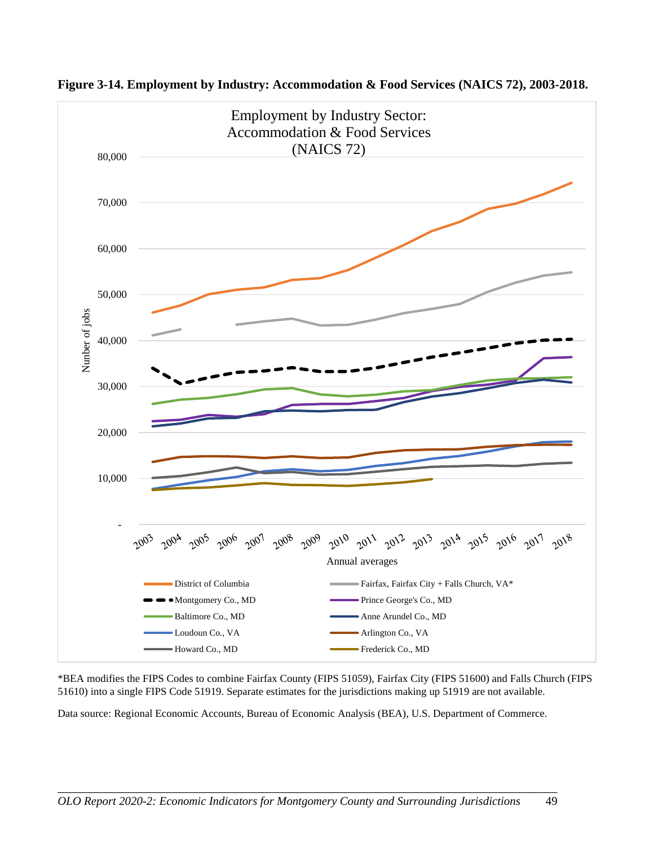![](_page_53_Figure_0.jpeg)

**Figure 3-14. Employment by Industry: Accommodation & Food Services (NAICS 72), 2003-2018.**

\*BEA modifies the FIPS Codes to combine Fairfax County (FIPS 51059), Fairfax City (FIPS 51600) and Falls Church (FIPS 51610) into a single FIPS Code 51919. Separate estimates for the jurisdictions making up 51919 are not available.

Data source: Regional Economic Accounts, Bureau of Economic Analysis (BEA), U.S. Department of Commerce.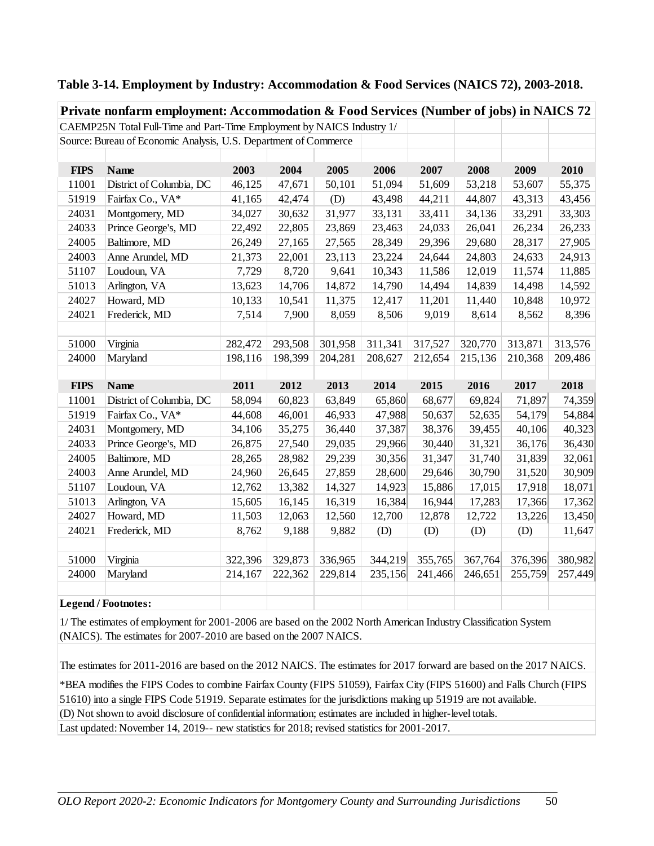| Private nonfarm employment: Accommodation & Food Services (Number of jobs) in NAICS 72 |                                                                        |         |         |         |         |         |         |         |         |  |
|----------------------------------------------------------------------------------------|------------------------------------------------------------------------|---------|---------|---------|---------|---------|---------|---------|---------|--|
|                                                                                        | CAEMP25N Total Full-Time and Part-Time Employment by NAICS Industry 1/ |         |         |         |         |         |         |         |         |  |
|                                                                                        | Source: Bureau of Economic Analysis, U.S. Department of Commerce       |         |         |         |         |         |         |         |         |  |
|                                                                                        |                                                                        |         |         |         |         |         |         |         |         |  |
| <b>FIPS</b>                                                                            | <b>Name</b>                                                            | 2003    | 2004    | 2005    | 2006    | 2007    | 2008    | 2009    | 2010    |  |
| 11001                                                                                  | District of Columbia, DC                                               | 46,125  | 47,671  | 50,101  | 51,094  | 51,609  | 53,218  | 53,607  | 55,375  |  |
| 51919                                                                                  | Fairfax Co., VA*                                                       | 41,165  | 42,474  | (D)     | 43,498  | 44,211  | 44,807  | 43,313  | 43,456  |  |
| 24031                                                                                  | Montgomery, MD                                                         | 34,027  | 30,632  | 31,977  | 33,131  | 33,411  | 34,136  | 33,291  | 33,303  |  |
| 24033                                                                                  | Prince George's, MD                                                    | 22,492  | 22,805  | 23,869  | 23,463  | 24,033  | 26,041  | 26,234  | 26,233  |  |
| 24005                                                                                  | Baltimore, MD                                                          | 26,249  | 27,165  | 27,565  | 28,349  | 29,396  | 29,680  | 28,317  | 27,905  |  |
| 24003                                                                                  | Anne Arundel, MD                                                       | 21,373  | 22,001  | 23,113  | 23,224  | 24,644  | 24,803  | 24,633  | 24,913  |  |
| 51107                                                                                  | Loudoun, VA                                                            | 7,729   | 8,720   | 9,641   | 10,343  | 11,586  | 12,019  | 11,574  | 11,885  |  |
| 51013                                                                                  | Arlington, VA                                                          | 13,623  | 14,706  | 14,872  | 14,790  | 14,494  | 14,839  | 14,498  | 14,592  |  |
| 24027                                                                                  | Howard, MD                                                             | 10,133  | 10,541  | 11,375  | 12,417  | 11,201  | 11,440  | 10,848  | 10,972  |  |
| 24021                                                                                  | Frederick, MD                                                          | 7,514   | 7,900   | 8,059   | 8,506   | 9,019   | 8,614   | 8,562   | 8,396   |  |
|                                                                                        |                                                                        |         |         |         |         |         |         |         |         |  |
| 51000                                                                                  | Virginia                                                               | 282,472 | 293,508 | 301,958 | 311,341 | 317,527 | 320,770 | 313,871 | 313,576 |  |
| 24000                                                                                  | Maryland                                                               | 198,116 | 198,399 | 204,281 | 208,627 | 212,654 | 215,136 | 210,368 | 209,486 |  |
|                                                                                        |                                                                        |         |         |         |         |         |         |         |         |  |
| <b>FIPS</b>                                                                            | <b>Name</b>                                                            | 2011    | 2012    | 2013    | 2014    | 2015    | 2016    | 2017    | 2018    |  |
| 11001                                                                                  | District of Columbia, DC                                               | 58,094  | 60,823  | 63,849  | 65,860  | 68,677  | 69,824  | 71,897  | 74,359  |  |
| 51919                                                                                  | Fairfax Co., VA*                                                       | 44,608  | 46,001  | 46,933  | 47,988  | 50,637  | 52,635  | 54,179  | 54,884  |  |
| 24031                                                                                  | Montgomery, MD                                                         | 34,106  | 35,275  | 36,440  | 37,387  | 38,376  | 39,455  | 40,106  | 40,323  |  |
| 24033                                                                                  | Prince George's, MD                                                    | 26,875  | 27,540  | 29,035  | 29,966  | 30,440  | 31,321  | 36,176  | 36,430  |  |
| 24005                                                                                  | Baltimore, MD                                                          | 28,265  | 28,982  | 29,239  | 30,356  | 31,347  | 31,740  | 31,839  | 32,061  |  |
| 24003                                                                                  | Anne Arundel, MD                                                       | 24,960  | 26,645  | 27,859  | 28,600  | 29,646  | 30,790  | 31,520  | 30,909  |  |
| 51107                                                                                  | Loudoun, VA                                                            | 12,762  | 13,382  | 14,327  | 14,923  | 15,886  | 17,015  | 17,918  | 18,071  |  |
| 51013                                                                                  | Arlington, VA                                                          | 15,605  | 16,145  | 16,319  | 16,384  | 16,944  | 17,283  | 17,366  | 17,362  |  |
| 24027                                                                                  | Howard, MD                                                             | 11,503  | 12,063  | 12,560  | 12,700  | 12,878  | 12,722  | 13,226  | 13,450  |  |
| 24021                                                                                  | Frederick, MD                                                          | 8,762   | 9,188   | 9,882   | (D)     | (D)     | (D)     | (D)     | 11,647  |  |
|                                                                                        |                                                                        |         |         |         |         |         |         |         |         |  |
| 51000                                                                                  | Virginia                                                               | 322,396 | 329,873 | 336,965 | 344,219 | 355,765 | 367,764 | 376,396 | 380,982 |  |
| 24000                                                                                  | Maryland                                                               | 214,167 | 222,362 | 229,814 | 235,156 | 241,466 | 246,651 | 255,759 | 257,449 |  |
|                                                                                        |                                                                        |         |         |         |         |         |         |         |         |  |
|                                                                                        | <b>Legend / Footnotes:</b>                                             |         |         |         |         |         |         |         |         |  |

#### **Table 3-14. Employment by Industry: Accommodation & Food Services (NAICS 72), 2003-2018.**

1/ The estimates of employment for 2001-2006 are based on the 2002 North American Industry Classification System (NAICS). The estimates for 2007-2010 are based on the 2007 NAICS.

The estimates for 2011-2016 are based on the 2012 NAICS. The estimates for 2017 forward are based on the 2017 NAICS.

(D) Not shown to avoid disclosure of confidential information; estimates are included in higher-level totals. Last updated: November 14, 2019-- new statistics for 2018; revised statistics for 2001-2017. \*BEA modifies the FIPS Codes to combine Fairfax County (FIPS 51059), Fairfax City (FIPS 51600) and Falls Church (FIPS 51610) into a single FIPS Code 51919. Separate estimates for the jurisdictions making up 51919 are not available.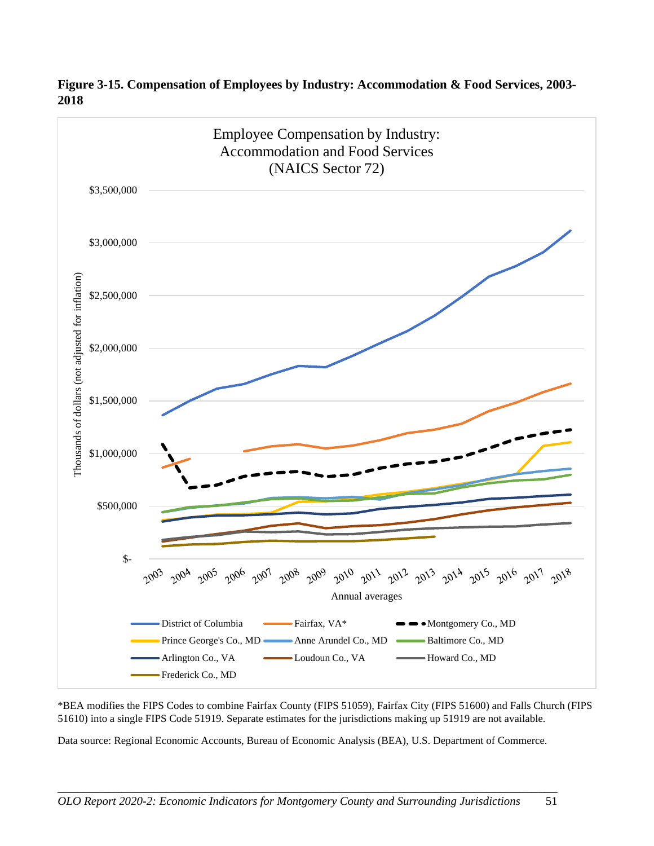![](_page_55_Figure_0.jpeg)

**Figure 3-15. Compensation of Employees by Industry: Accommodation & Food Services, 2003- 2018**

\*BEA modifies the FIPS Codes to combine Fairfax County (FIPS 51059), Fairfax City (FIPS 51600) and Falls Church (FIPS 51610) into a single FIPS Code 51919. Separate estimates for the jurisdictions making up 51919 are not available.

Data source: Regional Economic Accounts, Bureau of Economic Analysis (BEA), U.S. Department of Commerce.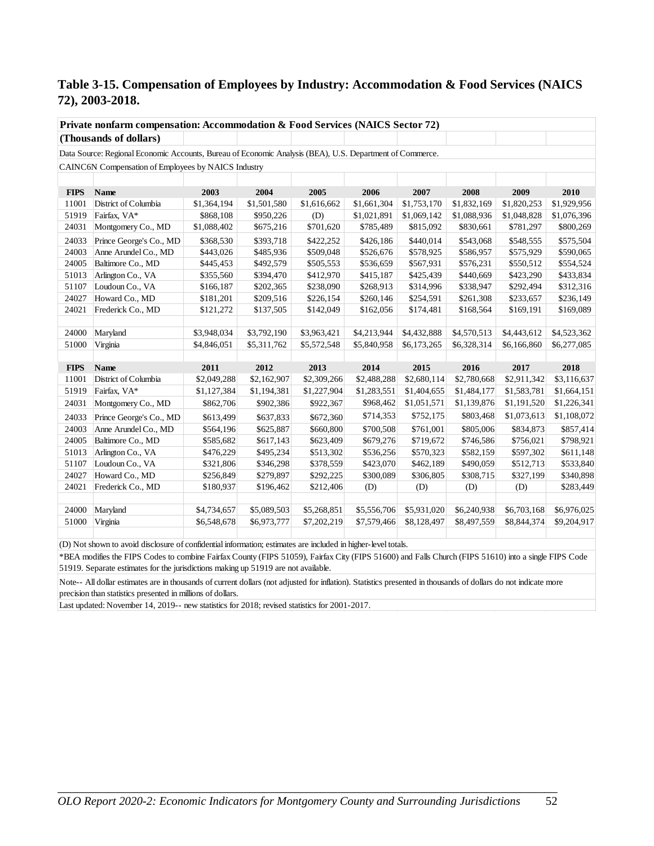#### **Table 3-15. Compensation of Employees by Industry: Accommodation & Food Services (NAICS 72), 2003-2018.**

|             | Private nonfarm compensation: Accommodation & Food Services (NAICS Sector 72)                            |             |             |             |             |             |             |             |             |  |
|-------------|----------------------------------------------------------------------------------------------------------|-------------|-------------|-------------|-------------|-------------|-------------|-------------|-------------|--|
|             | (Thousands of dollars)                                                                                   |             |             |             |             |             |             |             |             |  |
|             | Data Source: Regional Economic Accounts, Bureau of Economic Analysis (BEA), U.S. Department of Commerce. |             |             |             |             |             |             |             |             |  |
|             | CAINC6N Compensation of Employees by NAICS Industry                                                      |             |             |             |             |             |             |             |             |  |
|             |                                                                                                          |             |             |             |             |             |             |             |             |  |
| <b>FIPS</b> | Name                                                                                                     | 2003        | 2004        | 2005        | 2006        | 2007        | 2008        | 2009        | 2010        |  |
| 11001       | District of Columbia                                                                                     | \$1,364,194 | \$1,501,580 | \$1,616,662 | \$1,661,304 | \$1,753,170 | \$1,832,169 | \$1,820,253 | \$1,929,956 |  |
| 51919       | Fairfax, VA*                                                                                             | \$868,108   | \$950,226   | (D)         | \$1,021,891 | \$1,069,142 | \$1,088,936 | \$1,048,828 | \$1,076,396 |  |
| 24031       | Montgomery Co., MD                                                                                       | \$1,088,402 | \$675,216   | \$701,620   | \$785,489   | \$815,092   | \$830,661   | \$781,297   | \$800,269   |  |
| 24033       | Prince George's Co., MD                                                                                  | \$368,530   | \$393,718   | \$422,252   | \$426,186   | \$440,014   | \$543,068   | \$548,555   | \$575,504   |  |
| 24003       | Anne Arundel Co., MD                                                                                     | \$443,026   | \$485,936   | \$509,048   | \$526,676   | \$578,925   | \$586,957   | \$575,929   | \$590,065   |  |
| 24005       | Baltimore Co., MD                                                                                        | \$445,453   | \$492,579   | \$505,553   | \$536,659   | \$567,931   | \$576,231   | \$550,512   | \$554,524   |  |
| 51013       | Arlington Co., VA                                                                                        | \$355,560   | \$394,470   | \$412,970   | \$415,187   | \$425,439   | \$440,669   | \$423,290   | \$433,834   |  |
| 51107       | Loudoun Co., VA                                                                                          | \$166,187   | \$202,365   | \$238,090   | \$268,913   | \$314,996   | \$338,947   | \$292,494   | \$312,316   |  |
| 24027       | Howard Co., MD                                                                                           | \$181,201   | \$209,516   | \$226,154   | \$260,146   | \$254,591   | \$261,308   | \$233,657   | \$236,149   |  |
| 24021       | Frederick Co., MD                                                                                        | \$121,272   | \$137,505   | \$142,049   | \$162,056   | \$174,481   | \$168,564   | \$169,191   | \$169,089   |  |
|             |                                                                                                          |             |             |             |             |             |             |             |             |  |
| 24000       | Maryland                                                                                                 | \$3,948,034 | \$3,792,190 | \$3,963,421 | \$4,213,944 | \$4,432,888 | \$4,570,513 | \$4,443,612 | \$4,523,362 |  |
| 51000       | Virginia                                                                                                 | \$4,846,051 | \$5,311,762 | \$5,572,548 | \$5,840,958 | \$6,173,265 | \$6,328,314 | \$6,166,860 | \$6,277,085 |  |
|             |                                                                                                          |             |             |             |             |             |             |             |             |  |
| <b>FIPS</b> | Name                                                                                                     | 2011        | 2012        | 2013        | 2014        | 2015        | 2016        | 2017        | 2018        |  |
| 11001       | District of Columbia                                                                                     | \$2,049,288 | \$2,162,907 | \$2,309,266 | \$2,488,288 | \$2,680,114 | \$2,780,668 | \$2,911,342 | \$3,116,637 |  |
| 51919       | Fairfax, VA*                                                                                             | \$1,127,384 | \$1,194,381 | \$1,227,904 | \$1,283,551 | \$1,404,655 | \$1,484,177 | \$1,583,781 | \$1,664,151 |  |
| 24031       | Montgomery Co., MD                                                                                       | \$862,706   | \$902,386   | \$922,367   | \$968,462   | \$1,051,571 | \$1,139,876 | \$1,191,520 | \$1,226,341 |  |
| 24033       | Prince George's Co., MD                                                                                  | \$613,499   | \$637,833   | \$672,360   | \$714,353   | \$752,175   | \$803,468   | \$1,073,613 | \$1,108,072 |  |
| 24003       | Anne Arundel Co., MD                                                                                     | \$564,196   | \$625,887   | \$660,800   | \$700,508   | \$761,001   | \$805,006   | \$834,873   | \$857,414   |  |
| 24005       | Baltimore Co., MD                                                                                        | \$585,682   | \$617,143   | \$623,409   | \$679,276   | \$719,672   | \$746,586   | \$756,021   | \$798,921   |  |
| 51013       | Arlington Co., VA                                                                                        | \$476,229   | \$495,234   | \$513,302   | \$536,256   | \$570,323   | \$582,159   | \$597,302   | \$611,148   |  |
| 51107       | Loudoun Co., VA                                                                                          | \$321,806   | \$346,298   | \$378,559   | \$423,070   | \$462,189   | \$490,059   | \$512,713   | \$533,840   |  |
| 24027       | Howard Co., MD                                                                                           | \$256,849   | \$279,897   | \$292,225   | \$300,089   | \$306,805   | \$308,715   | \$327,199   | \$340,898   |  |
| 24021       | Frederick Co., MD                                                                                        | \$180,937   | \$196,462   | \$212,406   | (D)         | (D)         | (D)         | (D)         | \$283,449   |  |
|             |                                                                                                          |             |             |             |             |             |             |             |             |  |
| 24000       | Maryland                                                                                                 | \$4,734,657 | \$5,089,503 | \$5,268,851 | \$5,556,706 | \$5,931,020 | \$6,240,938 | \$6,703,168 | \$6,976,025 |  |
| 51000       | Virginia                                                                                                 | \$6,548,678 | \$6,973,777 | \$7,202,219 | \$7,579,466 | \$8,128,497 | \$8,497,559 | \$8,844,374 | \$9,204,917 |  |
|             |                                                                                                          |             |             |             |             |             |             |             |             |  |

(D) Not shown to avoid disclosure of confidential information; estimates are included in higher-level totals.

\*BEA modifies the FIPS Codes to combine Fairfax County (FIPS 51059), Fairfax City (FIPS 51600) and Falls Church (FIPS 51610) into a single FIPS Code 51919. Separate estimates for the jurisdictions making up 51919 are not available.

Note-- All dollar estimates are in thousands of current dollars (not adjusted for inflation). Statistics presented in thousands of dollars do not indicate more precision than statistics presented in millions of dollars.

Last updated: November 14, 2019-- new statistics for 2018; revised statistics for 2001-2017.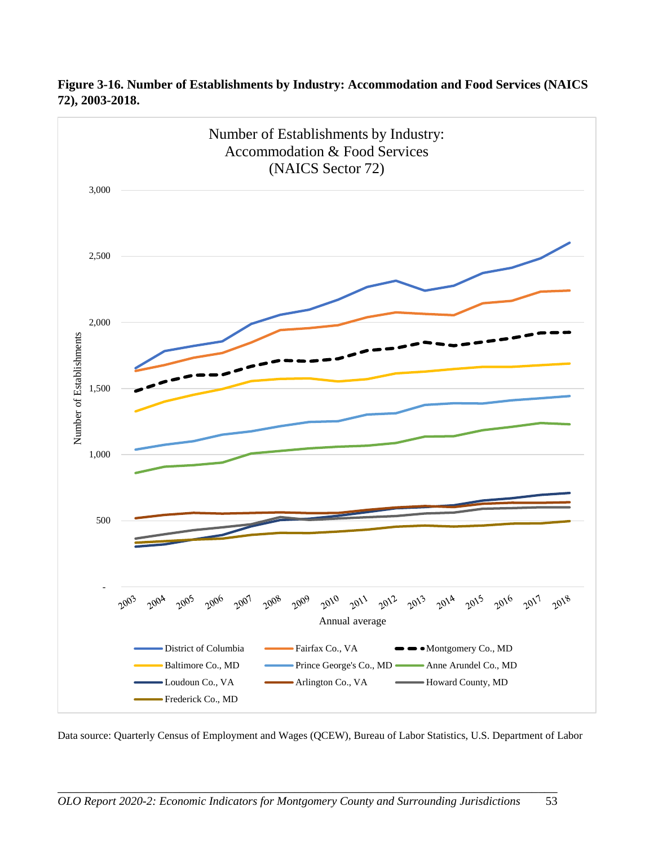![](_page_57_Figure_0.jpeg)

**Figure 3-16. Number of Establishments by Industry: Accommodation and Food Services (NAICS 72), 2003-2018.**

Data source: Quarterly Census of Employment and Wages (QCEW), Bureau of Labor Statistics, U.S. Department of Labor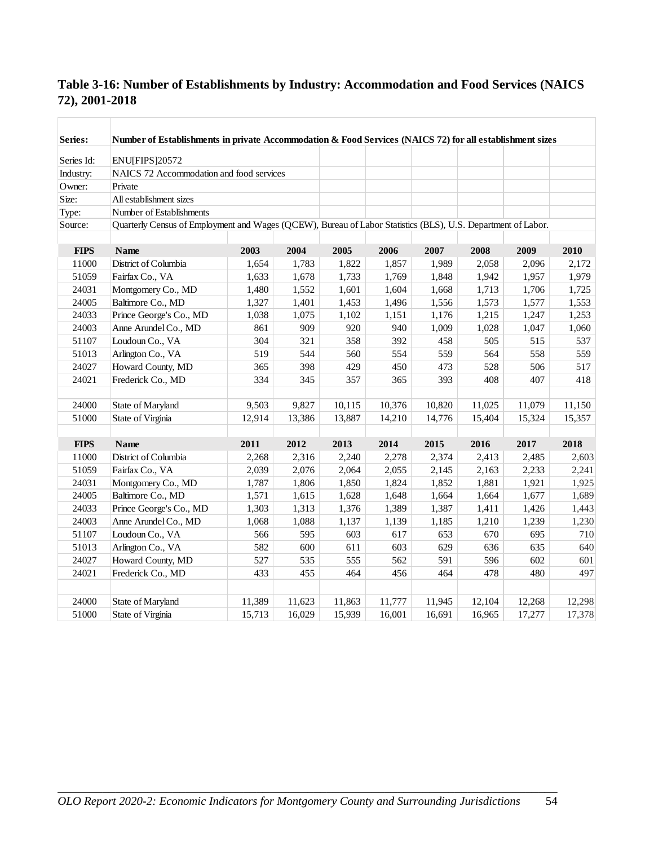| Series:     | Number of Establishments in private Accommodation & Food Services (NAICS 72) for all establishment sizes     |        |        |        |        |        |        |        |        |
|-------------|--------------------------------------------------------------------------------------------------------------|--------|--------|--------|--------|--------|--------|--------|--------|
| Series Id:  | <b>ENU[FIPS]20572</b>                                                                                        |        |        |        |        |        |        |        |        |
| Industry:   | NAICS 72 Accommodation and food services                                                                     |        |        |        |        |        |        |        |        |
| Owner:      | Private                                                                                                      |        |        |        |        |        |        |        |        |
| Size:       | All establishment sizes                                                                                      |        |        |        |        |        |        |        |        |
| Type:       | Number of Establishments                                                                                     |        |        |        |        |        |        |        |        |
| Source:     | Quarterly Census of Employment and Wages (QCEW), Bureau of Labor Statistics (BLS), U.S. Department of Labor. |        |        |        |        |        |        |        |        |
|             |                                                                                                              |        |        |        |        |        |        |        |        |
| <b>FIPS</b> | <b>Name</b>                                                                                                  | 2003   | 2004   | 2005   | 2006   | 2007   | 2008   | 2009   | 2010   |
| 11000       | District of Columbia                                                                                         | 1,654  | 1,783  | 1,822  | 1,857  | 1,989  | 2,058  | 2,096  | 2,172  |
| 51059       | Fairfax Co., VA                                                                                              | 1,633  | 1,678  | 1,733  | 1,769  | 1,848  | 1,942  | 1,957  | 1,979  |
| 24031       | Montgomery Co., MD                                                                                           | 1,480  | 1,552  | 1,601  | 1,604  | 1,668  | 1,713  | 1,706  | 1,725  |
| 24005       | Baltimore Co., MD                                                                                            | 1,327  | 1,401  | 1,453  | 1,496  | 1,556  | 1,573  | 1,577  | 1,553  |
| 24033       | Prince George's Co., MD                                                                                      | 1,038  | 1,075  | 1,102  | 1,151  | 1,176  | 1,215  | 1,247  | 1,253  |
| 24003       | Anne Arundel Co., MD                                                                                         | 861    | 909    | 920    | 940    | 1,009  | 1,028  | 1,047  | 1,060  |
| 51107       | Loudoun Co., VA                                                                                              | 304    | 321    | 358    | 392    | 458    | 505    | 515    | 537    |
| 51013       | Arlington Co., VA                                                                                            | 519    | 544    | 560    | 554    | 559    | 564    | 558    | 559    |
| 24027       | Howard County, MD                                                                                            | 365    | 398    | 429    | 450    | 473    | 528    | 506    | 517    |
| 24021       | Frederick Co., MD                                                                                            | 334    | 345    | 357    | 365    | 393    | 408    | 407    | 418    |
| 24000       | State of Maryland                                                                                            | 9,503  | 9,827  | 10,115 | 10,376 | 10,820 | 11,025 | 11,079 | 11,150 |
| 51000       | State of Virginia                                                                                            | 12,914 | 13,386 | 13,887 | 14,210 | 14,776 | 15,404 | 15,324 | 15,357 |
|             |                                                                                                              |        |        |        |        |        |        |        |        |
| <b>FIPS</b> | <b>Name</b>                                                                                                  | 2011   | 2012   | 2013   | 2014   | 2015   | 2016   | 2017   | 2018   |
| 11000       | District of Columbia                                                                                         | 2,268  | 2,316  | 2,240  | 2,278  | 2,374  | 2,413  | 2,485  | 2,603  |
| 51059       | Fairfax Co., VA                                                                                              | 2,039  | 2,076  | 2,064  | 2,055  | 2,145  | 2,163  | 2,233  | 2,241  |
| 24031       | Montgomery Co., MD                                                                                           | 1,787  | 1,806  | 1,850  | 1,824  | 1,852  | 1,881  | 1,921  | 1,925  |
| 24005       | Baltimore Co., MD                                                                                            | 1,571  | 1,615  | 1,628  | 1,648  | 1,664  | 1,664  | 1,677  | 1,689  |
| 24033       | Prince George's Co., MD                                                                                      | 1,303  | 1,313  | 1,376  | 1,389  | 1,387  | 1,411  | 1,426  | 1,443  |
| 24003       | Anne Arundel Co., MD                                                                                         | 1,068  | 1,088  | 1,137  | 1,139  | 1,185  | 1,210  | 1,239  | 1,230  |
| 51107       | Loudoun Co., VA                                                                                              | 566    | 595    | 603    | 617    | 653    | 670    | 695    | 710    |
| 51013       | Arlington Co., VA                                                                                            | 582    | 600    | 611    | 603    | 629    | 636    | 635    | 640    |
| 24027       | Howard County, MD                                                                                            | 527    | 535    | 555    | 562    | 591    | 596    | 602    | 601    |
| 24021       | Frederick Co., MD                                                                                            | 433    | 455    | 464    | 456    | 464    | 478    | 480    | 497    |
|             |                                                                                                              |        |        |        |        |        |        |        |        |
| 24000       | State of Maryland                                                                                            | 11,389 | 11,623 | 11,863 | 11,777 | 11,945 | 12,104 | 12,268 | 12,298 |
| 51000       | State of Virginia                                                                                            | 15,713 | 16,029 | 15,939 | 16,001 | 16,691 | 16,965 | 17,277 | 17,378 |

## **Table 3-16: Number of Establishments by Industry: Accommodation and Food Services (NAICS 72), 2001-2018**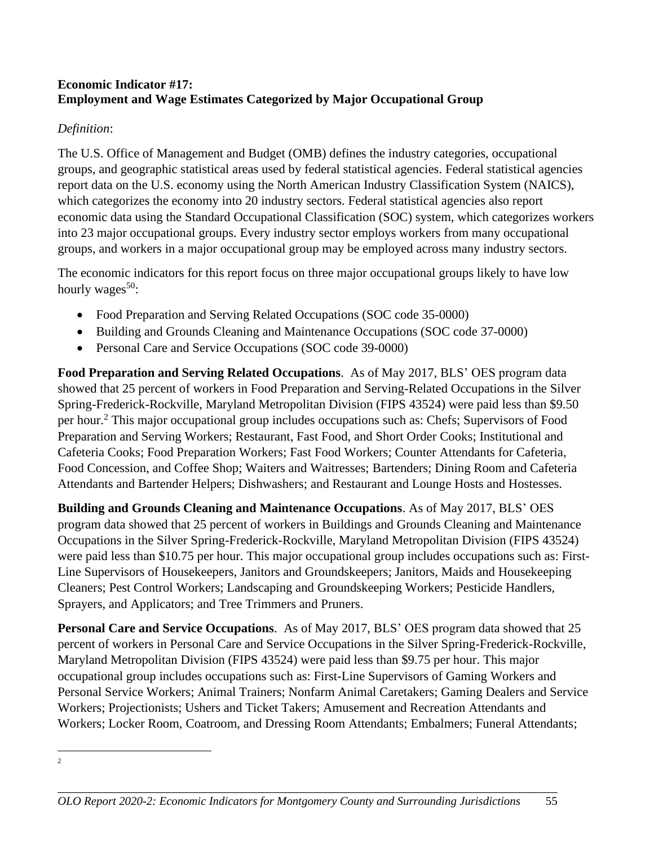## **Economic Indicator #17: Employment and Wage Estimates Categorized by Major Occupational Group**

## *Definition*:

The U.S. Office of Management and Budget (OMB) defines the industry categories, occupational groups, and geographic statistical areas used by federal statistical agencies. Federal statistical agencies report data on the U.S. economy using the North American Industry Classification System (NAICS), which categorizes the economy into 20 industry sectors. Federal statistical agencies also report economic data using the Standard Occupational Classification (SOC) system, which categorizes workers into 23 major occupational groups. Every industry sector employs workers from many occupational groups, and workers in a major occupational group may be employed across many industry sectors.

The economic indicators for this report focus on three major occupational groups likely to have low hourly wages $50$ :

- Food Preparation and Serving Related Occupations (SOC code 35-0000)
- Building and Grounds Cleaning and Maintenance Occupations (SOC code 37-0000)
- Personal Care and Service Occupations (SOC code 39-0000)

**Food Preparation and Serving Related Occupations**. As of May 2017, BLS' OES program data showed that 25 percent of workers in Food Preparation and Serving-Related Occupations in the Silver Spring-Frederick-Rockville, Maryland Metropolitan Division (FIPS 43524) were paid less than \$9.50 per hour.<sup>2</sup> This major occupational group includes occupations such as: Chefs; Supervisors of Food Preparation and Serving Workers; Restaurant, Fast Food, and Short Order Cooks; Institutional and Cafeteria Cooks; Food Preparation Workers; Fast Food Workers; Counter Attendants for Cafeteria, Food Concession, and Coffee Shop; Waiters and Waitresses; Bartenders; Dining Room and Cafeteria Attendants and Bartender Helpers; Dishwashers; and Restaurant and Lounge Hosts and Hostesses.

**Building and Grounds Cleaning and Maintenance Occupations**. As of May 2017, BLS' OES program data showed that 25 percent of workers in Buildings and Grounds Cleaning and Maintenance Occupations in the Silver Spring-Frederick-Rockville, Maryland Metropolitan Division (FIPS 43524) were paid less than \$10.75 per hour. This major occupational group includes occupations such as: First-Line Supervisors of Housekeepers, Janitors and Groundskeepers; Janitors, Maids and Housekeeping Cleaners; Pest Control Workers; Landscaping and Groundskeeping Workers; Pesticide Handlers, Sprayers, and Applicators; and Tree Trimmers and Pruners.

**Personal Care and Service Occupations**. As of May 2017, BLS' OES program data showed that 25 percent of workers in Personal Care and Service Occupations in the Silver Spring-Frederick-Rockville, Maryland Metropolitan Division (FIPS 43524) were paid less than \$9.75 per hour. This major occupational group includes occupations such as: First-Line Supervisors of Gaming Workers and Personal Service Workers; Animal Trainers; Nonfarm Animal Caretakers; Gaming Dealers and Service Workers; Projectionists; Ushers and Ticket Takers; Amusement and Recreation Attendants and Workers; Locker Room, Coatroom, and Dressing Room Attendants; Embalmers; Funeral Attendants;

2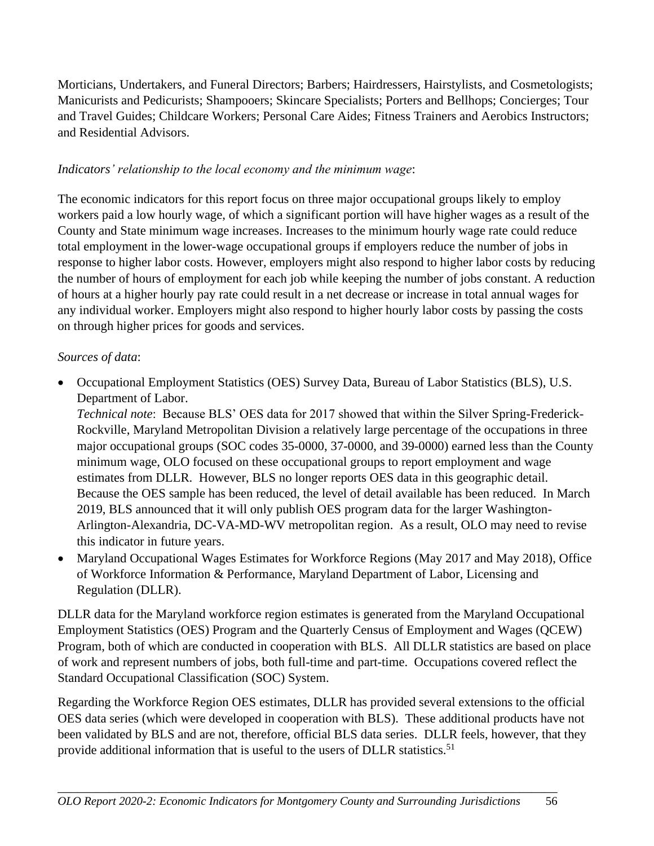Morticians, Undertakers, and Funeral Directors; Barbers; Hairdressers, Hairstylists, and Cosmetologists; Manicurists and Pedicurists; Shampooers; Skincare Specialists; Porters and Bellhops; Concierges; Tour and Travel Guides; Childcare Workers; Personal Care Aides; Fitness Trainers and Aerobics Instructors; and Residential Advisors.

## *Indicators' relationship to the local economy and the minimum wage*:

The economic indicators for this report focus on three major occupational groups likely to employ workers paid a low hourly wage, of which a significant portion will have higher wages as a result of the County and State minimum wage increases. Increases to the minimum hourly wage rate could reduce total employment in the lower-wage occupational groups if employers reduce the number of jobs in response to higher labor costs. However, employers might also respond to higher labor costs by reducing the number of hours of employment for each job while keeping the number of jobs constant. A reduction of hours at a higher hourly pay rate could result in a net decrease or increase in total annual wages for any individual worker. Employers might also respond to higher hourly labor costs by passing the costs on through higher prices for goods and services.

#### *Sources of data*:

• Occupational Employment Statistics (OES) Survey Data, Bureau of Labor Statistics (BLS), U.S. Department of Labor.

*Technical note*: Because BLS' OES data for 2017 showed that within the Silver Spring-Frederick-Rockville, Maryland Metropolitan Division a relatively large percentage of the occupations in three major occupational groups (SOC codes 35-0000, 37-0000, and 39-0000) earned less than the County minimum wage, OLO focused on these occupational groups to report employment and wage estimates from DLLR. However, BLS no longer reports OES data in this geographic detail. Because the OES sample has been reduced, the level of detail available has been reduced. In March 2019, BLS announced that it will only publish OES program data for the larger Washington-Arlington-Alexandria, DC-VA-MD-WV metropolitan region. As a result, OLO may need to revise this indicator in future years.

• Maryland Occupational Wages Estimates for Workforce Regions (May 2017 and May 2018), Office of Workforce Information & Performance, Maryland Department of Labor, Licensing and Regulation (DLLR).

DLLR data for the Maryland workforce region estimates is generated from the Maryland Occupational Employment Statistics (OES) Program and the Quarterly Census of Employment and Wages (QCEW) Program, both of which are conducted in cooperation with BLS. All DLLR statistics are based on place of work and represent numbers of jobs, both full-time and part-time. Occupations covered reflect the Standard Occupational Classification (SOC) System.

Regarding the Workforce Region OES estimates, DLLR has provided several extensions to the official OES data series (which were developed in cooperation with BLS). These additional products have not been validated by BLS and are not, therefore, official BLS data series. DLLR feels, however, that they provide additional information that is useful to the users of DLLR statistics.<sup>51</sup>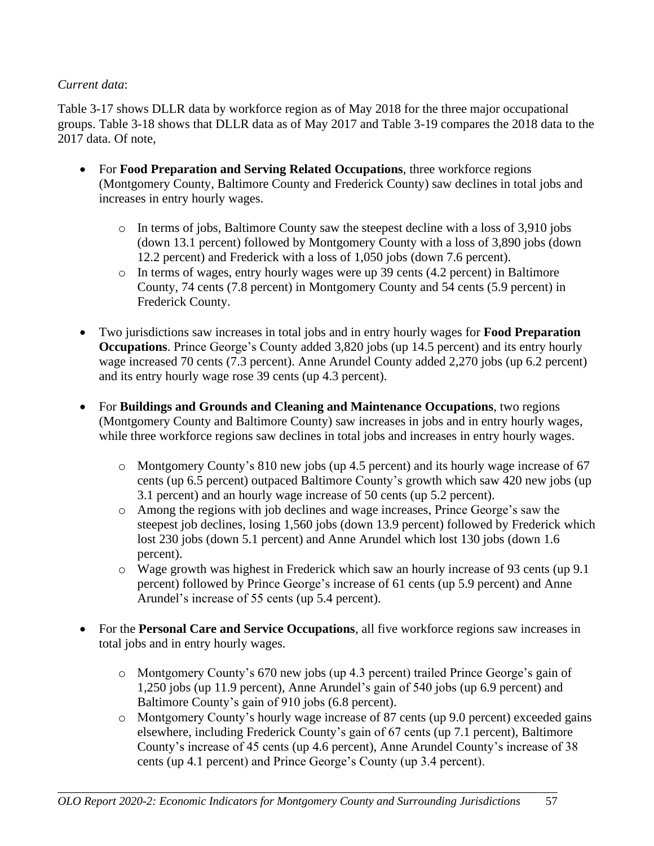## *Current data*:

Table 3-17 shows DLLR data by workforce region as of May 2018 for the three major occupational groups. Table 3-18 shows that DLLR data as of May 2017 and Table 3-19 compares the 2018 data to the 2017 data. Of note,

- For **Food Preparation and Serving Related Occupations**, three workforce regions (Montgomery County, Baltimore County and Frederick County) saw declines in total jobs and increases in entry hourly wages.
	- o In terms of jobs, Baltimore County saw the steepest decline with a loss of 3,910 jobs (down 13.1 percent) followed by Montgomery County with a loss of 3,890 jobs (down 12.2 percent) and Frederick with a loss of 1,050 jobs (down 7.6 percent).
	- o In terms of wages, entry hourly wages were up 39 cents (4.2 percent) in Baltimore County, 74 cents (7.8 percent) in Montgomery County and 54 cents (5.9 percent) in Frederick County.
- Two jurisdictions saw increases in total jobs and in entry hourly wages for **Food Preparation Occupations**. Prince George's County added 3,820 jobs (up 14.5 percent) and its entry hourly wage increased 70 cents (7.3 percent). Anne Arundel County added 2,270 jobs (up 6.2 percent) and its entry hourly wage rose 39 cents (up 4.3 percent).
- For **Buildings and Grounds and Cleaning and Maintenance Occupations**, two regions (Montgomery County and Baltimore County) saw increases in jobs and in entry hourly wages, while three workforce regions saw declines in total jobs and increases in entry hourly wages.
	- o Montgomery County's 810 new jobs (up 4.5 percent) and its hourly wage increase of 67 cents (up 6.5 percent) outpaced Baltimore County's growth which saw 420 new jobs (up 3.1 percent) and an hourly wage increase of 50 cents (up 5.2 percent).
	- o Among the regions with job declines and wage increases, Prince George's saw the steepest job declines, losing 1,560 jobs (down 13.9 percent) followed by Frederick which lost 230 jobs (down 5.1 percent) and Anne Arundel which lost 130 jobs (down 1.6 percent).
	- o Wage growth was highest in Frederick which saw an hourly increase of 93 cents (up 9.1 percent) followed by Prince George's increase of 61 cents (up 5.9 percent) and Anne Arundel's increase of 55 cents (up 5.4 percent).
- For the **Personal Care and Service Occupations**, all five workforce regions saw increases in total jobs and in entry hourly wages.
	- o Montgomery County's 670 new jobs (up 4.3 percent) trailed Prince George's gain of 1,250 jobs (up 11.9 percent), Anne Arundel's gain of 540 jobs (up 6.9 percent) and Baltimore County's gain of 910 jobs (6.8 percent).
	- o Montgomery County's hourly wage increase of 87 cents (up 9.0 percent) exceeded gains elsewhere, including Frederick County's gain of 67 cents (up 7.1 percent), Baltimore County's increase of 45 cents (up 4.6 percent), Anne Arundel County's increase of 38 cents (up 4.1 percent) and Prince George's County (up 3.4 percent).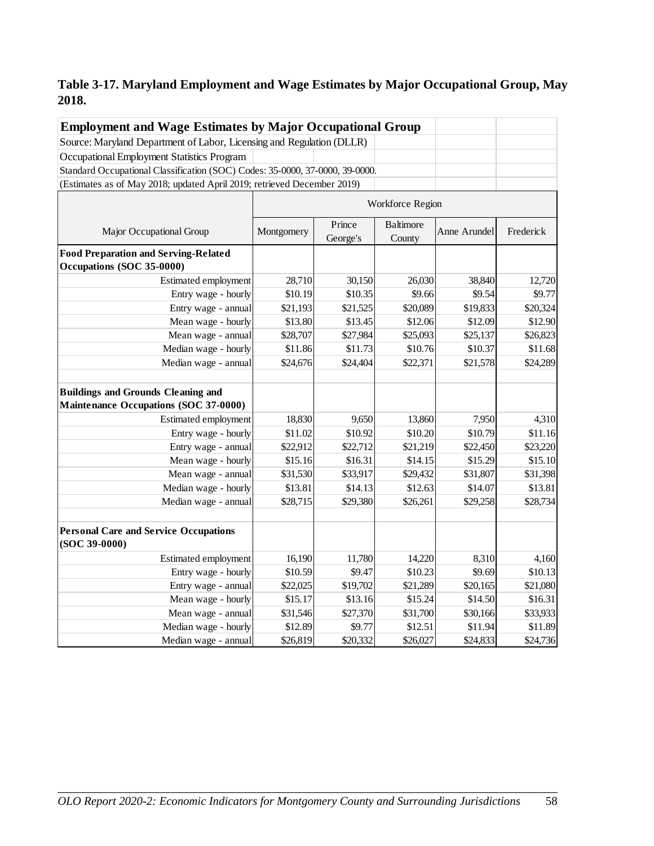## **Table 3-17. Maryland Employment and Wage Estimates by Major Occupational Group, May 2018.**

| <b>Employment and Wage Estimates by Major Occupational Group</b>                   |            |                    |                            |              |           |
|------------------------------------------------------------------------------------|------------|--------------------|----------------------------|--------------|-----------|
| Source: Maryland Department of Labor, Licensing and Regulation (DLLR)              |            |                    |                            |              |           |
| Occupational Employment Statistics Program                                         |            |                    |                            |              |           |
| Standard Occupational Classification (SOC) Codes: 35-0000, 37-0000, 39-0000.       |            |                    |                            |              |           |
| (Estimates as of May 2018; updated April 2019; retrieved December 2019)            |            |                    |                            |              |           |
|                                                                                    |            |                    | Workforce Region           |              |           |
| Major Occupational Group                                                           | Montgomery | Prince<br>George's | <b>Baltimore</b><br>County | Anne Arundel | Frederick |
| <b>Food Preparation and Serving-Related</b><br>Occupations (SOC 35-0000)           |            |                    |                            |              |           |
| Estimated employment                                                               | 28,710     | 30,150             | 26,030                     | 38,840       | 12,720    |
| Entry wage - hourly                                                                | \$10.19    | \$10.35            | \$9.66                     | \$9.54       | \$9.77    |
| Entry wage - annual                                                                | \$21,193   | \$21,525           | \$20,089                   | \$19,833     | \$20,324  |
| Mean wage - hourly                                                                 | \$13.80    | \$13.45            | \$12.06                    | \$12.09      | \$12.90   |
| Mean wage - annual                                                                 | \$28,707   | \$27,984           | \$25,093                   | \$25,137     | \$26,823  |
| Median wage - hourly                                                               | \$11.86    | \$11.73            | \$10.76                    | \$10.37      | \$11.68   |
| Median wage - annual                                                               | \$24,676   | \$24,404           | \$22,371                   | \$21,578     | \$24,289  |
| <b>Buildings and Grounds Cleaning and</b><br>Maintenance Occupations (SOC 37-0000) |            |                    |                            |              |           |
| Estimated employment                                                               | 18,830     | 9,650              | 13,860                     | 7,950        | 4,310     |
| Entry wage - hourly                                                                | \$11.02    | \$10.92            | \$10.20                    | \$10.79      | \$11.16   |
| Entry wage - annual                                                                | \$22,912   | \$22,712           | \$21,219                   | \$22,450     | \$23,220  |
| Mean wage - hourly                                                                 | \$15.16    | \$16.31            | \$14.15                    | \$15.29      | \$15.10   |
| Mean wage - annual                                                                 | \$31,530   | \$33,917           | \$29,432                   | \$31,807     | \$31,398  |
| Median wage - hourly                                                               | \$13.81    | \$14.13            | \$12.63                    | \$14.07      | \$13.81   |
| Median wage - annual                                                               | \$28,715   | \$29,380           | \$26,261                   | \$29,258     | \$28,734  |
| <b>Personal Care and Service Occupations</b><br>$(SOC 39-0000)$                    |            |                    |                            |              |           |
| Estimated employment                                                               | 16,190     | 11,780             | 14,220                     | 8,310        | 4,160     |
| Entry wage - hourly                                                                | \$10.59    | \$9.47             | \$10.23                    | \$9.69       | \$10.13   |
| Entry wage - annual                                                                | \$22,025   | \$19,702           | \$21,289                   | \$20,165     | \$21,080  |
| Mean wage - hourly                                                                 | \$15.17    | \$13.16            | \$15.24                    | \$14.50      | \$16.31   |
| Mean wage - annual                                                                 | \$31,546   | \$27,370           | \$31,700                   | \$30,166     | \$33,933  |
| Median wage - hourly                                                               | \$12.89    | \$9.77             | \$12.51                    | \$11.94      | \$11.89   |
| Median wage - annual                                                               | \$26,819   | \$20,332           | \$26,027                   | \$24,833     | \$24,736  |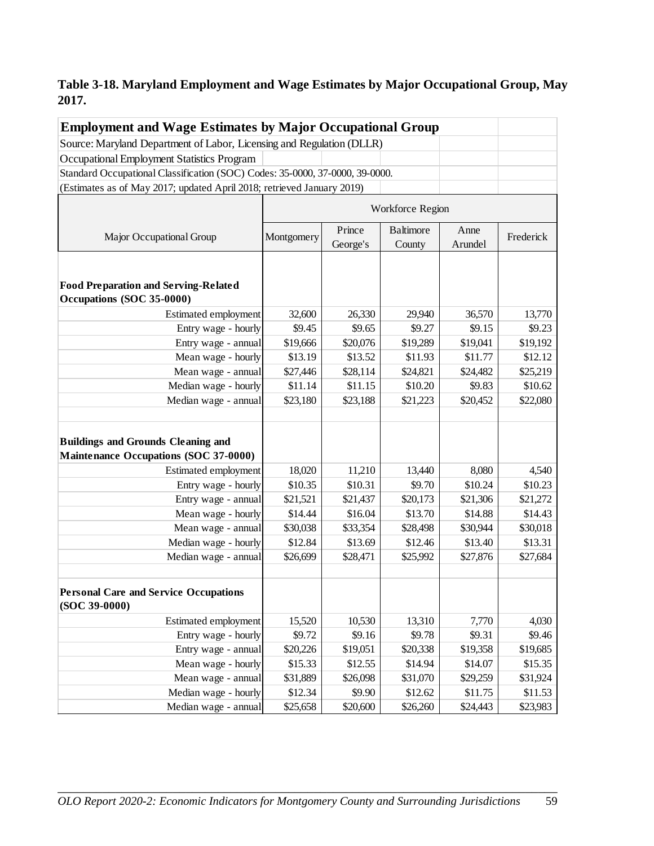## **Table 3-18. Maryland Employment and Wage Estimates by Major Occupational Group, May 2017.**

| <b>Employment and Wage Estimates by Major Occupational Group</b>                   |            |                    |                            |                 |           |  |  |  |
|------------------------------------------------------------------------------------|------------|--------------------|----------------------------|-----------------|-----------|--|--|--|
| Source: Maryland Department of Labor, Licensing and Regulation (DLLR)              |            |                    |                            |                 |           |  |  |  |
| Occupational Employment Statistics Program                                         |            |                    |                            |                 |           |  |  |  |
| Standard Occupational Classification (SOC) Codes: 35-0000, 37-0000, 39-0000.       |            |                    |                            |                 |           |  |  |  |
| (Estimates as of May 2017; updated April 2018; retrieved January 2019)             |            |                    |                            |                 |           |  |  |  |
|                                                                                    |            |                    | Workforce Region           |                 |           |  |  |  |
| Major Occupational Group                                                           | Montgomery | Prince<br>George's | <b>Baltimore</b><br>County | Anne<br>Arundel | Frederick |  |  |  |
| <b>Food Preparation and Serving-Related</b><br>Occupations (SOC 35-0000)           |            |                    |                            |                 |           |  |  |  |
| Estimated employment                                                               | 32,600     | 26,330             | 29,940                     | 36,570          | 13,770    |  |  |  |
| Entry wage - hourly                                                                | \$9.45     | \$9.65             | \$9.27                     | \$9.15          | \$9.23    |  |  |  |
| Entry wage - annual                                                                | \$19,666   | \$20,076           | \$19,289                   | \$19,041        | \$19,192  |  |  |  |
| Mean wage - hourly                                                                 | \$13.19    | \$13.52            | \$11.93                    | \$11.77         | \$12.12   |  |  |  |
| Mean wage - annual                                                                 | \$27,446   | \$28,114           | \$24,821                   | \$24,482        | \$25,219  |  |  |  |
| Median wage - hourly                                                               | \$11.14    | \$11.15            | \$10.20                    | \$9.83          | \$10.62   |  |  |  |
| Median wage - annual                                                               | \$23,180   | \$23,188           | \$21,223                   | \$20,452        | \$22,080  |  |  |  |
| <b>Buildings and Grounds Cleaning and</b><br>Maintenance Occupations (SOC 37-0000) |            |                    |                            |                 |           |  |  |  |
| Estimated employment                                                               | 18,020     | 11,210             | 13,440                     | 8,080           | 4,540     |  |  |  |
| Entry wage - hourly                                                                | \$10.35    | \$10.31            | \$9.70                     | \$10.24         | \$10.23   |  |  |  |
| Entry wage - annual                                                                | \$21,521   | \$21,437           | \$20,173                   | \$21,306        | \$21,272  |  |  |  |
| Mean wage - hourly                                                                 | \$14.44    | \$16.04            | \$13.70                    | \$14.88         | \$14.43   |  |  |  |
| Mean wage - annual                                                                 | \$30,038   | \$33,354           | \$28,498                   | \$30,944        | \$30,018  |  |  |  |
| Median wage - hourly                                                               | \$12.84    | \$13.69            | \$12.46                    | \$13.40         | \$13.31   |  |  |  |
| Median wage - annual                                                               | \$26,699   | \$28,471           | \$25,992                   | \$27,876        | \$27,684  |  |  |  |
| <b>Personal Care and Service Occupations</b><br>$(SOC 39-0000)$                    |            |                    |                            |                 |           |  |  |  |
| Estimated employment                                                               | 15,520     | 10,530             | 13,310                     | 7,770           | 4,030     |  |  |  |
| Entry wage - hourly                                                                | \$9.72     | \$9.16             | \$9.78                     | \$9.31          | \$9.46    |  |  |  |
| Entry wage - annual                                                                | \$20,226   | \$19,051           | \$20,338                   | \$19,358        | \$19,685  |  |  |  |
| Mean wage - hourly                                                                 | \$15.33    | \$12.55            | \$14.94                    | \$14.07         | \$15.35   |  |  |  |
| Mean wage - annual                                                                 | \$31,889   | \$26,098           | \$31,070                   | \$29,259        | \$31,924  |  |  |  |
| Median wage - hourly                                                               | \$12.34    | \$9.90             | \$12.62                    | \$11.75         | \$11.53   |  |  |  |
| Median wage - annual                                                               | \$25,658   | \$20,600           | \$26,260                   | \$24,443        | \$23,983  |  |  |  |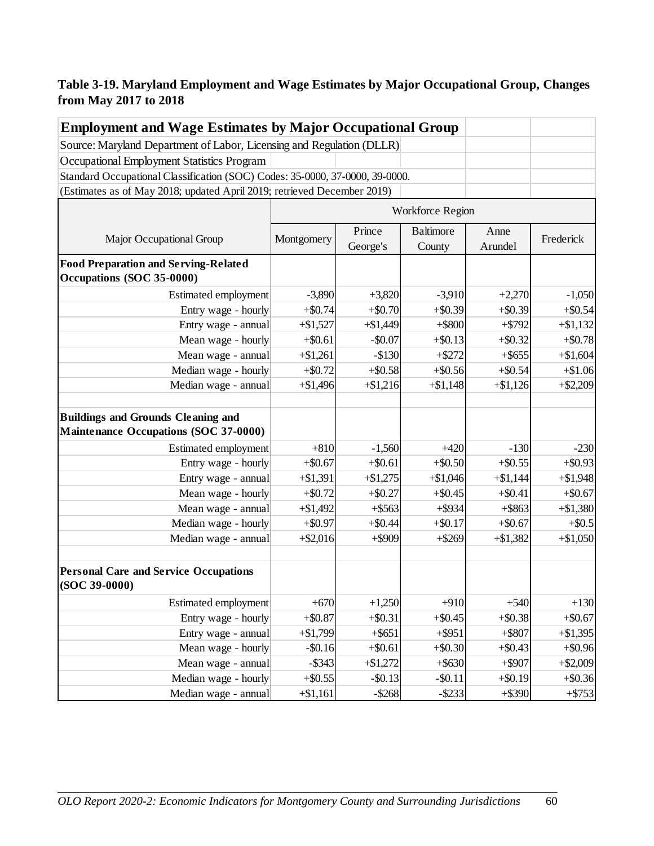## **Table 3-19. Maryland Employment and Wage Estimates by Major Occupational Group, Changes from May 2017 to 2018**

| <b>Employment and Wage Estimates by Major Occupational Group</b>                   |                  |                    |                            |                 |            |
|------------------------------------------------------------------------------------|------------------|--------------------|----------------------------|-----------------|------------|
| Source: Maryland Department of Labor, Licensing and Regulation (DLLR)              |                  |                    |                            |                 |            |
| Occupational Employment Statistics Program                                         |                  |                    |                            |                 |            |
| Standard Occupational Classification (SOC) Codes: 35-0000, 37-0000, 39-0000.       |                  |                    |                            |                 |            |
| (Estimates as of May 2018; updated April 2019; retrieved December 2019)            |                  |                    |                            |                 |            |
|                                                                                    | Workforce Region |                    |                            |                 |            |
| Major Occupational Group                                                           | Montgomery       | Prince<br>George's | <b>Baltimore</b><br>County | Anne<br>Arundel | Frederick  |
| <b>Food Preparation and Serving-Related</b><br>Occupations (SOC 35-0000)           |                  |                    |                            |                 |            |
| Estimated employment                                                               | $-3,890$         | $+3,820$           | $-3,910$                   | $+2,270$        | $-1,050$   |
| Entry wage - hourly                                                                | $+$0.74$         | $+\$0.70$          | $+$ \$0.39                 | $+$ \$0.39      | $+$ \$0.54 |
| Entry wage - annual                                                                | $+\$1,527$       | $+ $1,449$         | $+$ \$800                  | $+ $792$        | $+ $1,132$ |
| Mean wage - hourly                                                                 | $+$ \$0.61       | $-$ \$0.07         | $+$ \$0.13                 | $+$ \$0.32      | $+ $0.78$  |
| Mean wage - annual                                                                 | $+ $1,261$       | $-$130$            | $+ $272$                   | $+$ \$655       | $+ $1,604$ |
| Median wage - hourly                                                               | $+\$0.72$        | $+$ \$0.58         | $+$ \$0.56                 | $+$ \$0.54      | $+ $1.06$  |
| Median wage - annual                                                               | $+ $1,496$       | $+ $1,216$         | $+ $1,148$                 | $+ $1,126$      | $+ $2,209$ |
| <b>Buildings and Grounds Cleaning and</b><br>Maintenance Occupations (SOC 37-0000) |                  |                    |                            |                 |            |
| Estimated employment                                                               | $+810$           | $-1,560$           | $+420$                     | $-130$          | $-230$     |
| Entry wage - hourly                                                                | $+$ \$0.67       | $+$ \$0.61         | $+$ \$0.50                 | $+$ \$0.55      | $+$ \$0.93 |
| Entry wage - annual                                                                | $+ $1,391$       | $+\$1,275$         | $+ $1,046$                 | $+ $1,144$      | $+ $1,948$ |
| Mean wage - hourly                                                                 | $+\$0.72$        | $+$ \$0.27         | $+$ \$0.45                 | $+$ \$0.41      | $+$ \$0.67 |
| Mean wage - annual                                                                 | $+ $1,492$       | $+$ \$563          | $+$ \$934                  | $+$ \$863       | $+ $1,380$ |
| Median wage - hourly                                                               | $+$ \$0.97       | $+$ \$0.44         | $+$ \$0.17                 | $+$ \$0.67      | $+$ \$0.5  |
| Median wage - annual                                                               | $+ $2,016$       | $+$ \$909          | $+$ \$269                  | $+ $1,382$      | $+ $1,050$ |
| <b>Personal Care and Service Occupations</b><br>(SOC 39-0000)                      |                  |                    |                            |                 |            |
| Estimated employment                                                               | $+670$           | $+1,250$           | $+910$                     | $+540$          | $+130$     |
| Entry wage - hourly                                                                | $+ $0.87$        | $+$ \$0.31         | $+$ \$0.45                 | $+$ \$0.38      | $+\$0.67$  |
| Entry wage - annual                                                                | $+ $1,799$       | $+$ \$651          | $+$ \$951                  | $+$ \$807       | $+ $1,395$ |
| Mean wage - hourly                                                                 | $-$ \$0.16       | $+$ \$0.61         | $+\$0.30$                  | $+$ \$0.43      | $+\$0.96$  |
| Mean wage - annual                                                                 | $-$ \$343        | $+\$1,272$         | $+$ \$630                  | $+$ \$907       | $+ $2,009$ |
| Median wage - hourly                                                               | $+$ \$0.55       | $-$ \$0.13         | $-$ \$0.11                 | $+$ \$0.19      | $+\$0.36$  |
| Median wage - annual                                                               | $+ $1,161$       | $-$ \$268          | $-$ \$233                  | $+$ \$390       | $+ $753$   |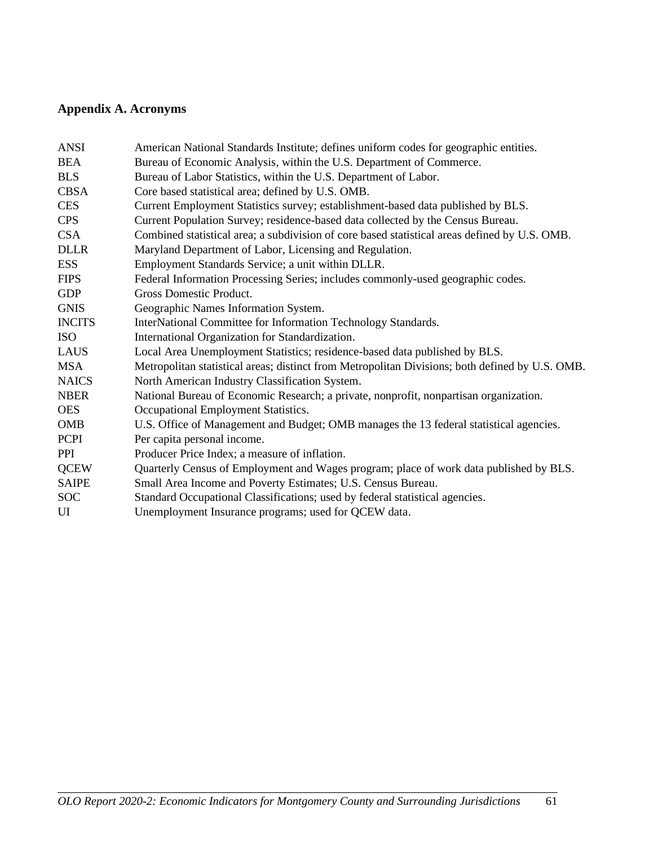# **Appendix A. Acronyms**

| <b>ANSI</b>   | American National Standards Institute; defines uniform codes for geographic entities.           |
|---------------|-------------------------------------------------------------------------------------------------|
| <b>BEA</b>    | Bureau of Economic Analysis, within the U.S. Department of Commerce.                            |
| <b>BLS</b>    | Bureau of Labor Statistics, within the U.S. Department of Labor.                                |
| <b>CBSA</b>   | Core based statistical area; defined by U.S. OMB.                                               |
| <b>CES</b>    | Current Employment Statistics survey; establishment-based data published by BLS.                |
| <b>CPS</b>    | Current Population Survey; residence-based data collected by the Census Bureau.                 |
| <b>CSA</b>    | Combined statistical area; a subdivision of core based statistical areas defined by U.S. OMB.   |
| <b>DLLR</b>   | Maryland Department of Labor, Licensing and Regulation.                                         |
| <b>ESS</b>    | Employment Standards Service; a unit within DLLR.                                               |
| <b>FIPS</b>   | Federal Information Processing Series; includes commonly-used geographic codes.                 |
| <b>GDP</b>    | Gross Domestic Product.                                                                         |
| <b>GNIS</b>   | Geographic Names Information System.                                                            |
| <b>INCITS</b> | InterNational Committee for Information Technology Standards.                                   |
| <b>ISO</b>    | International Organization for Standardization.                                                 |
| LAUS          | Local Area Unemployment Statistics; residence-based data published by BLS.                      |
| <b>MSA</b>    | Metropolitan statistical areas; distinct from Metropolitan Divisions; both defined by U.S. OMB. |
| <b>NAICS</b>  | North American Industry Classification System.                                                  |
| <b>NBER</b>   | National Bureau of Economic Research; a private, nonprofit, nonpartisan organization.           |
| <b>OES</b>    | Occupational Employment Statistics.                                                             |
| <b>OMB</b>    | U.S. Office of Management and Budget; OMB manages the 13 federal statistical agencies.          |
| <b>PCPI</b>   | Per capita personal income.                                                                     |
| <b>PPI</b>    | Producer Price Index; a measure of inflation.                                                   |
| <b>QCEW</b>   | Quarterly Census of Employment and Wages program; place of work data published by BLS.          |
| <b>SAIPE</b>  | Small Area Income and Poverty Estimates; U.S. Census Bureau.                                    |
| <b>SOC</b>    | Standard Occupational Classifications; used by federal statistical agencies.                    |
| UI            | Unemployment Insurance programs; used for QCEW data.                                            |
|               |                                                                                                 |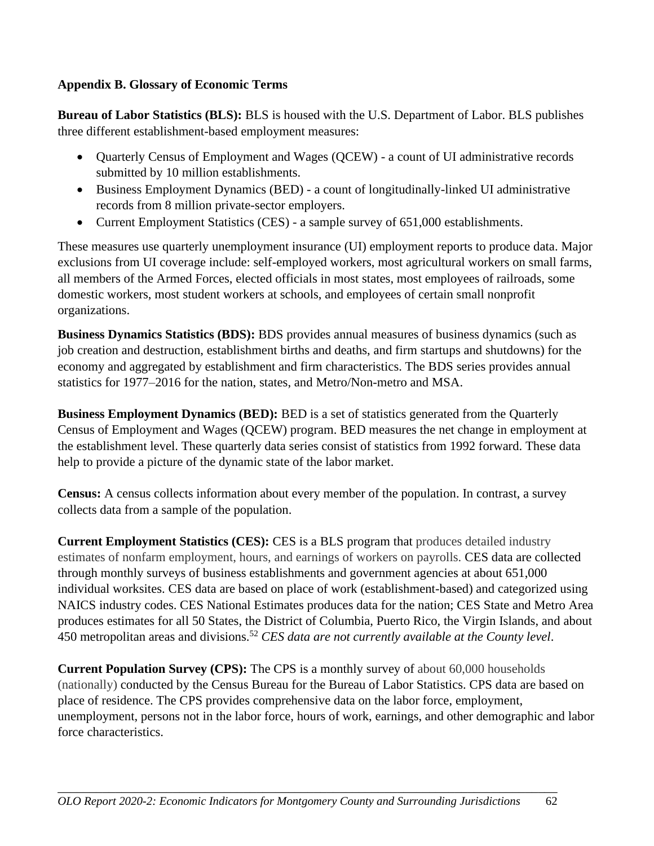## **Appendix B. Glossary of Economic Terms**

**Bureau of Labor Statistics (BLS):** BLS is housed with the U.S. Department of Labor. BLS publishes three different establishment-based employment measures:

- Quarterly Census of Employment and Wages (QCEW) a count of UI administrative records submitted by 10 million establishments.
- Business Employment Dynamics (BED) a count of longitudinally-linked UI administrative records from 8 million private-sector employers.
- Current Employment Statistics (CES) a sample survey of 651,000 establishments.

These measures use quarterly unemployment insurance (UI) employment reports to produce data. Major exclusions from UI coverage include: self-employed workers, most agricultural workers on small farms, all members of the Armed Forces, elected officials in most states, most employees of railroads, some domestic workers, most student workers at schools, and employees of certain small nonprofit organizations.

**Business Dynamics Statistics (BDS):** BDS provides annual measures of business dynamics (such as job creation and destruction, establishment births and deaths, and firm startups and shutdowns) for the economy and aggregated by establishment and firm characteristics. The BDS series provides annual statistics for 1977–2016 for the nation, states, and Metro/Non-metro and MSA.

**Business Employment Dynamics (BED):** BED is a set of statistics generated from the Quarterly Census of Employment and Wages (QCEW) program. BED measures the net change in employment at the establishment level. These quarterly data series consist of statistics from 1992 forward. These data help to provide a picture of the dynamic state of the labor market.

**Census:** A census collects information about every member of the population. In contrast, a survey collects data from a sample of the population.

**Current Employment Statistics (CES):** CES is a BLS program that produces detailed industry estimates of nonfarm employment, hours, and earnings of workers on payrolls. CES data are collected through monthly surveys of business establishments and government agencies at about 651,000 individual worksites. CES data are based on place of work (establishment-based) and categorized using NAICS industry codes. CES National Estimates produces data for the nation; CES State and Metro Area produces estimates for all 50 States, the District of Columbia, Puerto Rico, the Virgin Islands, and about 450 metropolitan areas and divisions.<sup>52</sup> *CES data are not currently available at the County level*.

**Current Population Survey (CPS):** The CPS is a monthly survey of about 60,000 households (nationally) conducted by the Census Bureau for the Bureau of Labor Statistics. CPS data are based on place of residence. The CPS provides comprehensive data on the labor force, employment, unemployment, persons not in the labor force, hours of work, earnings, and other demographic and labor force characteristics.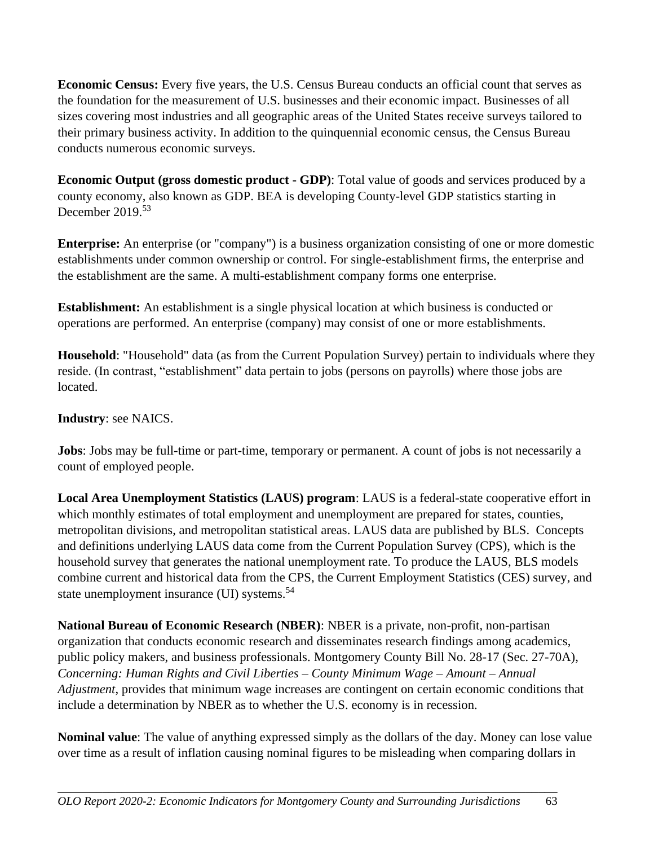**Economic Census:** Every five years, the U.S. Census Bureau conducts an official count that serves as the foundation for the measurement of U.S. businesses and their economic impact. Businesses of all sizes covering most industries and all geographic areas of the United States receive surveys tailored to their primary business activity. In addition to the quinquennial economic census, the Census Bureau conducts numerous economic surveys.

**Economic Output (gross domestic product - GDP)**: Total value of goods and services produced by a county economy, also known as GDP. BEA is developing County-level GDP statistics starting in December 2019.<sup>53</sup>

**Enterprise:** An enterprise (or "company") is a business organization consisting of one or more domestic establishments under common ownership or control. For single-establishment firms, the enterprise and the establishment are the same. A multi-establishment company forms one enterprise.

**Establishment:** An establishment is a single physical location at which business is conducted or operations are performed. An enterprise (company) may consist of one or more establishments.

**Household**: "Household" data (as from the Current Population Survey) pertain to individuals where they reside. (In contrast, "establishment" data pertain to jobs (persons on payrolls) where those jobs are located.

## **Industry**: see NAICS.

**Jobs**: Jobs may be full-time or part-time, temporary or permanent. A count of jobs is not necessarily a count of employed people.

**Local Area Unemployment Statistics (LAUS) program**: LAUS is a federal-state cooperative effort in which monthly estimates of total employment and unemployment are prepared for states, counties, metropolitan divisions, and metropolitan statistical areas. LAUS data are published by BLS. Concepts and definitions underlying LAUS data come from the Current Population Survey (CPS), which is the household survey that generates the national unemployment rate. To produce the LAUS, BLS models combine current and historical data from the CPS, the Current Employment Statistics (CES) survey, and state unemployment insurance (UI) systems.<sup>54</sup>

**National Bureau of Economic Research (NBER)**: NBER is a private, non-profit, non-partisan organization that conducts economic research and disseminates research findings among academics, public policy makers, and business professionals. Montgomery County Bill No. 28-17 (Sec. 27-70A), *Concerning: Human Rights and Civil Liberties – County Minimum Wage – Amount – Annual Adjustment*, provides that minimum wage increases are contingent on certain economic conditions that include a determination by NBER as to whether the U.S. economy is in recession.

**Nominal value**: The value of anything expressed simply as the dollars of the day. Money can lose value over time as a result of inflation causing nominal figures to be misleading when comparing dollars in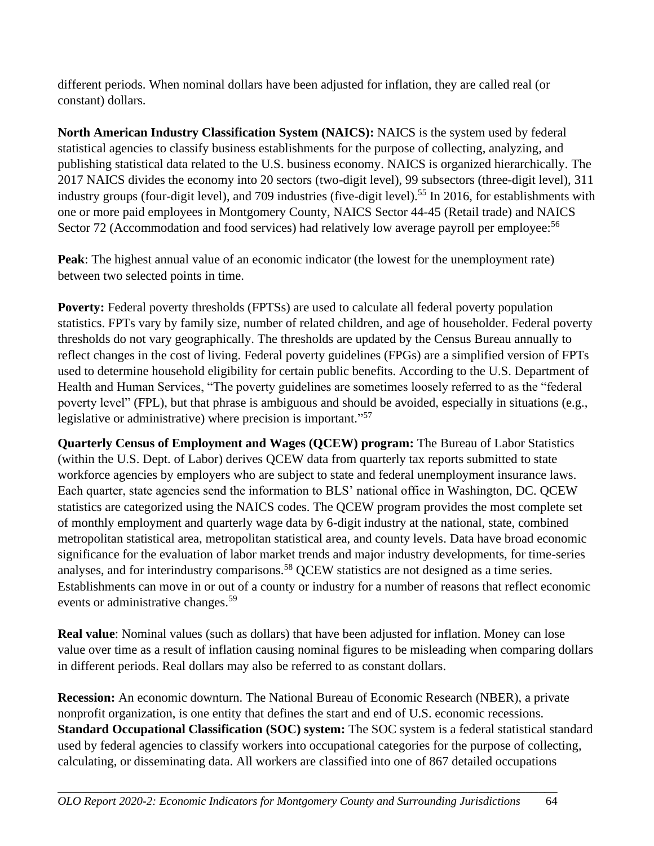different periods. When nominal dollars have been adjusted for inflation, they are called real (or constant) dollars.

**North American Industry Classification System (NAICS):** NAICS is the system used by federal statistical agencies to classify business establishments for the purpose of collecting, analyzing, and publishing statistical data related to the U.S. business economy. NAICS is organized hierarchically. The 2017 NAICS divides the economy into 20 sectors (two-digit level), 99 subsectors (three-digit level), 311 industry groups (four-digit level), and 709 industries (five-digit level).<sup>55</sup> In 2016, for establishments with one or more paid employees in Montgomery County, NAICS Sector 44-45 (Retail trade) and NAICS Sector 72 (Accommodation and food services) had relatively low average payroll per employee:<sup>56</sup>

**Peak**: The highest annual value of an economic indicator (the lowest for the unemployment rate) between two selected points in time.

**Poverty:** Federal poverty thresholds (FPTSs) are used to calculate all federal poverty population statistics. FPTs vary by family size, number of related children, and age of householder. Federal poverty thresholds do not vary geographically. The thresholds are updated by the Census Bureau annually to reflect changes in the cost of living. Federal poverty guidelines (FPGs) are a simplified version of FPTs used to determine household eligibility for certain public benefits. According to the U.S. Department of Health and Human Services, "The poverty guidelines are sometimes loosely referred to as the "federal poverty level" (FPL), but that phrase is ambiguous and should be avoided, especially in situations (e.g., legislative or administrative) where precision is important."<sup>57</sup>

**Quarterly Census of Employment and Wages (QCEW) program:** The Bureau of Labor Statistics (within the U.S. Dept. of Labor) derives QCEW data from quarterly tax reports submitted to state workforce agencies by employers who are subject to state and federal unemployment insurance laws. Each quarter, state agencies send the information to BLS' national office in Washington, DC. QCEW statistics are categorized using the NAICS codes. The QCEW program provides the most complete set of monthly employment and quarterly wage data by 6-digit industry at the national, state, combined metropolitan statistical area, metropolitan statistical area, and county levels. Data have broad economic significance for the evaluation of labor market trends and major industry developments, for time-series analyses, and for interindustry comparisons.<sup>58</sup> OCEW statistics are not designed as a time series. Establishments can move in or out of a county or industry for a number of reasons that reflect economic events or administrative changes.<sup>59</sup>

**Real value**: Nominal values (such as dollars) that have been adjusted for inflation. Money can lose value over time as a result of inflation causing nominal figures to be misleading when comparing dollars in different periods. Real dollars may also be referred to as constant dollars.

**Recession:** An economic downturn. The National Bureau of Economic Research (NBER), a private nonprofit organization, is one entity that defines the start and end of U.S. economic recessions. **Standard Occupational Classification (SOC) system:** The SOC system is a federal statistical standard used by federal agencies to classify workers into occupational categories for the purpose of collecting, calculating, or disseminating data. All workers are classified into one of 867 detailed occupations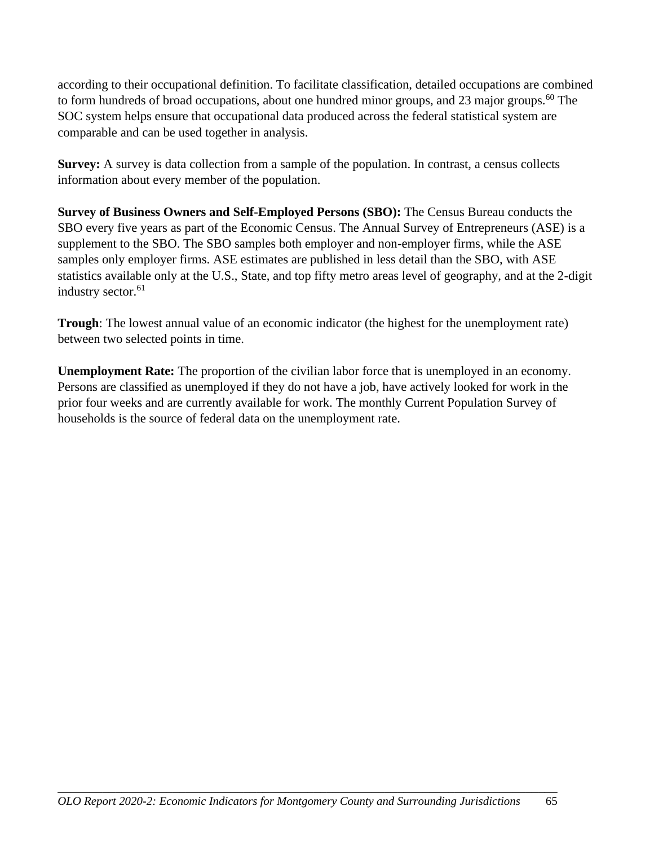according to their occupational definition. To facilitate classification, detailed occupations are combined to form hundreds of broad occupations, about one hundred minor groups, and 23 major groups.<sup>60</sup> The SOC system helps ensure that occupational data produced across the federal statistical system are comparable and can be used together in analysis.

**Survey:** A survey is data collection from a sample of the population. In contrast, a census collects information about every member of the population.

**Survey of Business Owners and Self-Employed Persons (SBO):** The Census Bureau conducts the SBO every five years as part of the Economic Census. The Annual Survey of Entrepreneurs (ASE) is a supplement to the SBO. The SBO samples both employer and non-employer firms, while the ASE samples only employer firms. ASE estimates are published in less detail than the SBO, with ASE statistics available only at the U.S., State, and top fifty metro areas level of geography, and at the 2-digit industry sector.<sup>61</sup>

**Trough**: The lowest annual value of an economic indicator (the highest for the unemployment rate) between two selected points in time.

**Unemployment Rate:** The proportion of the civilian labor force that is unemployed in an economy. Persons are classified as unemployed if they do not have a job, have actively looked for work in the prior four weeks and are currently available for work. The monthly Current Population Survey of households is the source of federal data on the unemployment rate.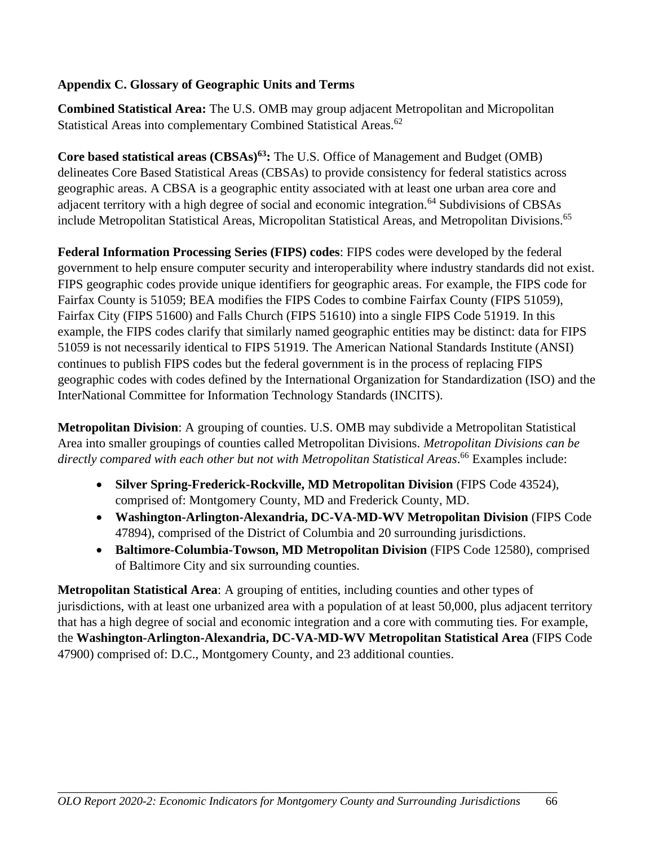### **Appendix C. Glossary of Geographic Units and Terms**

**Combined Statistical Area:** The U.S. OMB may group adjacent Metropolitan and Micropolitan Statistical Areas into complementary Combined Statistical Areas.<sup>62</sup>

**Core based statistical areas (CBSAs)<sup>63</sup>:** The U.S. Office of Management and Budget (OMB) delineates Core Based Statistical Areas (CBSAs) to provide consistency for federal statistics across geographic areas. A CBSA is a geographic entity associated with at least one urban area core and adjacent territory with a high degree of social and economic integration.<sup>64</sup> Subdivisions of CBSAs include Metropolitan Statistical Areas, Micropolitan Statistical Areas, and Metropolitan Divisions. 65

**Federal Information Processing Series (FIPS) codes**: FIPS codes were developed by the federal government to help ensure computer security and interoperability where industry standards did not exist. FIPS geographic codes provide unique identifiers for geographic areas. For example, the FIPS code for Fairfax County is 51059; BEA modifies the FIPS Codes to combine Fairfax County (FIPS 51059), Fairfax City (FIPS 51600) and Falls Church (FIPS 51610) into a single FIPS Code 51919. In this example, the FIPS codes clarify that similarly named geographic entities may be distinct: data for FIPS 51059 is not necessarily identical to FIPS 51919. The American National Standards Institute (ANSI) continues to publish FIPS codes but the federal government is in the process of replacing FIPS geographic codes with codes defined by the International Organization for Standardization (ISO) and the InterNational Committee for Information Technology Standards (INCITS).

**Metropolitan Division**: A grouping of counties. U.S. OMB may subdivide a Metropolitan Statistical Area into smaller groupings of counties called Metropolitan Divisions. *Metropolitan Divisions can be directly compared with each other but not with Metropolitan Statistical Areas*. <sup>66</sup> Examples include:

- **Silver Spring-Frederick-Rockville, MD Metropolitan Division** (FIPS Code 43524), comprised of: Montgomery County, MD and Frederick County, MD.
- **Washington-Arlington-Alexandria, DC-VA-MD-WV Metropolitan Division** (FIPS Code 47894), comprised of the District of Columbia and 20 surrounding jurisdictions.
- **Baltimore-Columbia-Towson, MD Metropolitan Division** (FIPS Code 12580), comprised of Baltimore City and six surrounding counties.

**Metropolitan Statistical Area**: A grouping of entities, including counties and other types of jurisdictions, with at least one urbanized area with a population of at least 50,000, plus adjacent territory that has a high degree of social and economic integration and a core with commuting ties. For example, the **Washington-Arlington-Alexandria, DC-VA-MD-WV Metropolitan Statistical Area** (FIPS Code 47900) comprised of: D.C., Montgomery County, and 23 additional counties.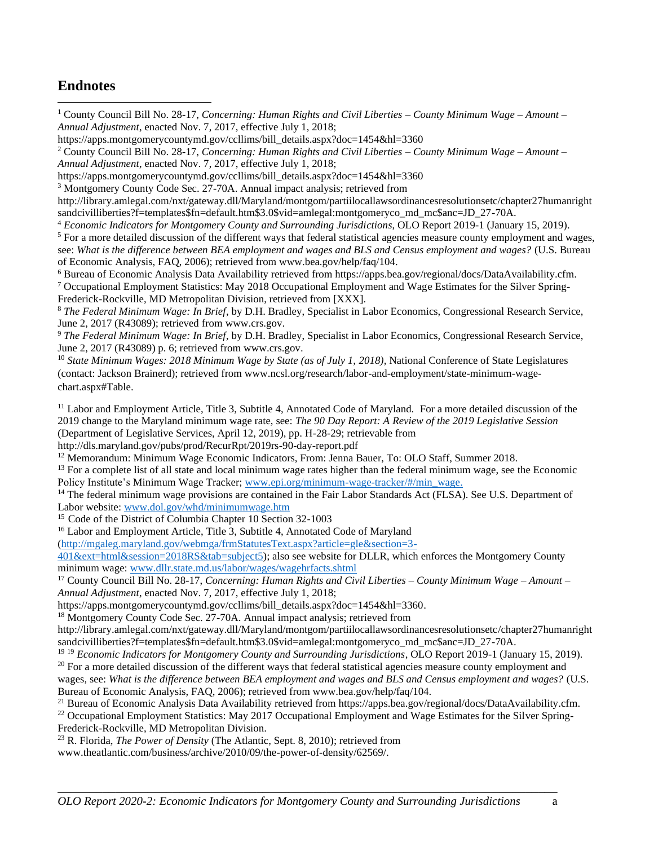## **Endnotes**

<sup>1</sup> County Council Bill No. 28-17, *Concerning: Human Rights and Civil Liberties – County Minimum Wage – Amount – Annual Adjustment*, enacted Nov. 7, 2017, effective July 1, 2018;

https://apps.montgomerycountymd.gov/ccllims/bill\_details.aspx?doc=1454&hl=3360

<sup>2</sup> County Council Bill No. 28-17, *Concerning: Human Rights and Civil Liberties – County Minimum Wage – Amount – Annual Adjustment*, enacted Nov. 7, 2017, effective July 1, 2018;

https://apps.montgomerycountymd.gov/ccllims/bill\_details.aspx?doc=1454&hl=3360

<sup>3</sup> Montgomery County Code Sec. 27-70A. Annual impact analysis; retrieved from

http://library.amlegal.com/nxt/gateway.dll/Maryland/montgom/partiilocallawsordinancesresolutionsetc/chapter27humanright sandcivilliberties?f=templates\$fn=default.htm\$3.0\$vid=amlegal:montgomeryco\_md\_mc\$anc=JD\_27-70A.

<sup>4</sup> *Economic Indicators for Montgomery County and Surrounding Jurisdictions*, OLO Report 2019-1 (January 15, 2019).

 $<sup>5</sup>$  For a more detailed discussion of the different ways that federal statistical agencies measure county employment and wages,</sup> see: *What is the difference between BEA employment and wages and BLS and Census employment and wages?* (U.S. Bureau of Economic Analysis, FAQ, 2006); retrieved from www.bea.gov/help/faq/104.

<sup>6</sup> Bureau of Economic Analysis Data Availability retrieved from https://apps.bea.gov/regional/docs/DataAvailability.cfm.

<sup>7</sup> Occupational Employment Statistics: May 2018 Occupational Employment and Wage Estimates for the Silver Spring-Frederick-Rockville, MD Metropolitan Division, retrieved from [XXX].

<sup>8</sup> *The Federal Minimum Wage: In Brief*, by D.H. Bradley, Specialist in Labor Economics, Congressional Research Service, June 2, 2017 (R43089); retrieved from www.crs.gov.

<sup>9</sup> *The Federal Minimum Wage: In Brief*, by D.H. Bradley, Specialist in Labor Economics, Congressional Research Service, June 2, 2017 (R43089) p. 6; retrieved from www.crs.gov.

<sup>10</sup> State Minimum Wages: 2018 Minimum Wage by State (as of July 1, 2018), National Conference of State Legislatures (contact: Jackson Brainerd); retrieved from www.ncsl.org/research/labor-and-employment/state-minimum-wagechart.aspx#Table.

<sup>11</sup> Labor and Employment Article, Title 3, Subtitle 4, Annotated Code of Maryland. For a more detailed discussion of the 2019 change to the Maryland minimum wage rate, see: *The 90 Day Report: A Review of the 2019 Legislative Session* (Department of Legislative Services, April 12, 2019), pp. H-28-29; retrievable from

http://dls.maryland.gov/pubs/prod/RecurRpt/2019rs-90-day-report.pdf

<sup>12</sup> Memorandum: Minimum Wage Economic Indicators, From: Jenna Bauer, To: OLO Staff, Summer 2018.

<sup>13</sup> For a complete list of all state and local minimum wage rates higher than the federal minimum wage, see the Economic Policy Institute's Minimum Wage Tracker; www.epi.org/minimum-wage-tracker/#/min\_wage.

<sup>14</sup> The federal minimum wage provisions are contained in the Fair Labor Standards Act (FLSA). See U.S. Department of Labor website: www.dol.gov/whd/minimumwage.htm

<sup>15</sup> Code of the District of Columbia Chapter 10 Section 32-1003

<sup>16</sup> Labor and Employment Article, Title 3, Subtitle 4, Annotated Code of Maryland

 $(htp://mgaleg.marvland.gov/webmga/frmStatusText.aspx?article=gle&section=3-$ 

401&ext=html&session=2018RS&tab=subject5); also see website for DLLR, which enforces the Montgomery County minimum wage: [www.dllr.state.md.us/labor/wages/wagehrfacts.shtml](http://www.dllr.state.md.us/labor/wages/wagehrfacts.shtml)

<sup>17</sup> County Council Bill No. 28-17, *Concerning: Human Rights and Civil Liberties – County Minimum Wage – Amount – Annual Adjustment*, enacted Nov. 7, 2017, effective July 1, 2018;

https://apps.montgomerycountymd.gov/ccllims/bill\_details.aspx?doc=1454&hl=3360.

<sup>18</sup> Montgomery County Code Sec. 27-70A. Annual impact analysis; retrieved from

http://library.amlegal.com/nxt/gateway.dll/Maryland/montgom/partiilocallawsordinancesresolutionsetc/chapter27humanright sandcivilliberties?f=templates\$fn=default.htm\$3.0\$vid=amlegal:montgomeryco\_md\_mc\$anc=JD\_27-70A.

<sup>19</sup> <sup>19</sup> *Economic Indicators for Montgomery County and Surrounding Jurisdictions*, OLO Report 2019-1 (January 15, 2019).

 $20$  For a more detailed discussion of the different ways that federal statistical agencies measure county employment and wages, see: *What is the difference between BEA employment and wages and BLS and Census employment and wages?* (U.S. Bureau of Economic Analysis, FAQ, 2006); retrieved from www.bea.gov/help/faq/104.

<sup>21</sup> Bureau of Economic Analysis Data Availability retrieved from https://apps.bea.gov/regional/docs/DataAvailability.cfm.

<sup>22</sup> Occupational Employment Statistics: May 2017 Occupational Employment and Wage Estimates for the Silver Spring-Frederick-Rockville, MD Metropolitan Division.

<sup>23</sup> R. Florida, *The Power of Density* (The Atlantic, Sept. 8, 2010); retrieved from

www.theatlantic.com/business/archive/2010/09/the-power-of-density/62569/.

\_\_\_\_\_\_\_\_\_\_\_\_\_\_\_\_\_\_\_\_\_\_\_\_\_\_\_\_\_\_\_\_\_\_\_\_\_\_\_\_\_\_\_\_\_\_\_\_\_\_\_\_\_\_\_\_\_\_\_\_\_\_\_\_\_\_\_\_\_\_\_\_\_\_\_\_\_\_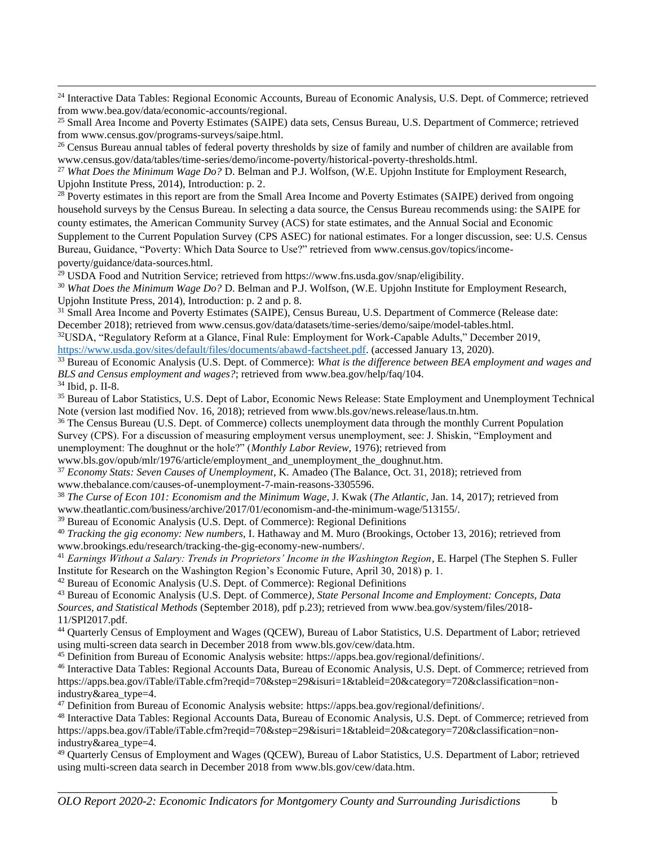<sup>24</sup> Interactive Data Tables: Regional Economic Accounts, Bureau of Economic Analysis, U.S. Dept. of Commerce; retrieved from www.bea.gov/data/economic-accounts/regional.

<sup>25</sup> Small Area Income and Poverty Estimates (SAIPE) data sets, Census Bureau, U.S. Department of Commerce; retrieved from www.census.gov/programs-surveys/saipe.html.

<sup>26</sup> Census Bureau annual tables of federal poverty thresholds by size of family and number of children are available from www.census.gov/data/tables/time-series/demo/income-poverty/historical-poverty-thresholds.html.

<sup>27</sup> *What Does the Minimum Wage Do?* D. Belman and P.J. Wolfson, (W.E. Upjohn Institute for Employment Research, Upjohn Institute Press, 2014), Introduction: p. 2.

<sup>28</sup> Poverty estimates in this report are from the Small Area Income and Poverty Estimates (SAIPE) derived from ongoing household surveys by the Census Bureau. In selecting a data source, the Census Bureau recommends using: the SAIPE for county estimates, the American Community Survey (ACS) for state estimates, and the Annual Social and Economic Supplement to the Current Population Survey (CPS ASEC) for national estimates. For a longer discussion, see: U.S. Census Bureau, Guidance, "Poverty: Which Data Source to Use?" retrieved from www.census.gov/topics/incomepoverty/guidance/data-sources.html.

<sup>29</sup> USDA Food and Nutrition Service; retrieved from https://www.fns.usda.gov/snap/eligibility.

<sup>30</sup> *What Does the Minimum Wage Do?* D. Belman and P.J. Wolfson, (W.E. Upjohn Institute for Employment Research, Upjohn Institute Press, 2014), Introduction: p. 2 and p. 8.

<sup>31</sup> Small Area Income and Poverty Estimates (SAIPE), Census Bureau, U.S. Department of Commerce (Release date: December 2018); retrieved from www.census.gov/data/datasets/time-series/demo/saipe/model-tables.html.

<sup>32</sup>USDA, "Regulatory Reform at a Glance, Final Rule: Employment for Work-Capable Adults," December 2019, [https://www.usda.gov/sites/default/files/documents/abawd-factsheet.pdf.](https://www.usda.gov/sites/default/files/documents/abawd-factsheet.pdf) (accessed January 13, 2020).

<sup>33</sup> Bureau of Economic Analysis (U.S. Dept. of Commerce): *What is the difference between BEA employment and wages and BLS and Census employment and wages?*; retrieved from www.bea.gov/help/faq/104.

<sup>34</sup> Ibid, p. II-8.

<sup>35</sup> Bureau of Labor Statistics, U.S. Dept of Labor, Economic News Release: State Employment and Unemployment Technical Note (version last modified Nov. 16, 2018); retrieved from www.bls.gov/news.release/laus.tn.htm.

<sup>36</sup> The Census Bureau (U.S. Dept. of Commerce) collects unemployment data through the monthly Current Population Survey (CPS). For a discussion of measuring employment versus unemployment, see: J. Shiskin, "Employment and unemployment: The doughnut or the hole?" (*Monthly Labor Review*, 1976); retrieved from

```
www.bls.gov/opub/mlr/1976/article/employment and unemployment the doughnut.htm.
```
<sup>37</sup> *Economy Stats: Seven Causes of Unemployment*, K. Amadeo (The Balance, Oct. 31, 2018); retrieved from www.thebalance.com/causes-of-unemployment-7-main-reasons-3305596.

<sup>38</sup> *The Curse of Econ 101: Economism and the Minimum Wage*, J. Kwak (*The Atlantic*, Jan. 14, 2017); retrieved from www.theatlantic.com/business/archive/2017/01/economism-and-the-minimum-wage/513155/.

<sup>39</sup> Bureau of Economic Analysis (U.S. Dept. of Commerce): Regional Definitions

<sup>40</sup> *Tracking the gig economy: New numbers*, I. Hathaway and M. Muro (Brookings, October 13, 2016); retrieved from www.brookings.edu/research/tracking-the-gig-economy-new-numbers/.

<sup>41</sup> Earnings Without a Salary: Trends in Proprietors' Income in the Washington Region, E. Harpel (The Stephen S. Fuller Institute for Research on the Washington Region's Economic Future, April 30, 2018) p. 1.

 $42$  Bureau of Economic Analysis (U.S. Dept. of Commerce): Regional Definitions

<sup>43</sup> Bureau of Economic Analysis (U.S. Dept. of Commerce*), State Personal Income and Employment: Concepts, Data Sources, and Statistical Methods* (September 2018), pdf p.23); retrieved from www.bea.gov/system/files/2018- 11/SPI2017.pdf.

<sup>44</sup> Quarterly Census of Employment and Wages (QCEW), Bureau of Labor Statistics, U.S. Department of Labor; retrieved using multi-screen data search in December 2018 from www.bls.gov/cew/data.htm.

<sup>45</sup> Definition from Bureau of Economic Analysis website: https://apps.bea.gov/regional/definitions/.

<sup>46</sup> Interactive Data Tables: Regional Accounts Data, Bureau of Economic Analysis, U.S. Dept. of Commerce; retrieved from https://apps.bea.gov/iTable/iTable.cfm?reqid=70&step=29&isuri=1&tableid=20&category=720&classification=nonindustry&area\_type=4.

<sup>47</sup> Definition from Bureau of Economic Analysis website: https://apps.bea.gov/regional/definitions/.

<sup>48</sup> Interactive Data Tables: Regional Accounts Data, Bureau of Economic Analysis, U.S. Dept. of Commerce; retrieved from https://apps.bea.gov/iTable/iTable.cfm?reqid=70&step=29&isuri=1&tableid=20&category=720&classification=nonindustry&area\_type=4.

<sup>49</sup> Quarterly Census of Employment and Wages (QCEW), Bureau of Labor Statistics, U.S. Department of Labor; retrieved using multi-screen data search in December 2018 from www.bls.gov/cew/data.htm.

\_\_\_\_\_\_\_\_\_\_\_\_\_\_\_\_\_\_\_\_\_\_\_\_\_\_\_\_\_\_\_\_\_\_\_\_\_\_\_\_\_\_\_\_\_\_\_\_\_\_\_\_\_\_\_\_\_\_\_\_\_\_\_\_\_\_\_\_\_\_\_\_\_\_\_\_\_\_